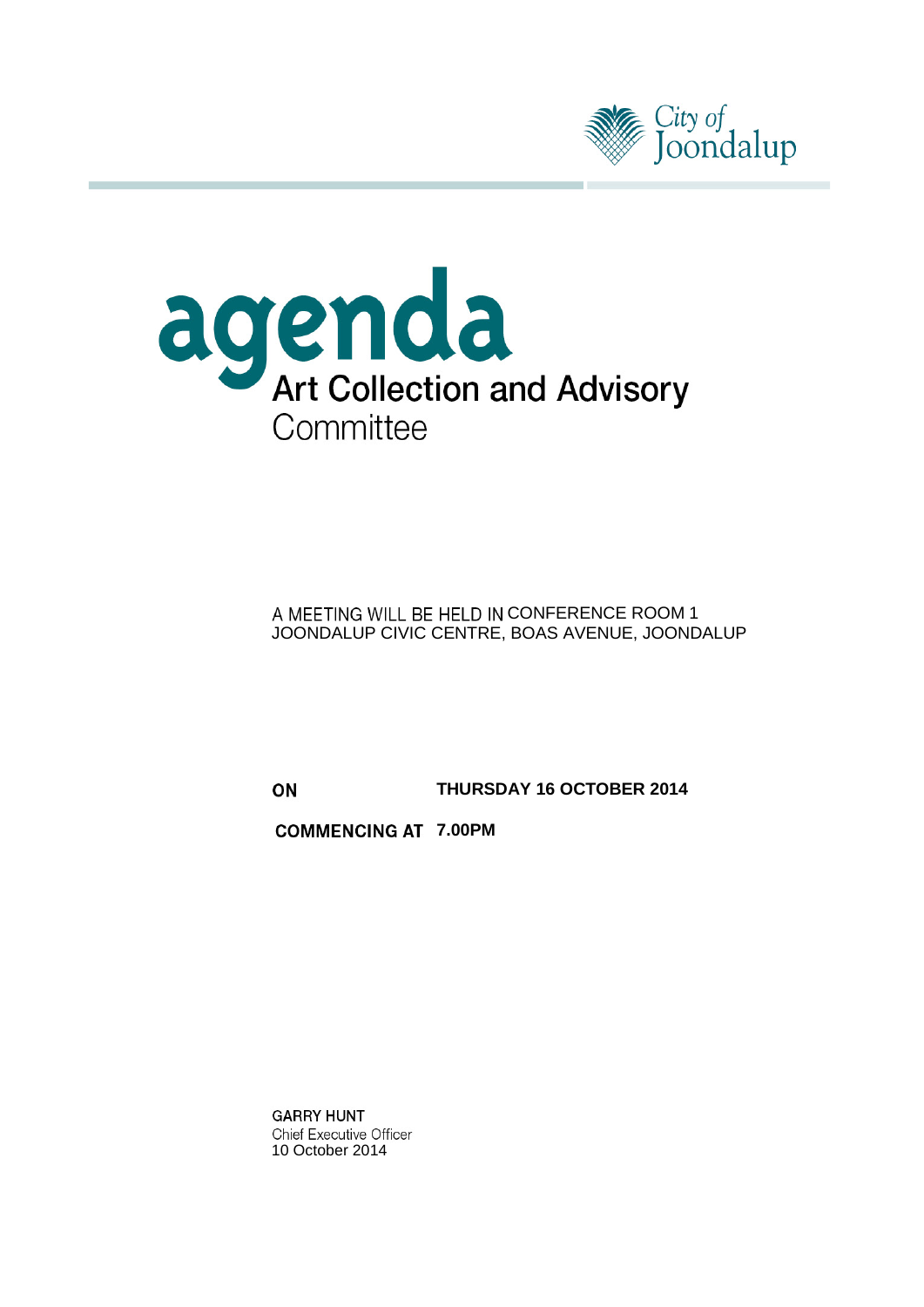



A MEETING WILL BE HELD IN CONFERENCE ROOM 1 JOONDALUP CIVIC CENTRE, BOAS AVENUE, JOONDALUP

ON

**THURSDAY 16 OCTOBER 2014**

**COMMENCING AT 7.00PM** 

**GARRY HUNT Chief Executive Officer** 10 October 2014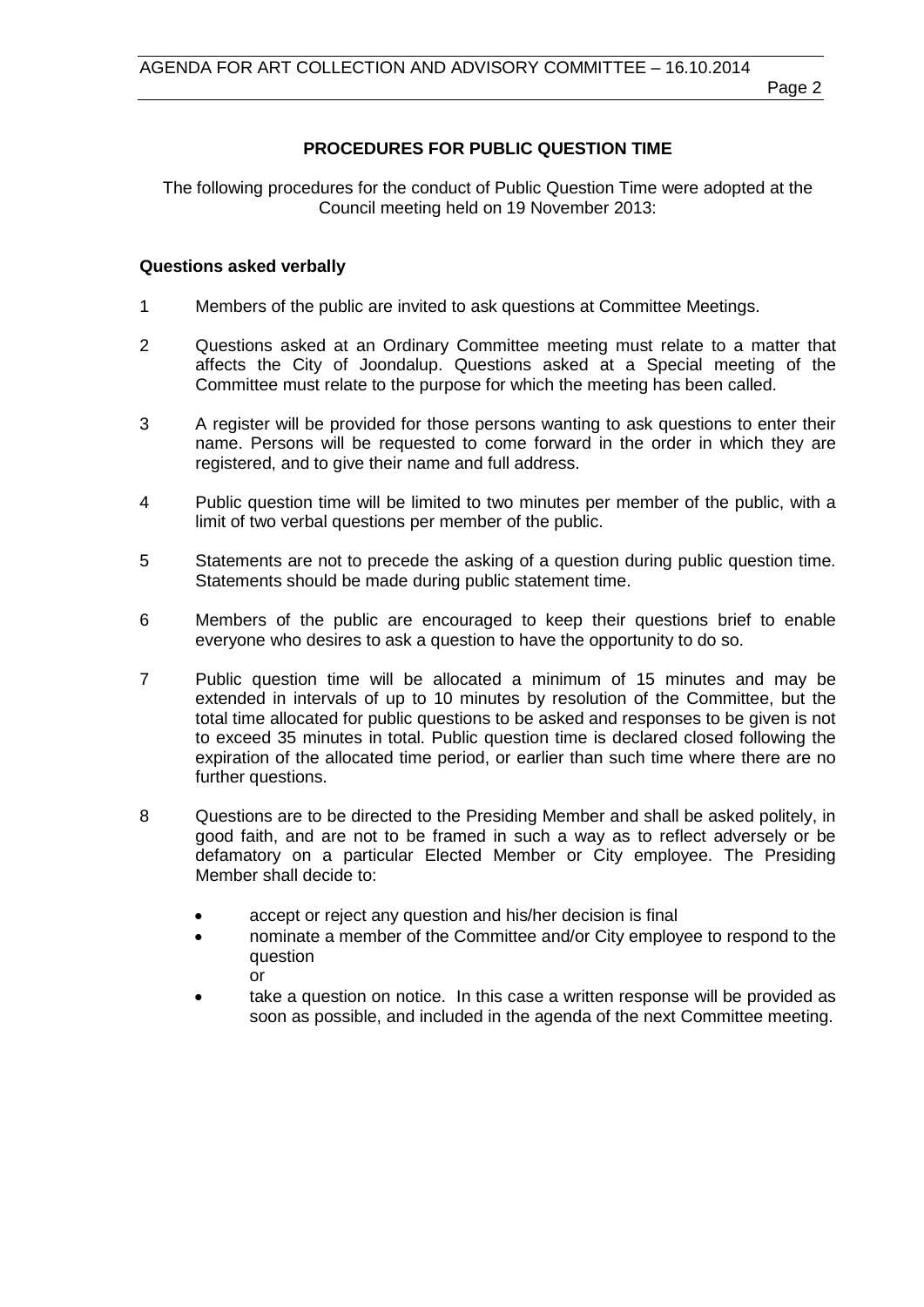Page 2

# **PROCEDURES FOR PUBLIC QUESTION TIME**

The following procedures for the conduct of Public Question Time were adopted at the Council meeting held on 19 November 2013:

## **Questions asked verbally**

- 1 Members of the public are invited to ask questions at Committee Meetings.
- 2 Questions asked at an Ordinary Committee meeting must relate to a matter that affects the City of Joondalup. Questions asked at a Special meeting of the Committee must relate to the purpose for which the meeting has been called.
- 3 A register will be provided for those persons wanting to ask questions to enter their name. Persons will be requested to come forward in the order in which they are registered, and to give their name and full address.
- 4 Public question time will be limited to two minutes per member of the public, with a limit of two verbal questions per member of the public.
- 5 Statements are not to precede the asking of a question during public question time. Statements should be made during public statement time.
- 6 Members of the public are encouraged to keep their questions brief to enable everyone who desires to ask a question to have the opportunity to do so.
- 7 Public question time will be allocated a minimum of 15 minutes and may be extended in intervals of up to 10 minutes by resolution of the Committee, but the total time allocated for public questions to be asked and responses to be given is not to exceed 35 minutes in total. Public question time is declared closed following the expiration of the allocated time period, or earlier than such time where there are no further questions.
- 8 Questions are to be directed to the Presiding Member and shall be asked politely, in good faith, and are not to be framed in such a way as to reflect adversely or be defamatory on a particular Elected Member or City employee. The Presiding Member shall decide to:
	- accept or reject any question and his/her decision is final
	- nominate a member of the Committee and/or City employee to respond to the question or
	- take a question on notice. In this case a written response will be provided as soon as possible, and included in the agenda of the next Committee meeting.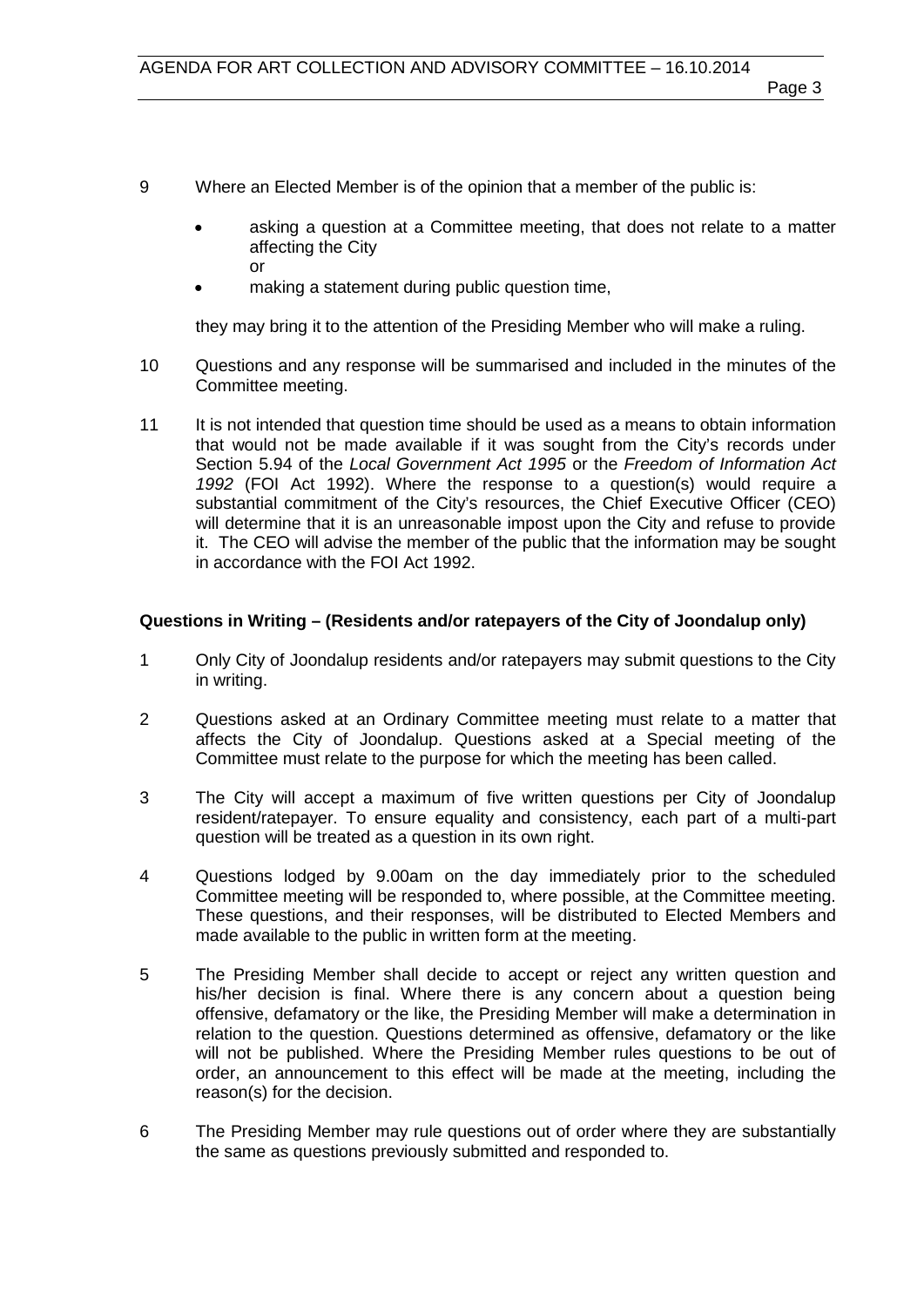- 9 Where an Elected Member is of the opinion that a member of the public is:
	- asking a question at a Committee meeting, that does not relate to a matter affecting the City or
	- making a statement during public question time,

they may bring it to the attention of the Presiding Member who will make a ruling.

- 10 Questions and any response will be summarised and included in the minutes of the Committee meeting.
- 11 It is not intended that question time should be used as a means to obtain information that would not be made available if it was sought from the City's records under Section 5.94 of the *Local Government Act 1995* or the *Freedom of Information Act 1992* (FOI Act 1992). Where the response to a question(s) would require a substantial commitment of the City's resources, the Chief Executive Officer (CEO) will determine that it is an unreasonable impost upon the City and refuse to provide it. The CEO will advise the member of the public that the information may be sought in accordance with the FOI Act 1992.

# **Questions in Writing – (Residents and/or ratepayers of the City of Joondalup only)**

- 1 Only City of Joondalup residents and/or ratepayers may submit questions to the City in writing.
- 2 Questions asked at an Ordinary Committee meeting must relate to a matter that affects the City of Joondalup. Questions asked at a Special meeting of the Committee must relate to the purpose for which the meeting has been called.
- 3 The City will accept a maximum of five written questions per City of Joondalup resident/ratepayer. To ensure equality and consistency, each part of a multi-part question will be treated as a question in its own right.
- 4 Questions lodged by 9.00am on the day immediately prior to the scheduled Committee meeting will be responded to, where possible, at the Committee meeting. These questions, and their responses, will be distributed to Elected Members and made available to the public in written form at the meeting.
- 5 The Presiding Member shall decide to accept or reject any written question and his/her decision is final. Where there is any concern about a question being offensive, defamatory or the like, the Presiding Member will make a determination in relation to the question. Questions determined as offensive, defamatory or the like will not be published. Where the Presiding Member rules questions to be out of order, an announcement to this effect will be made at the meeting, including the reason(s) for the decision.
- 6 The Presiding Member may rule questions out of order where they are substantially the same as questions previously submitted and responded to.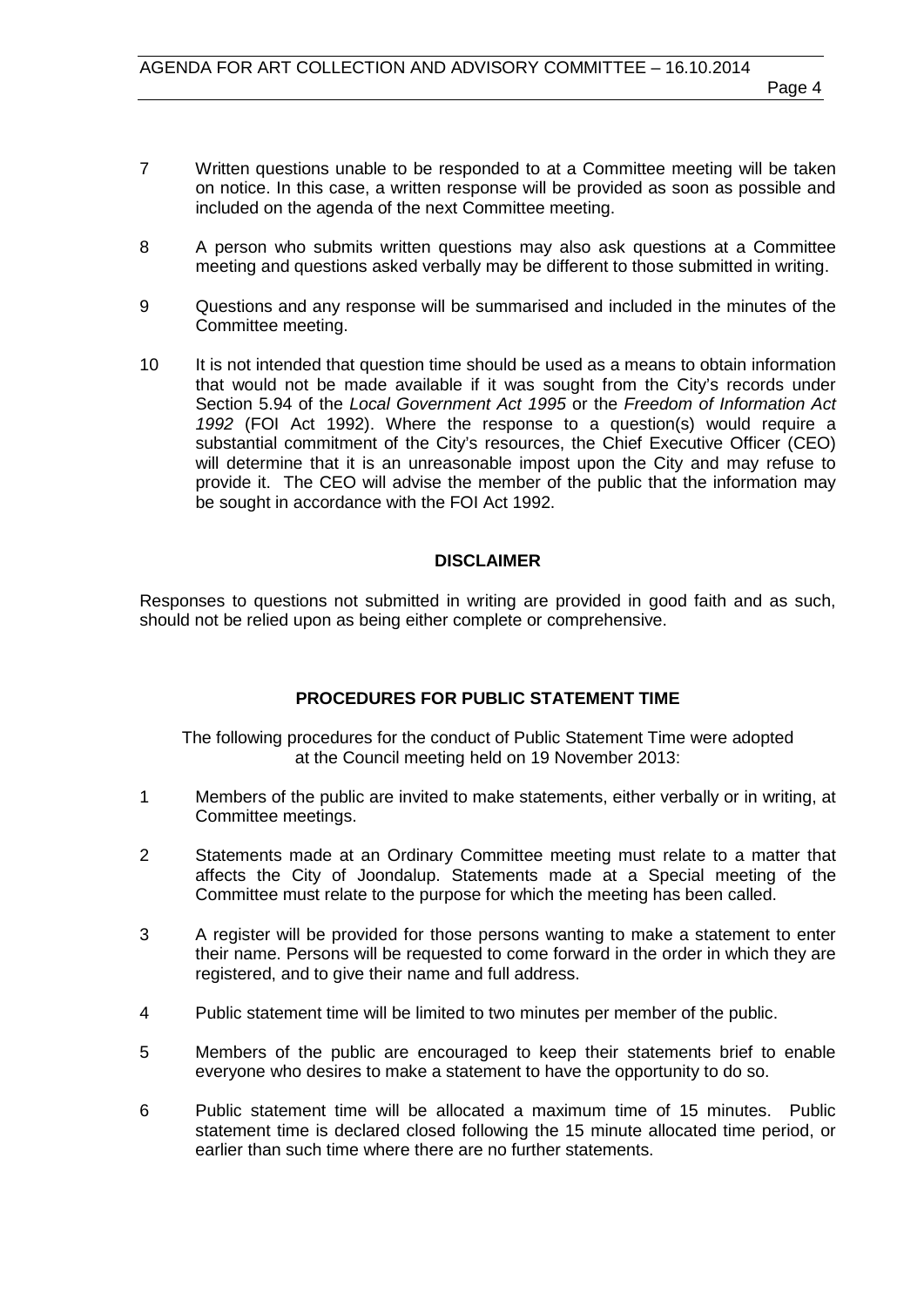- 7 Written questions unable to be responded to at a Committee meeting will be taken on notice. In this case, a written response will be provided as soon as possible and included on the agenda of the next Committee meeting.
- 8 A person who submits written questions may also ask questions at a Committee meeting and questions asked verbally may be different to those submitted in writing.
- 9 Questions and any response will be summarised and included in the minutes of the Committee meeting.
- 10 It is not intended that question time should be used as a means to obtain information that would not be made available if it was sought from the City's records under Section 5.94 of the *Local Government Act 1995* or the *Freedom of Information Act 1992* (FOI Act 1992). Where the response to a question(s) would require a substantial commitment of the City's resources, the Chief Executive Officer (CEO) will determine that it is an unreasonable impost upon the City and may refuse to provide it. The CEO will advise the member of the public that the information may be sought in accordance with the FOI Act 1992.

#### **DISCLAIMER**

Responses to questions not submitted in writing are provided in good faith and as such, should not be relied upon as being either complete or comprehensive.

# **PROCEDURES FOR PUBLIC STATEMENT TIME**

The following procedures for the conduct of Public Statement Time were adopted at the Council meeting held on 19 November 2013:

- 1 Members of the public are invited to make statements, either verbally or in writing, at Committee meetings.
- 2 Statements made at an Ordinary Committee meeting must relate to a matter that affects the City of Joondalup. Statements made at a Special meeting of the Committee must relate to the purpose for which the meeting has been called.
- 3 A register will be provided for those persons wanting to make a statement to enter their name. Persons will be requested to come forward in the order in which they are registered, and to give their name and full address.
- 4 Public statement time will be limited to two minutes per member of the public.
- 5 Members of the public are encouraged to keep their statements brief to enable everyone who desires to make a statement to have the opportunity to do so.
- 6 Public statement time will be allocated a maximum time of 15 minutes. Public statement time is declared closed following the 15 minute allocated time period, or earlier than such time where there are no further statements.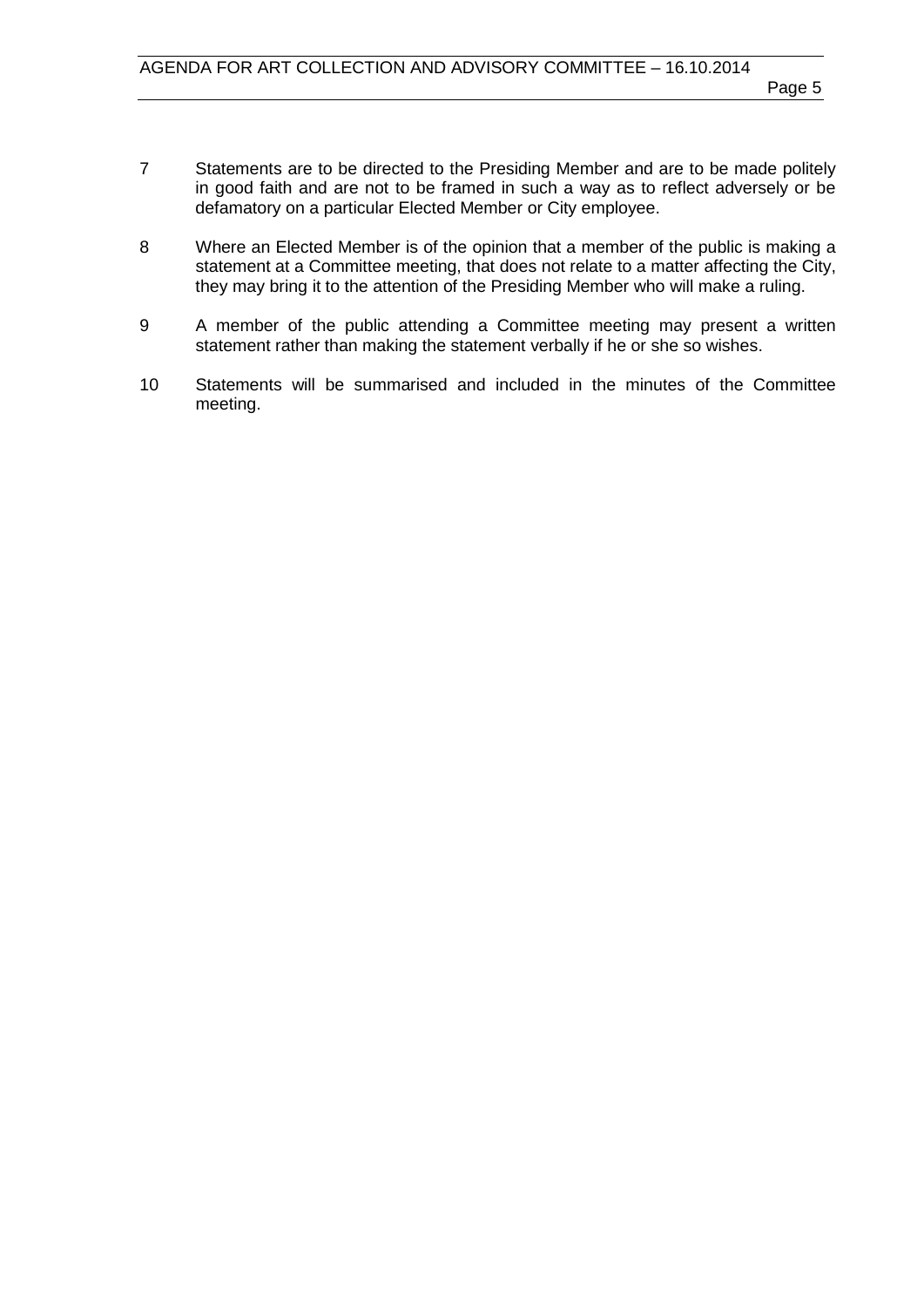- 7 Statements are to be directed to the Presiding Member and are to be made politely in good faith and are not to be framed in such a way as to reflect adversely or be defamatory on a particular Elected Member or City employee.
- 8 Where an Elected Member is of the opinion that a member of the public is making a statement at a Committee meeting, that does not relate to a matter affecting the City, they may bring it to the attention of the Presiding Member who will make a ruling.
- 9 A member of the public attending a Committee meeting may present a written statement rather than making the statement verbally if he or she so wishes.
- 10 Statements will be summarised and included in the minutes of the Committee meeting.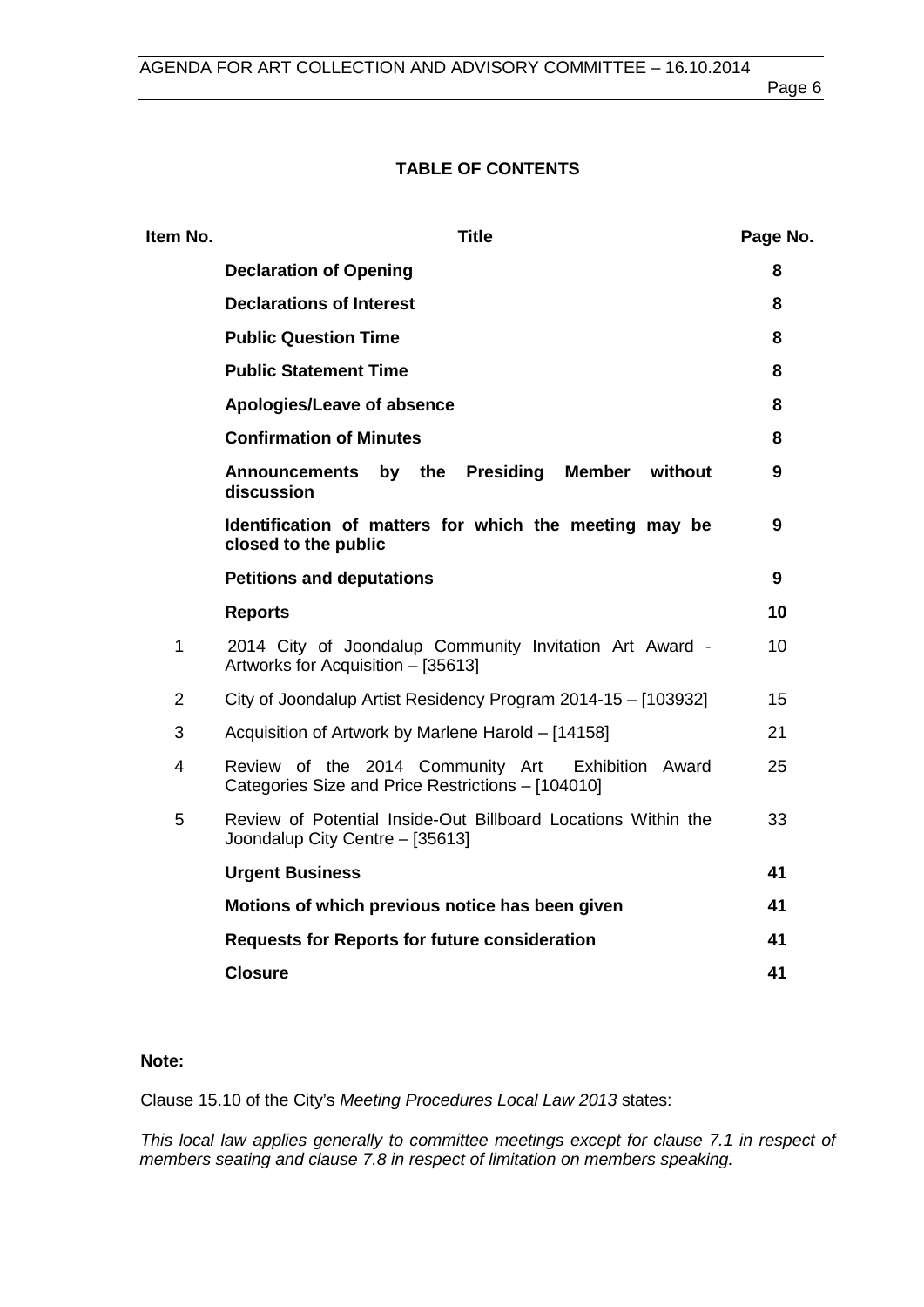# **TABLE OF CONTENTS**

| Item No.       | <b>Title</b>                                                                                              | Page No. |
|----------------|-----------------------------------------------------------------------------------------------------------|----------|
|                | <b>Declaration of Opening</b>                                                                             | 8        |
|                | <b>Declarations of Interest</b>                                                                           | 8        |
|                | <b>Public Question Time</b>                                                                               | 8        |
|                | <b>Public Statement Time</b>                                                                              | 8        |
|                | Apologies/Leave of absence                                                                                | 8        |
|                | <b>Confirmation of Minutes</b>                                                                            | 8        |
|                | Announcements by the Presiding<br>Member<br>without<br>discussion                                         | 9        |
|                | Identification of matters for which the meeting may be<br>closed to the public                            | 9        |
|                | <b>Petitions and deputations</b>                                                                          | 9        |
|                | <b>Reports</b>                                                                                            | 10       |
| $\mathbf{1}$   | 2014 City of Joondalup Community Invitation Art Award -<br>Artworks for Acquisition - [35613]             | 10       |
| $\overline{2}$ | City of Joondalup Artist Residency Program 2014-15 - [103932]                                             | 15       |
| 3              | Acquisition of Artwork by Marlene Harold - [14158]                                                        | 21       |
| 4              | Review of the 2014 Community Art<br>Exhibition Award<br>Categories Size and Price Restrictions - [104010] | 25       |
| 5              | Review of Potential Inside-Out Billboard Locations Within the<br>Joondalup City Centre - [35613]          | 33       |
|                | <b>Urgent Business</b>                                                                                    | 41       |
|                | Motions of which previous notice has been given                                                           | 41       |
|                | <b>Requests for Reports for future consideration</b>                                                      | 41       |
|                | <b>Closure</b>                                                                                            | 41       |

### **Note:**

Clause 15.10 of the City's *Meeting Procedures Local Law 2013* states:

*This local law applies generally to committee meetings except for clause 7.1 in respect of members seating and clause 7.8 in respect of limitation on members speaking.*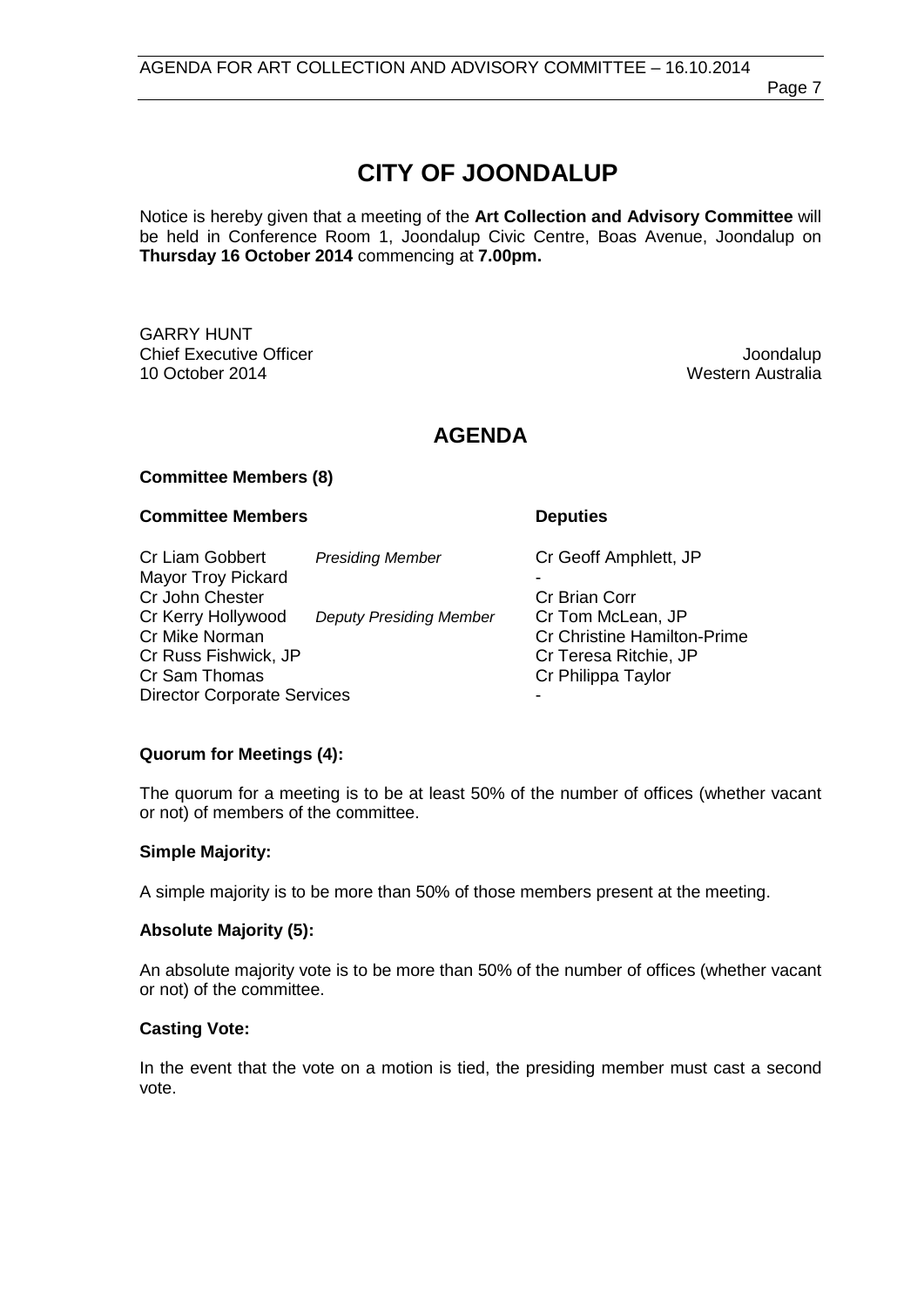Page 7

# **CITY OF JOONDALUP**

Notice is hereby given that a meeting of the **Art Collection and Advisory Committee** will be held in Conference Room 1, Joondalup Civic Centre, Boas Avenue, Joondalup on **Thursday 16 October 2014** commencing at **7.00pm.**

GARRY HUNT Chief Executive Officer and the Chief Executive Officer and the Chief Executive Officer and the Chief Executive<br>10 October 2014 **10 October 2014** 

Western Australia

# **AGENDA**

#### **Committee Members (8)**

#### **Committee Members Deputies**

Cr Liam Gobbert *Presiding Member* Cr Geoff Amphlett, JP Mayor Troy Pickard **Cr John Chester Cr Brian Corresponding Cr Brian Corresponding Cr Brian Corresponding Cr Brian Corresponding Cr Brian Corresponding Cr Brian Corresponding Cr Brian Corresponding Cr Brian Corresponding Cr Brian Correspondin** Cr Kerry Hollywood *Deputy Presiding Member* Cr Tom McLean, JP Cr Mike Norman Cr Christine Hamilton-Prime<br>
Cr Christine Hamilton-Prime<br>
Cr Cr Christine Hamilton-Prime<br>
Cr Christine Hamilton-Prime Cr Russ Fishwick, JP<br>
Cr Sam Thomas<br>
Cr Sam Thomas<br>
Cr Philippa Taylor Cr Philippa Taylor Director Corporate Services

# **Quorum for Meetings (4):**

The quorum for a meeting is to be at least 50% of the number of offices (whether vacant or not) of members of the committee.

#### **Simple Majority:**

A simple majority is to be more than 50% of those members present at the meeting.

#### **Absolute Majority (5):**

An absolute majority vote is to be more than 50% of the number of offices (whether vacant or not) of the committee.

#### **Casting Vote:**

In the event that the vote on a motion is tied, the presiding member must cast a second vote.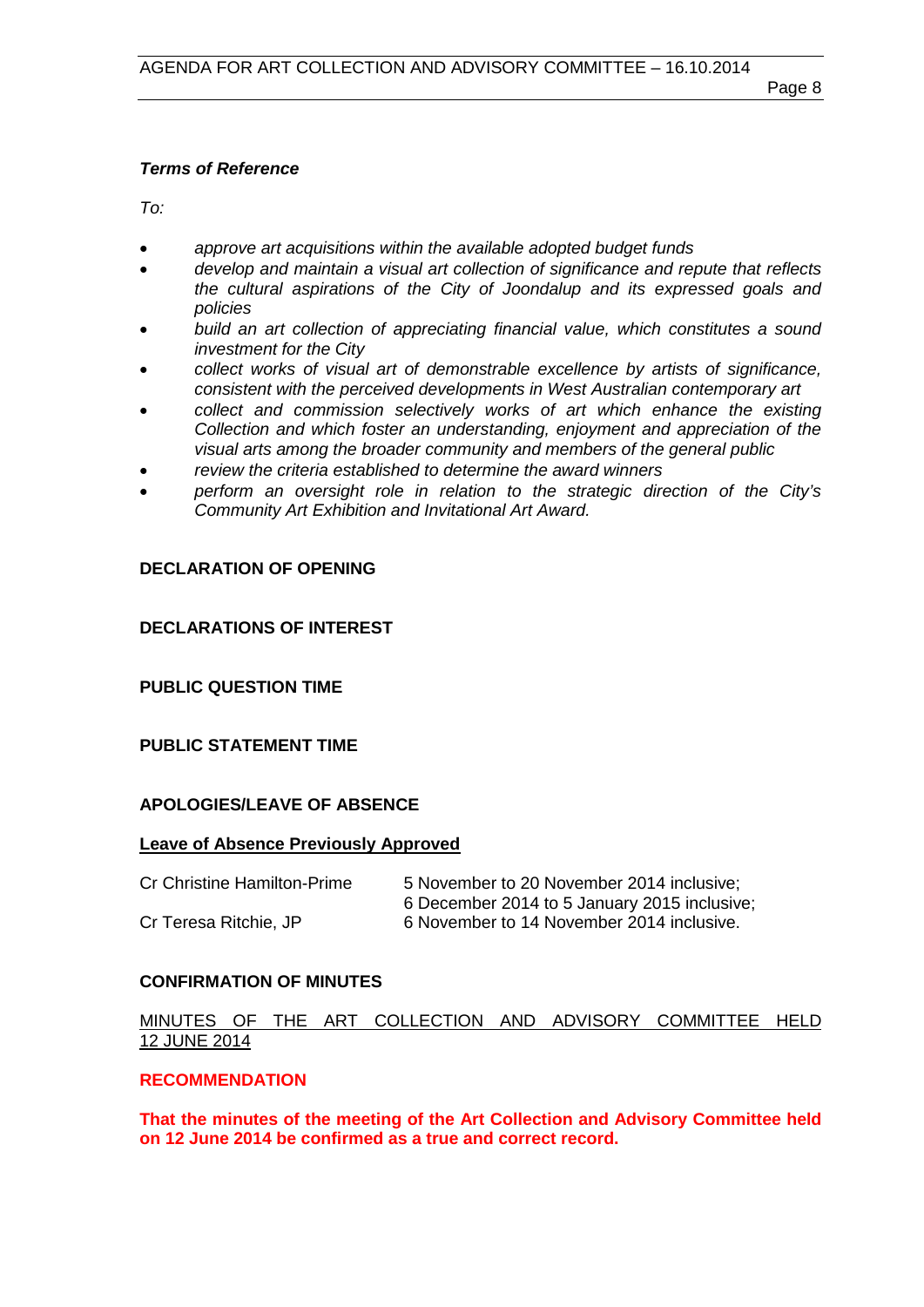## *Terms of Reference*

*To:*

- *approve art acquisitions within the available adopted budget funds*
- *develop and maintain a visual art collection of significance and repute that reflects the cultural aspirations of the City of Joondalup and its expressed goals and policies*
- *build an art collection of appreciating financial value, which constitutes a sound investment for the City*
- *collect works of visual art of demonstrable excellence by artists of significance, consistent with the perceived developments in West Australian contemporary art*
- *collect and commission selectively works of art which enhance the existing Collection and which foster an understanding, enjoyment and appreciation of the visual arts among the broader community and members of the general public*
- *review the criteria established to determine the award winners*
- *perform an oversight role in relation to the strategic direction of the City's Community Art Exhibition and Invitational Art Award.*

# <span id="page-7-0"></span>**DECLARATION OF OPENING**

# <span id="page-7-1"></span>**DECLARATIONS OF INTEREST**

# <span id="page-7-2"></span>**PUBLIC QUESTION TIME**

# <span id="page-7-3"></span>**PUBLIC STATEMENT TIME**

# <span id="page-7-4"></span>**APOLOGIES/LEAVE OF ABSENCE**

#### **Leave of Absence Previously Approved**

| Cr Christine Hamilton-Prime | 5 November to 20 November 2014 inclusive;    |
|-----------------------------|----------------------------------------------|
|                             | 6 December 2014 to 5 January 2015 inclusive; |
| Cr Teresa Ritchie, JP       | 6 November to 14 November 2014 inclusive.    |

# <span id="page-7-5"></span>**CONFIRMATION OF MINUTES**

# MINUTES OF THE ART COLLECTION AND ADVISORY COMMITTEE HELD 12 JUNE 2014

# **RECOMMENDATION**

<span id="page-7-6"></span>**That the minutes of the meeting of the Art Collection and Advisory Committee held on 12 June 2014 be confirmed as a true and correct record.**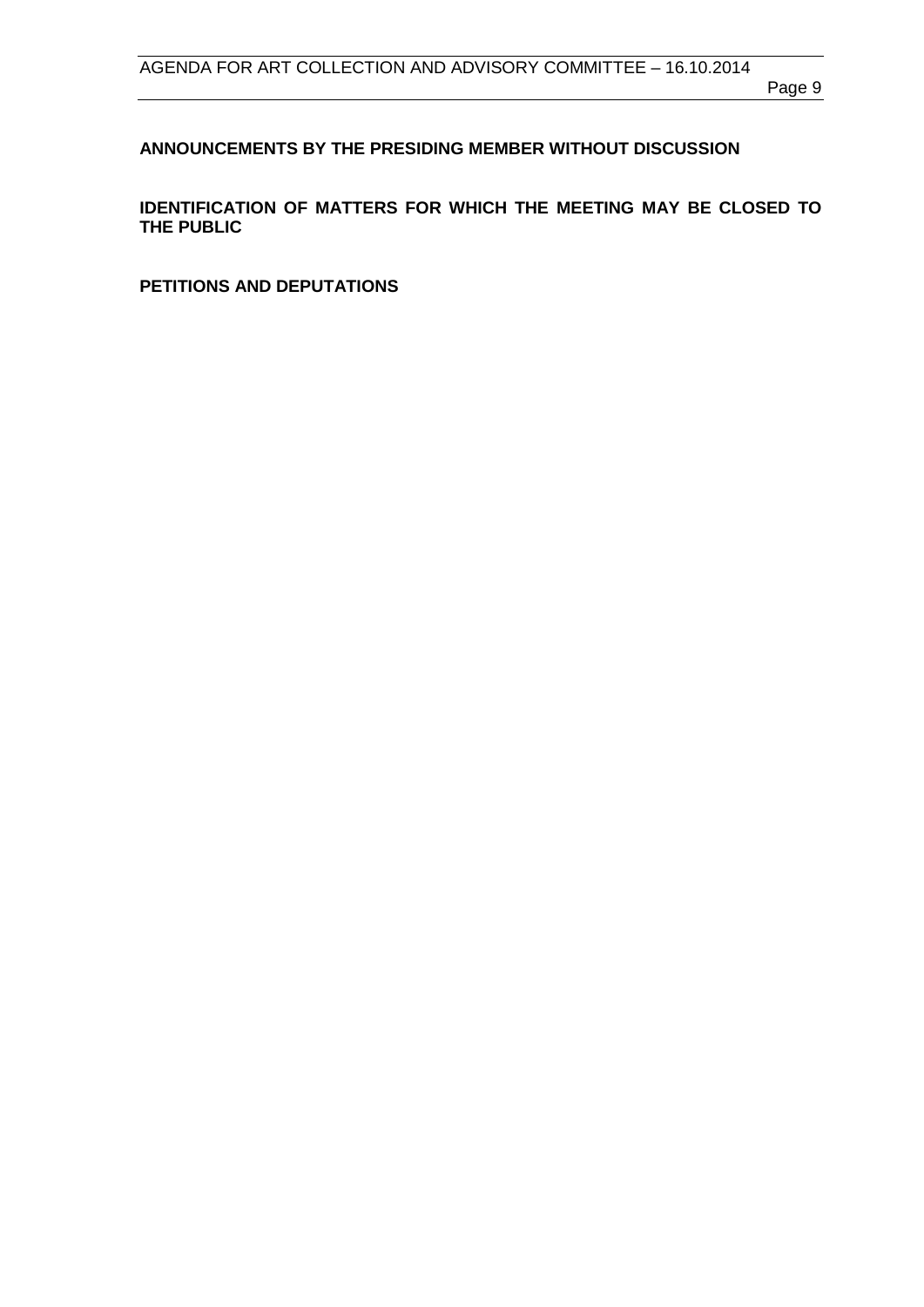Page 9

# **ANNOUNCEMENTS BY THE PRESIDING MEMBER WITHOUT DISCUSSION**

<span id="page-8-0"></span>**IDENTIFICATION OF MATTERS FOR WHICH THE MEETING MAY BE CLOSED TO THE PUBLIC**

<span id="page-8-1"></span>**PETITIONS AND DEPUTATIONS**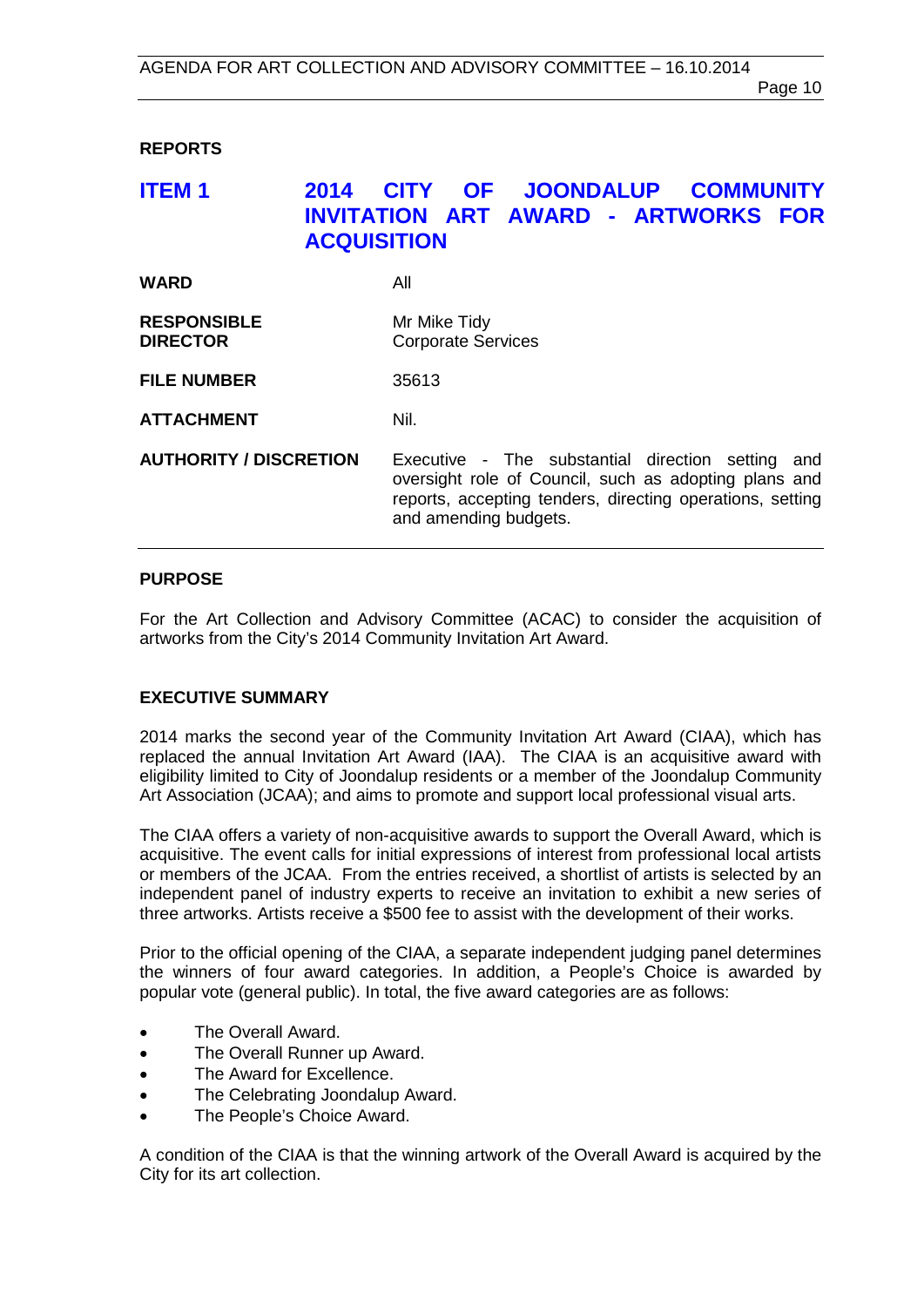# <span id="page-9-0"></span>**REPORTS**

# <span id="page-9-1"></span>**ITEM 1 2014 CITY OF JOONDALUP COMMUNITY INVITATION ART AWARD - ARTWORKS FOR ACQUISITION**

| <b>WARD</b>                           | All                                                                                                                                                                                                 |
|---------------------------------------|-----------------------------------------------------------------------------------------------------------------------------------------------------------------------------------------------------|
| <b>RESPONSIBLE</b><br><b>DIRECTOR</b> | Mr Mike Tidy<br><b>Corporate Services</b>                                                                                                                                                           |
| <b>FILE NUMBER</b>                    | 35613                                                                                                                                                                                               |
| <b>ATTACHMENT</b>                     | Nil.                                                                                                                                                                                                |
| <b>AUTHORITY / DISCRETION</b>         | Executive - The substantial direction setting<br>and<br>oversight role of Council, such as adopting plans and<br>reports, accepting tenders, directing operations, setting<br>and amending budgets. |

#### **PURPOSE**

For the Art Collection and Advisory Committee (ACAC) to consider the acquisition of artworks from the City's 2014 Community Invitation Art Award.

#### **EXECUTIVE SUMMARY**

2014 marks the second year of the Community Invitation Art Award (CIAA), which has replaced the annual Invitation Art Award (IAA). The CIAA is an acquisitive award with eligibility limited to City of Joondalup residents or a member of the Joondalup Community Art Association (JCAA); and aims to promote and support local professional visual arts.

The CIAA offers a variety of non-acquisitive awards to support the Overall Award, which is acquisitive. The event calls for initial expressions of interest from professional local artists or members of the JCAA. From the entries received, a shortlist of artists is selected by an independent panel of industry experts to receive an invitation to exhibit a new series of three artworks. Artists receive a \$500 fee to assist with the development of their works.

Prior to the official opening of the CIAA, a separate independent judging panel determines the winners of four award categories. In addition, a People's Choice is awarded by popular vote (general public). In total, the five award categories are as follows:

- The Overall Award.
- The Overall Runner up Award.
- The Award for Excellence.
- The Celebrating Joondalup Award.
- The People's Choice Award.

A condition of the CIAA is that the winning artwork of the Overall Award is acquired by the City for its art collection.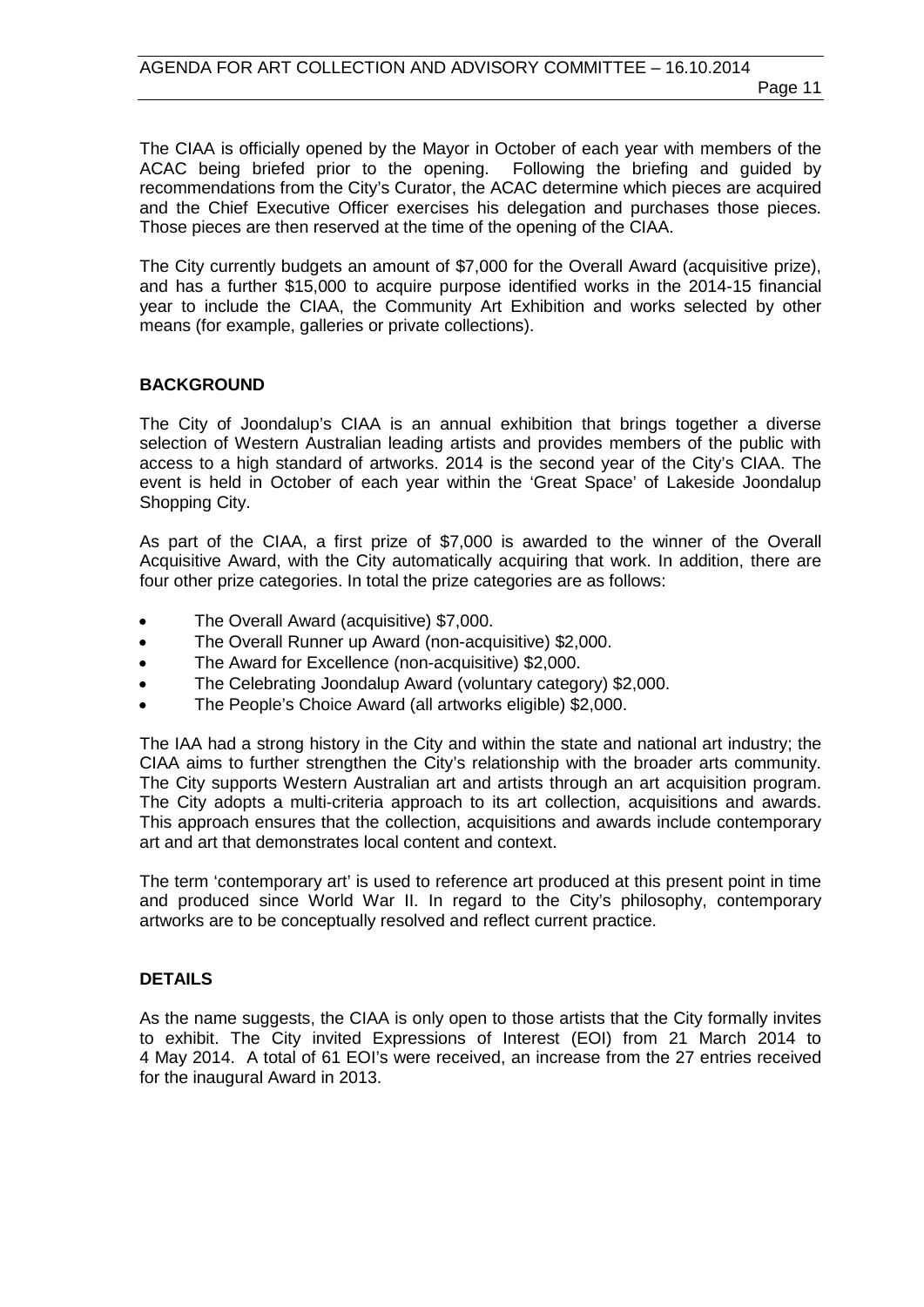The CIAA is officially opened by the Mayor in October of each year with members of the ACAC being briefed prior to the opening. Following the briefing and guided by recommendations from the City's Curator, the ACAC determine which pieces are acquired and the Chief Executive Officer exercises his delegation and purchases those pieces. Those pieces are then reserved at the time of the opening of the CIAA.

The City currently budgets an amount of \$7,000 for the Overall Award (acquisitive prize), and has a further \$15,000 to acquire purpose identified works in the 2014-15 financial year to include the CIAA, the Community Art Exhibition and works selected by other means (for example, galleries or private collections).

#### **BACKGROUND**

The City of Joondalup's CIAA is an annual exhibition that brings together a diverse selection of Western Australian leading artists and provides members of the public with access to a high standard of artworks. 2014 is the second year of the City's CIAA. The event is held in October of each year within the 'Great Space' of Lakeside Joondalup Shopping City.

As part of the CIAA, a first prize of \$7,000 is awarded to the winner of the Overall Acquisitive Award, with the City automatically acquiring that work. In addition, there are four other prize categories. In total the prize categories are as follows:

- The Overall Award (acquisitive) \$7,000.
- The Overall Runner up Award (non-acquisitive) \$2,000.
- The Award for Excellence (non-acquisitive) \$2,000.
- The Celebrating Joondalup Award (voluntary category) \$2,000.
- The People's Choice Award (all artworks eligible) \$2,000.

The IAA had a strong history in the City and within the state and national art industry; the CIAA aims to further strengthen the City's relationship with the broader arts community. The City supports Western Australian art and artists through an art acquisition program. The City adopts a multi-criteria approach to its art collection, acquisitions and awards. This approach ensures that the collection, acquisitions and awards include contemporary art and art that demonstrates local content and context.

The term 'contemporary art' is used to reference art produced at this present point in time and produced since World War II. In regard to the City's philosophy, contemporary artworks are to be conceptually resolved and reflect current practice.

# **DETAILS**

As the name suggests, the CIAA is only open to those artists that the City formally invites to exhibit. The City invited Expressions of Interest (EOI) from 21 March 2014 to 4 May 2014. A total of 61 EOI's were received, an increase from the 27 entries received for the inaugural Award in 2013.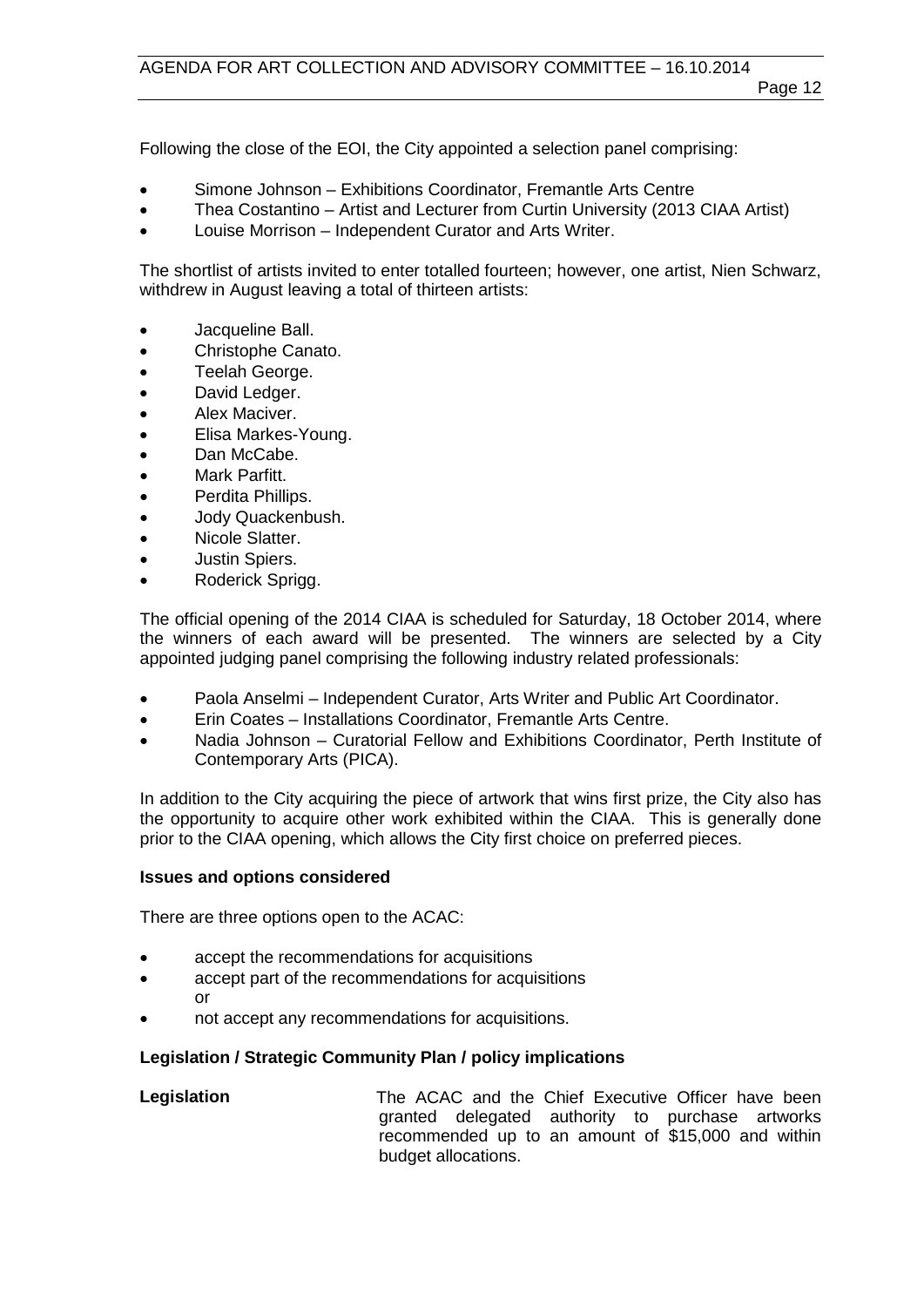Following the close of the EOI, the City appointed a selection panel comprising:

- Simone Johnson Exhibitions Coordinator, Fremantle Arts Centre
- Thea Costantino Artist and Lecturer from Curtin University (2013 CIAA Artist)
- Louise Morrison Independent Curator and Arts Writer.

The shortlist of artists invited to enter totalled fourteen; however, one artist, Nien Schwarz, withdrew in August leaving a total of thirteen artists:

- Jacqueline Ball.
- Christophe Canato.
- Teelah George.
- David Ledger.
- Alex Maciver.
- Elisa Markes-Young.
- Dan McCabe.
- Mark Parfitt.
- Perdita Phillips.
- Jody Quackenbush.
- Nicole Slatter.
- Justin Spiers.
- Roderick Sprigg.

The official opening of the 2014 CIAA is scheduled for Saturday, 18 October 2014, where the winners of each award will be presented. The winners are selected by a City appointed judging panel comprising the following industry related professionals:

- Paola Anselmi Independent Curator, Arts Writer and Public Art Coordinator.
- Erin Coates Installations Coordinator, Fremantle Arts Centre.
- Nadia Johnson Curatorial Fellow and Exhibitions Coordinator, Perth Institute of Contemporary Arts (PICA).

In addition to the City acquiring the piece of artwork that wins first prize, the City also has the opportunity to acquire other work exhibited within the CIAA. This is generally done prior to the CIAA opening, which allows the City first choice on preferred pieces.

#### **Issues and options considered**

There are three options open to the ACAC:

- accept the recommendations for acquisitions
- accept part of the recommendations for acquisitions or
- not accept any recommendations for acquisitions.

#### **Legislation / Strategic Community Plan / policy implications**

**Legislation** The ACAC and the Chief Executive Officer have been granted delegated authority to purchase artworks recommended up to an amount of \$15,000 and within budget allocations.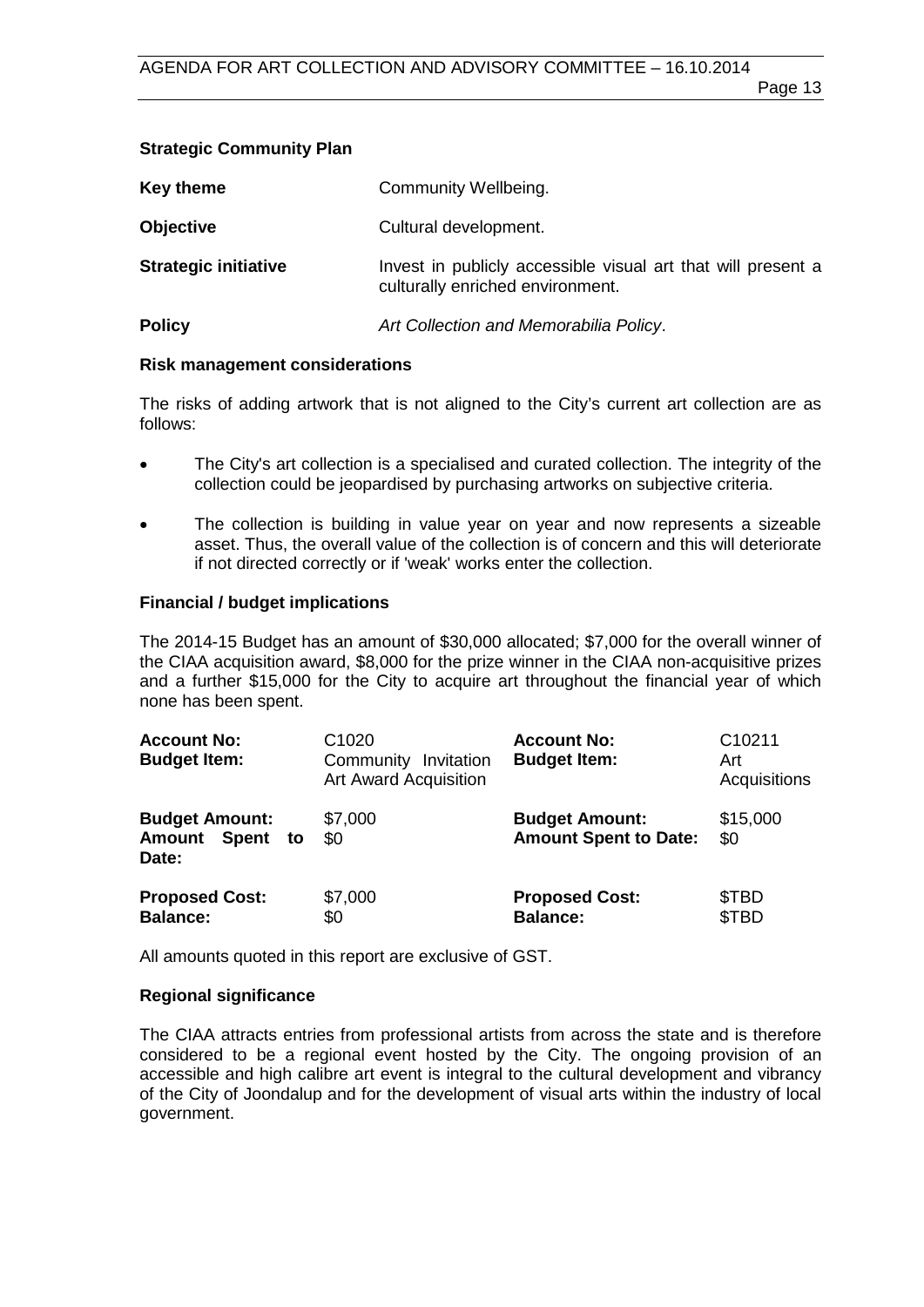# **Strategic Community Plan**

| Key theme                   | Community Wellbeing.                                                                             |
|-----------------------------|--------------------------------------------------------------------------------------------------|
| <b>Objective</b>            | Cultural development.                                                                            |
| <b>Strategic initiative</b> | Invest in publicly accessible visual art that will present a<br>culturally enriched environment. |
| <b>Policy</b>               | Art Collection and Memorabilia Policy.                                                           |

#### **Risk management considerations**

The risks of adding artwork that is not aligned to the City's current art collection are as follows:

- The City's art collection is a specialised and curated collection. The integrity of the collection could be jeopardised by purchasing artworks on subjective criteria.
- The collection is building in value year on year and now represents a sizeable asset. Thus, the overall value of the collection is of concern and this will deteriorate if not directed correctly or if 'weak' works enter the collection.

# **Financial / budget implications**

The 2014-15 Budget has an amount of \$30,000 allocated; \$7,000 for the overall winner of the CIAA acquisition award, \$8,000 for the prize winner in the CIAA non-acquisitive prizes and a further \$15,000 for the City to acquire art throughout the financial year of which none has been spent.

| <b>Account No:</b><br><b>Budget Item:</b>         | C <sub>1020</sub><br>Community Invitation<br><b>Art Award Acquisition</b> | <b>Account No:</b><br><b>Budget Item:</b>             | C <sub>10211</sub><br>Art<br>Acquisitions |
|---------------------------------------------------|---------------------------------------------------------------------------|-------------------------------------------------------|-------------------------------------------|
| <b>Budget Amount:</b><br>Amount Spent to<br>Date: | \$7,000<br>\$0                                                            | <b>Budget Amount:</b><br><b>Amount Spent to Date:</b> | \$15,000<br>\$0                           |
| <b>Proposed Cost:</b><br><b>Balance:</b>          | \$7,000<br>\$0                                                            | <b>Proposed Cost:</b><br><b>Balance:</b>              | \$TBD<br>\$TBD                            |

All amounts quoted in this report are exclusive of GST.

#### **Regional significance**

The CIAA attracts entries from professional artists from across the state and is therefore considered to be a regional event hosted by the City. The ongoing provision of an accessible and high calibre art event is integral to the cultural development and vibrancy of the City of Joondalup and for the development of visual arts within the industry of local government.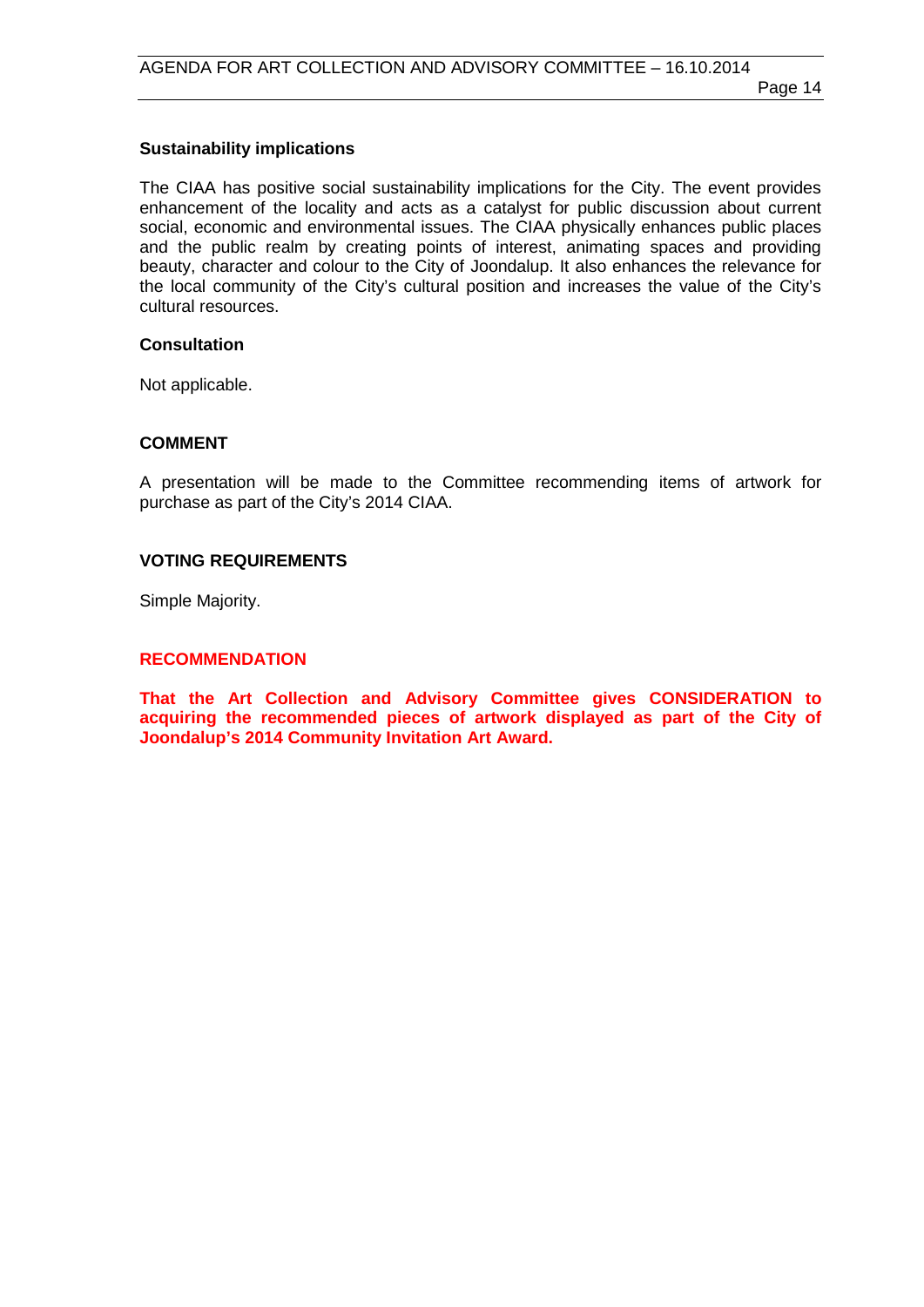#### **Sustainability implications**

The CIAA has positive social sustainability implications for the City. The event provides enhancement of the locality and acts as a catalyst for public discussion about current social, economic and environmental issues. The CIAA physically enhances public places and the public realm by creating points of interest, animating spaces and providing beauty, character and colour to the City of Joondalup. It also enhances the relevance for the local community of the City's cultural position and increases the value of the City's cultural resources.

#### **Consultation**

Not applicable.

#### **COMMENT**

A presentation will be made to the Committee recommending items of artwork for purchase as part of the City's 2014 CIAA.

#### **VOTING REQUIREMENTS**

Simple Majority.

#### **RECOMMENDATION**

**That the Art Collection and Advisory Committee gives CONSIDERATION to acquiring the recommended pieces of artwork displayed as part of the City of Joondalup's 2014 Community Invitation Art Award.**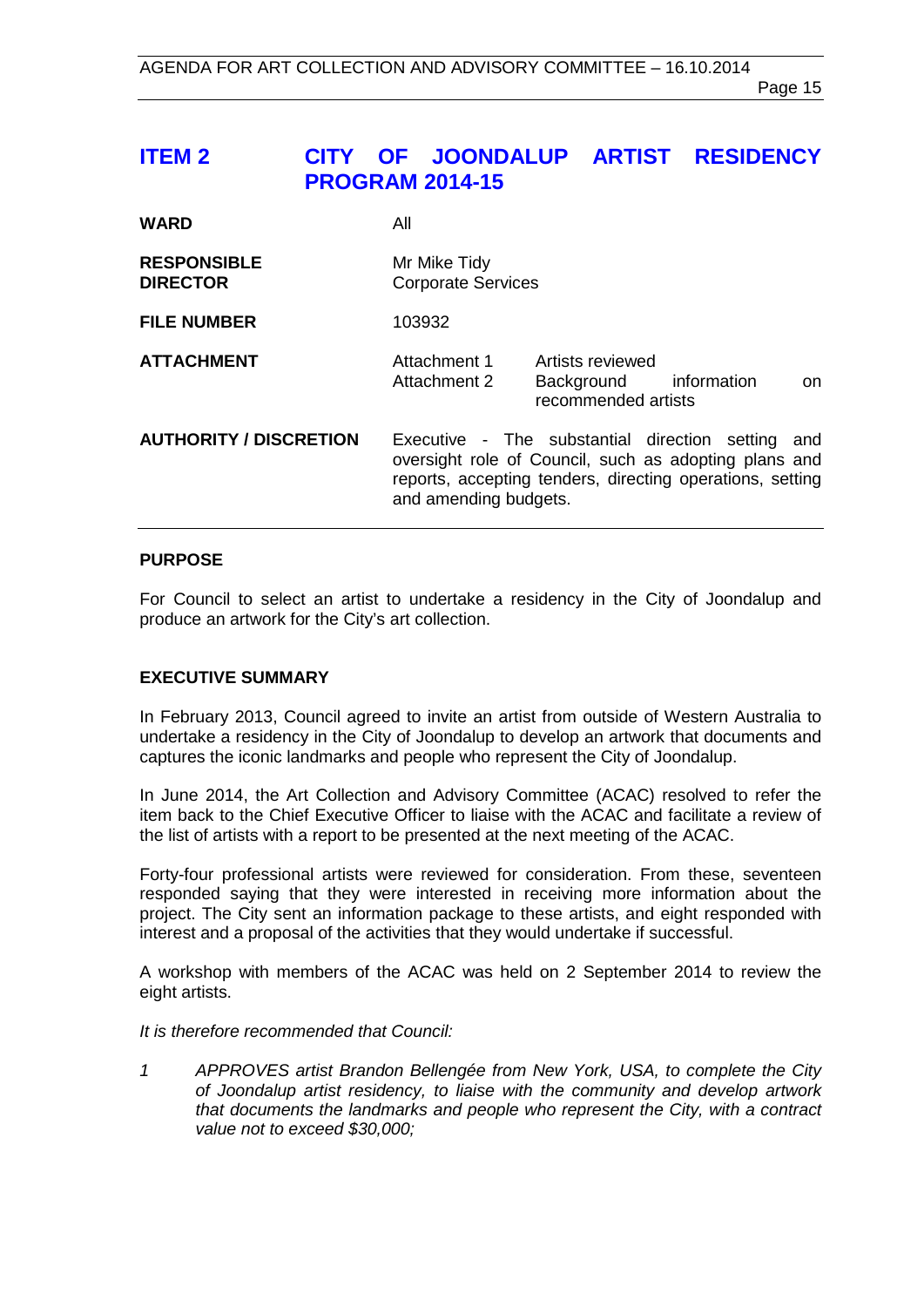# <span id="page-14-0"></span>**ITEM 2 CITY OF JOONDALUP ARTIST RESIDENCY PROGRAM 2014-15**

| <b>WARD</b>                           | All                                                                                                                                                                                                 |
|---------------------------------------|-----------------------------------------------------------------------------------------------------------------------------------------------------------------------------------------------------|
| <b>RESPONSIBLE</b><br><b>DIRECTOR</b> | Mr Mike Tidy<br><b>Corporate Services</b>                                                                                                                                                           |
| <b>FILE NUMBER</b>                    | 103932                                                                                                                                                                                              |
| <b>ATTACHMENT</b>                     | Attachment 1<br>Artists reviewed<br>information<br>Attachment 2<br>Background<br>on.<br>recommended artists                                                                                         |
| <b>AUTHORITY / DISCRETION</b>         | Executive - The substantial direction setting<br>and<br>oversight role of Council, such as adopting plans and<br>reports, accepting tenders, directing operations, setting<br>and amending budgets. |

#### **PURPOSE**

For Council to select an artist to undertake a residency in the City of Joondalup and produce an artwork for the City's art collection.

#### **EXECUTIVE SUMMARY**

In February 2013, Council agreed to invite an artist from outside of Western Australia to undertake a residency in the City of Joondalup to develop an artwork that documents and captures the iconic landmarks and people who represent the City of Joondalup.

In June 2014, the Art Collection and Advisory Committee (ACAC) resolved to refer the item back to the Chief Executive Officer to liaise with the ACAC and facilitate a review of the list of artists with a report to be presented at the next meeting of the ACAC.

Forty-four professional artists were reviewed for consideration. From these, seventeen responded saying that they were interested in receiving more information about the project. The City sent an information package to these artists, and eight responded with interest and a proposal of the activities that they would undertake if successful.

A workshop with members of the ACAC was held on 2 September 2014 to review the eight artists.

*It is therefore recommended that Council:* 

*1 APPROVES artist Brandon Bellengée from New York, USA, to complete the City of Joondalup artist residency, to liaise with the community and develop artwork that documents the landmarks and people who represent the City, with a contract value not to exceed \$30,000;*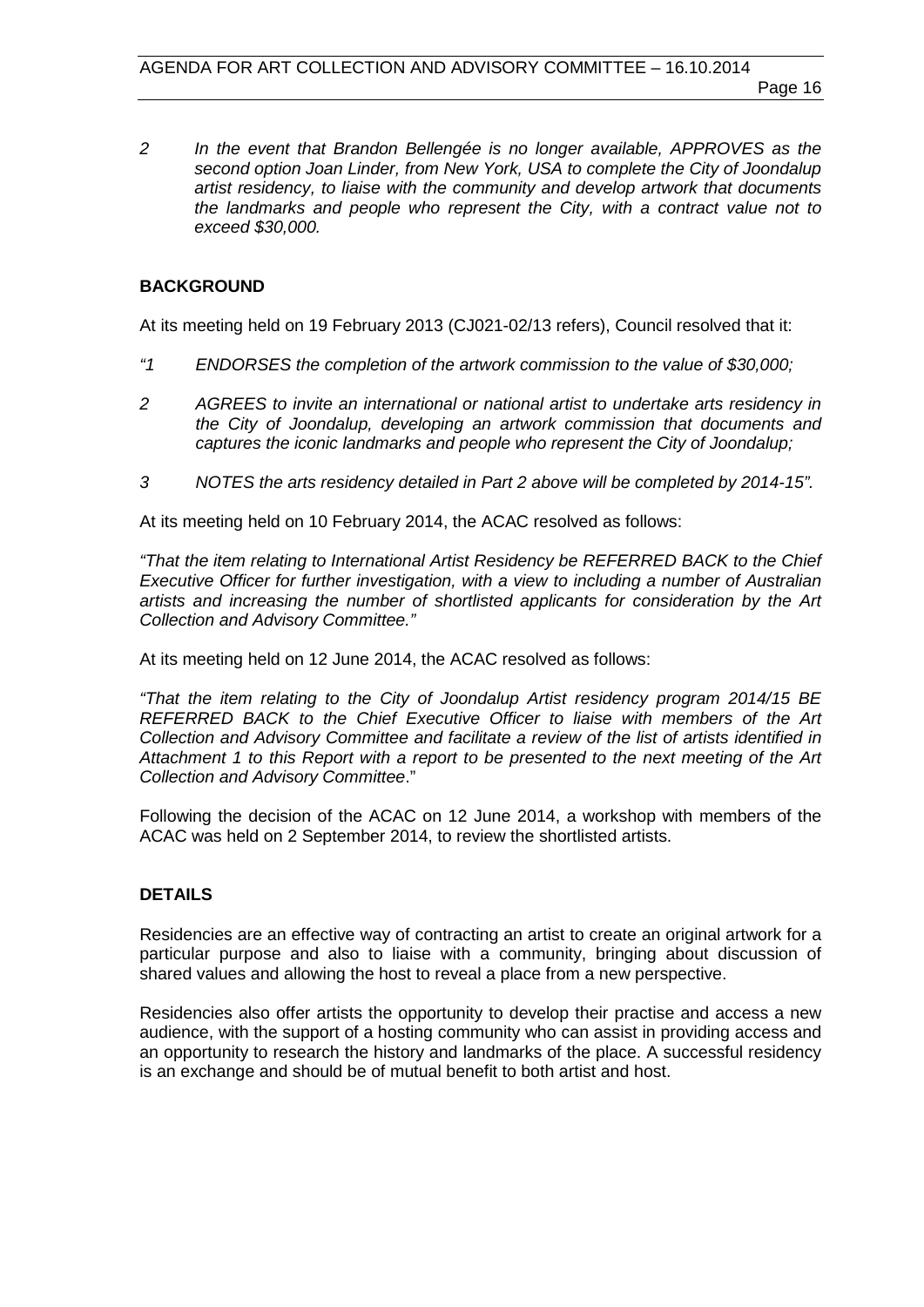*2 In the event that Brandon Bellengée is no longer available, APPROVES as the second option Joan Linder, from New York, USA to complete the City of Joondalup artist residency, to liaise with the community and develop artwork that documents the landmarks and people who represent the City, with a contract value not to exceed \$30,000.*

# **BACKGROUND**

At its meeting held on 19 February 2013 (CJ021-02/13 refers), Council resolved that it:

- *"1 ENDORSES the completion of the artwork commission to the value of \$30,000;*
- *2 AGREES to invite an international or national artist to undertake arts residency in the City of Joondalup, developing an artwork commission that documents and captures the iconic landmarks and people who represent the City of Joondalup;*
- *3 NOTES the arts residency detailed in Part 2 above will be completed by 2014-15".*

At its meeting held on 10 February 2014, the ACAC resolved as follows:

*"That the item relating to International Artist Residency be REFERRED BACK to the Chief Executive Officer for further investigation, with a view to including a number of Australian artists and increasing the number of shortlisted applicants for consideration by the Art Collection and Advisory Committee."*

At its meeting held on 12 June 2014, the ACAC resolved as follows:

*"That the item relating to the City of Joondalup Artist residency program 2014/15 BE REFERRED BACK to the Chief Executive Officer to liaise with members of the Art Collection and Advisory Committee and facilitate a review of the list of artists identified in Attachment 1 to this Report with a report to be presented to the next meeting of the Art Collection and Advisory Committee*."

Following the decision of the ACAC on 12 June 2014, a workshop with members of the ACAC was held on 2 September 2014, to review the shortlisted artists.

# **DETAILS**

Residencies are an effective way of contracting an artist to create an original artwork for a particular purpose and also to liaise with a community, bringing about discussion of shared values and allowing the host to reveal a place from a new perspective.

Residencies also offer artists the opportunity to develop their practise and access a new audience, with the support of a hosting community who can assist in providing access and an opportunity to research the history and landmarks of the place. A successful residency is an exchange and should be of mutual benefit to both artist and host.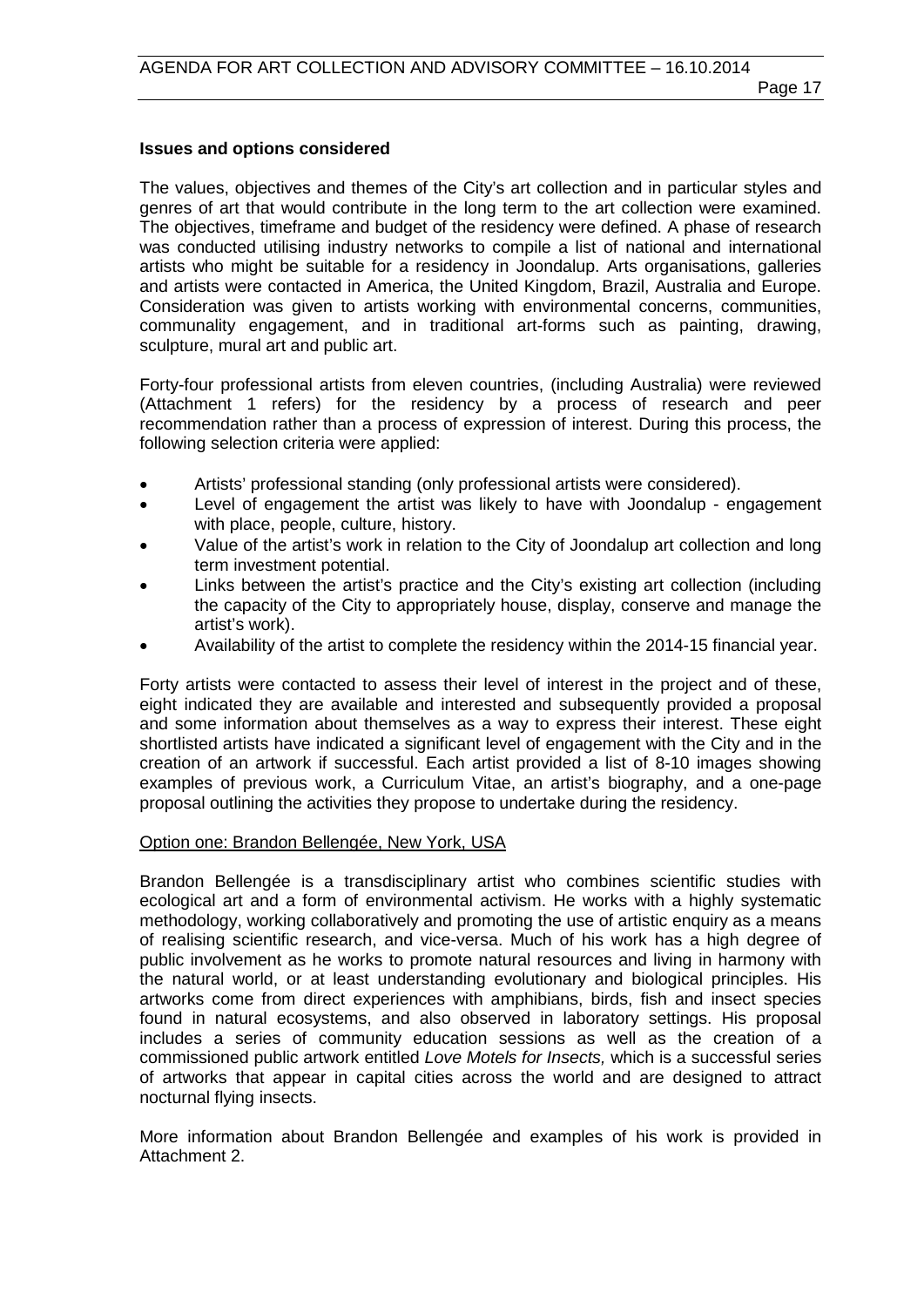### **Issues and options considered**

The values, objectives and themes of the City's art collection and in particular styles and genres of art that would contribute in the long term to the art collection were examined. The objectives, timeframe and budget of the residency were defined. A phase of research was conducted utilising industry networks to compile a list of national and international artists who might be suitable for a residency in Joondalup. Arts organisations, galleries and artists were contacted in America, the United Kingdom, Brazil, Australia and Europe. Consideration was given to artists working with environmental concerns, communities, communality engagement, and in traditional art-forms such as painting, drawing, sculpture, mural art and public art.

Forty-four professional artists from eleven countries, (including Australia) were reviewed (Attachment 1 refers) for the residency by a process of research and peer recommendation rather than a process of expression of interest. During this process, the following selection criteria were applied:

- Artists' professional standing (only professional artists were considered).
- Level of engagement the artist was likely to have with Joondalup engagement with place, people, culture, history.
- Value of the artist's work in relation to the City of Joondalup art collection and long term investment potential.
- Links between the artist's practice and the City's existing art collection (including the capacity of the City to appropriately house, display, conserve and manage the artist's work).
- Availability of the artist to complete the residency within the 2014-15 financial year.

Forty artists were contacted to assess their level of interest in the project and of these, eight indicated they are available and interested and subsequently provided a proposal and some information about themselves as a way to express their interest. These eight shortlisted artists have indicated a significant level of engagement with the City and in the creation of an artwork if successful. Each artist provided a list of 8-10 images showing examples of previous work, a Curriculum Vitae, an artist's biography, and a one-page proposal outlining the activities they propose to undertake during the residency.

#### Option one: Brandon Bellengée, New York, USA

Brandon Bellengée is a transdisciplinary artist who combines scientific studies with ecological art and a form of environmental activism. He works with a highly systematic methodology, working collaboratively and promoting the use of artistic enquiry as a means of realising scientific research, and vice-versa. Much of his work has a high degree of public involvement as he works to promote natural resources and living in harmony with the natural world, or at least understanding evolutionary and biological principles. His artworks come from direct experiences with amphibians, birds, fish and insect species found in natural ecosystems, and also observed in laboratory settings. His proposal includes a series of community education sessions as well as the creation of a commissioned public artwork entitled *Love Motels for Insects,* which is a successful series of artworks that appear in capital cities across the world and are designed to attract nocturnal flying insects.

More information about Brandon Bellengée and examples of his work is provided in Attachment 2.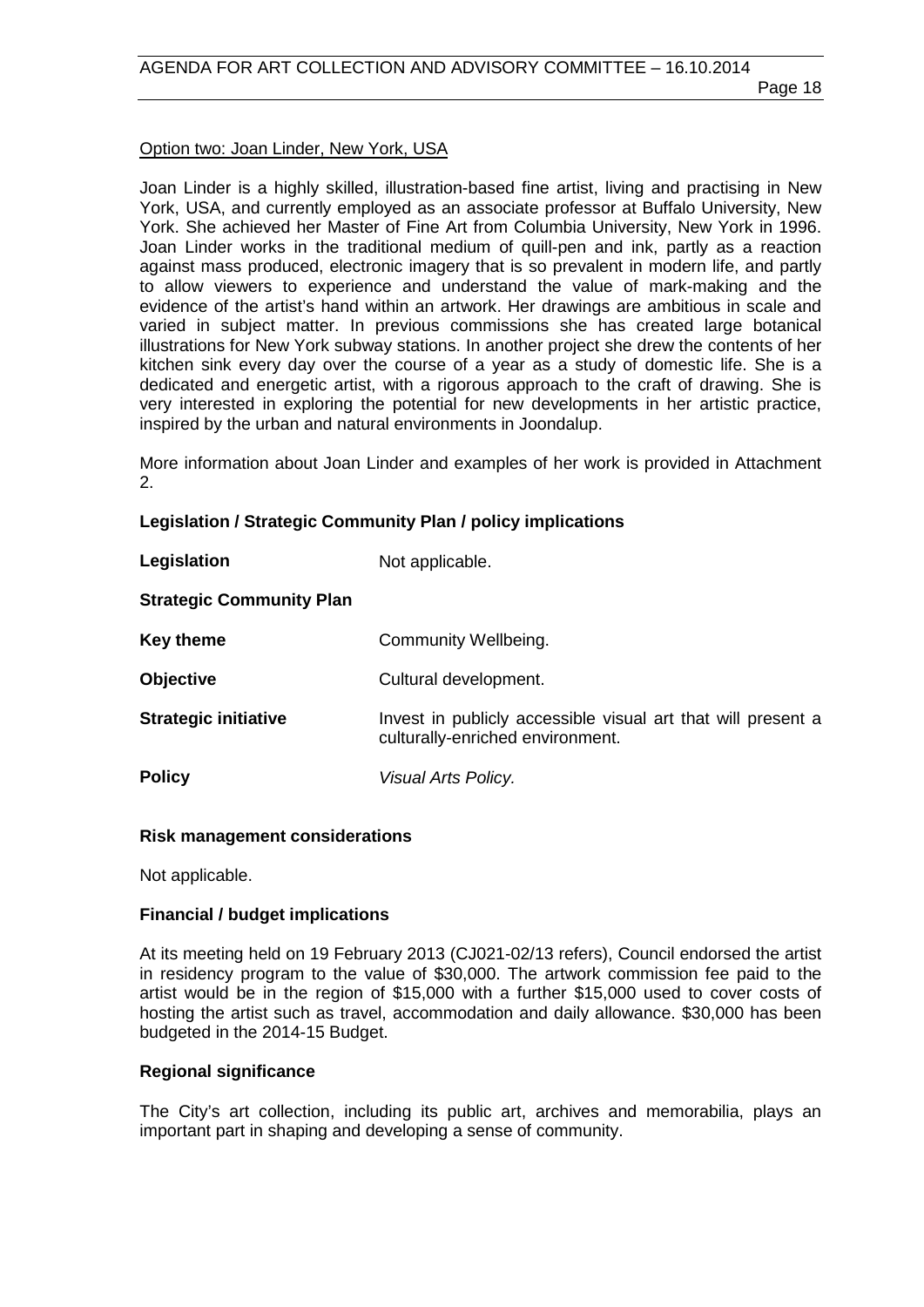#### Option two: Joan Linder, New York, USA

Joan Linder is a highly skilled, illustration-based fine artist, living and practising in New York, USA, and currently employed as an associate professor at Buffalo University, New York. She achieved her Master of Fine Art from Columbia University, New York in 1996. Joan Linder works in the traditional medium of quill-pen and ink, partly as a reaction against mass produced, electronic imagery that is so prevalent in modern life, and partly to allow viewers to experience and understand the value of mark-making and the evidence of the artist's hand within an artwork. Her drawings are ambitious in scale and varied in subject matter. In previous commissions she has created large botanical illustrations for New York subway stations. In another project she drew the contents of her kitchen sink every day over the course of a year as a study of domestic life. She is a dedicated and energetic artist, with a rigorous approach to the craft of drawing. She is very interested in exploring the potential for new developments in her artistic practice, inspired by the urban and natural environments in Joondalup.

More information about Joan Linder and examples of her work is provided in Attachment 2.

# **Legislation / Strategic Community Plan / policy implications**

| Legislation                     | Not applicable.                                                                                  |
|---------------------------------|--------------------------------------------------------------------------------------------------|
| <b>Strategic Community Plan</b> |                                                                                                  |
| Key theme                       | Community Wellbeing.                                                                             |
| <b>Objective</b>                | Cultural development.                                                                            |
| <b>Strategic initiative</b>     | Invest in publicly accessible visual art that will present a<br>culturally-enriched environment. |
| <b>Policy</b>                   | Visual Arts Policy.                                                                              |

#### **Risk management considerations**

Not applicable.

#### **Financial / budget implications**

At its meeting held on 19 February 2013 (CJ021-02/13 refers), Council endorsed the artist in residency program to the value of \$30,000. The artwork commission fee paid to the artist would be in the region of \$15,000 with a further \$15,000 used to cover costs of hosting the artist such as travel, accommodation and daily allowance. \$30,000 has been budgeted in the 2014-15 Budget.

#### **Regional significance**

The City's art collection, including its public art, archives and memorabilia, plays an important part in shaping and developing a sense of community.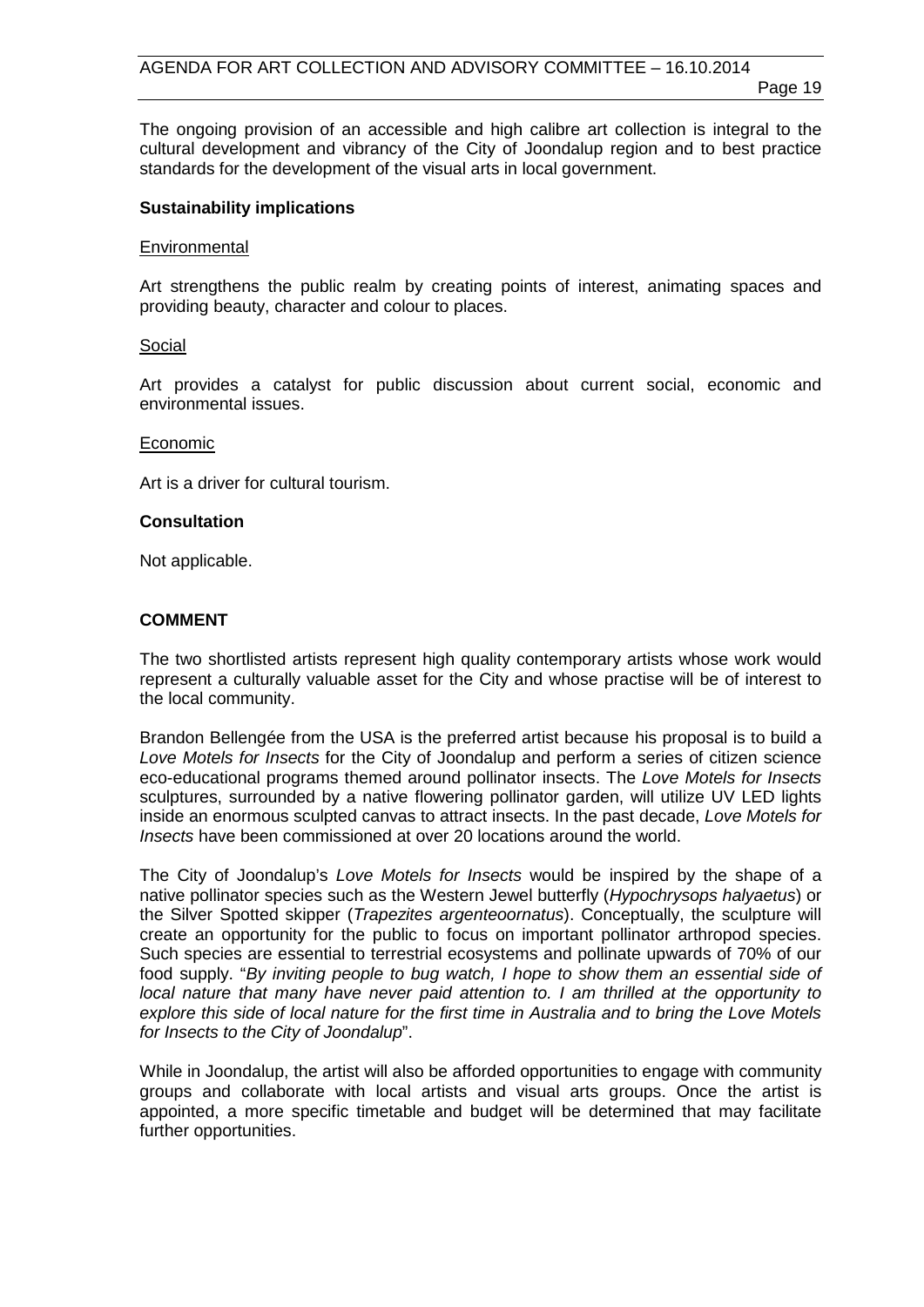Page 19

The ongoing provision of an accessible and high calibre art collection is integral to the cultural development and vibrancy of the City of Joondalup region and to best practice standards for the development of the visual arts in local government.

#### **Sustainability implications**

#### **Environmental**

Art strengthens the public realm by creating points of interest, animating spaces and providing beauty, character and colour to places.

#### Social

Art provides a catalyst for public discussion about current social, economic and environmental issues.

#### Economic

Art is a driver for cultural tourism.

#### **Consultation**

Not applicable.

#### **COMMENT**

The two shortlisted artists represent high quality contemporary artists whose work would represent a culturally valuable asset for the City and whose practise will be of interest to the local community.

Brandon Bellengée from the USA is the preferred artist because his proposal is to build a *Love Motels for Insects* for the City of Joondalup and perform a series of citizen science eco-educational programs themed around pollinator insects. The *Love Motels for Insects*  sculptures, surrounded by a native flowering pollinator garden, will utilize UV LED lights inside an enormous sculpted canvas to attract insects. In the past decade, *Love Motels for Insects* have been commissioned at over 20 locations around the world.

The City of Joondalup's *Love Motels for Insects* would be inspired by the shape of a native pollinator species such as the Western Jewel butterfly (*Hypochrysops halyaetus*) or the Silver Spotted skipper (*Trapezites argenteoornatus*). Conceptually, the sculpture will create an opportunity for the public to focus on important pollinator arthropod species. Such species are essential to terrestrial ecosystems and pollinate upwards of 70% of our food supply. "*By inviting people to bug watch, I hope to show them an essential side of local nature that many have never paid attention to. I am thrilled at the opportunity to explore this side of local nature for the first time in Australia and to bring the Love Motels for Insects to the City of Joondalup*".

While in Joondalup, the artist will also be afforded opportunities to engage with community groups and collaborate with local artists and visual arts groups. Once the artist is appointed, a more specific timetable and budget will be determined that may facilitate further opportunities.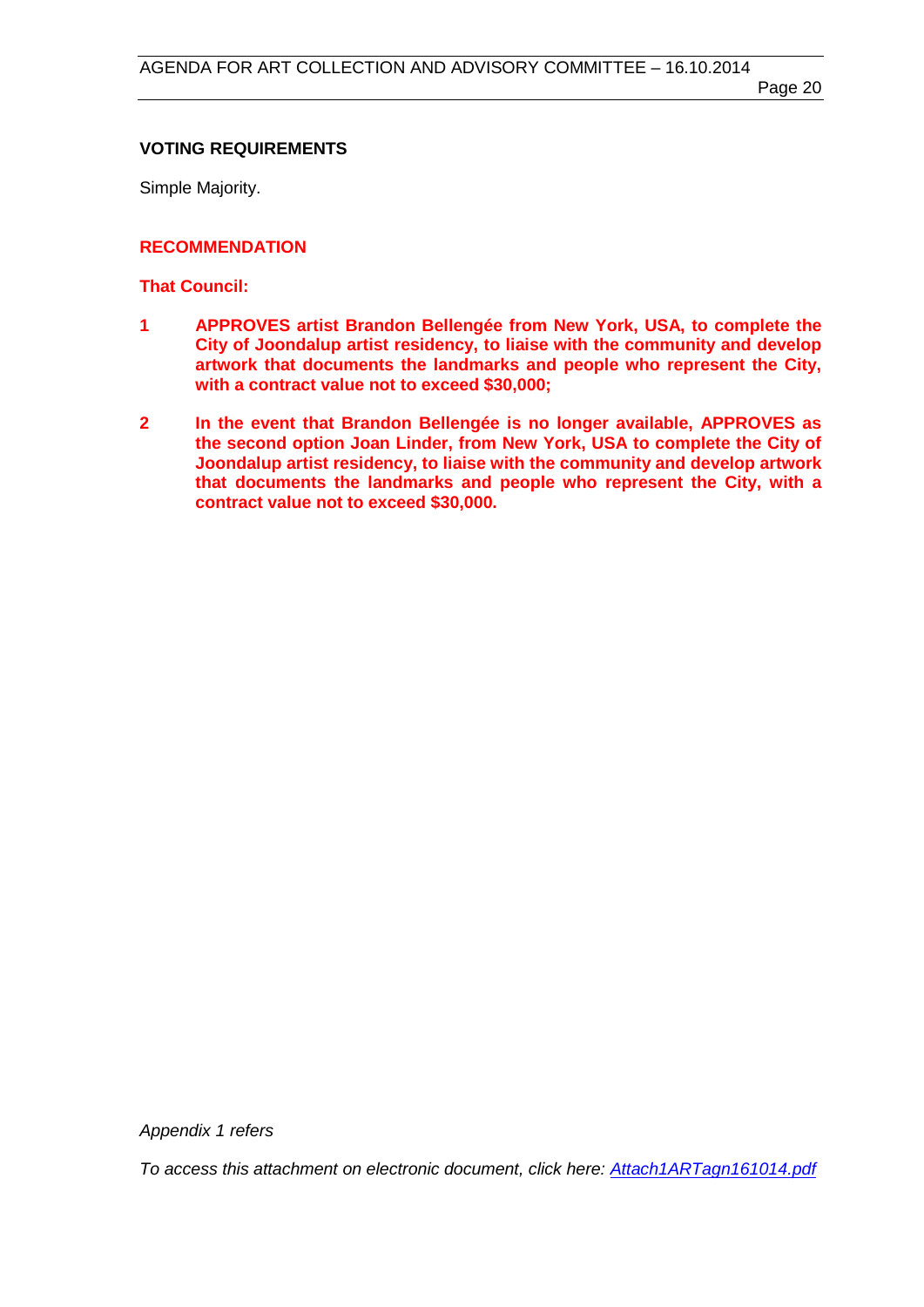# **VOTING REQUIREMENTS**

Simple Majority.

# **RECOMMENDATION**

## **That Council:**

- **1 APPROVES artist Brandon Bellengée from New York, USA, to complete the City of Joondalup artist residency, to liaise with the community and develop artwork that documents the landmarks and people who represent the City, with a contract value not to exceed \$30,000;**
- **2 In the event that Brandon Bellengée is no longer available, APPROVES as the second option Joan Linder, from New York, USA to complete the City of Joondalup artist residency, to liaise with the community and develop artwork that documents the landmarks and people who represent the City, with a contract value not to exceed \$30,000.**

*Appendix 1 refers*

*[To access this attachment on electronic document, click here: Attach1ARTagn161014.pdf](http://www.joondalup.wa.gov.au/files/committees/ACAC/2014/Attach1ARTagn161014.pdf)*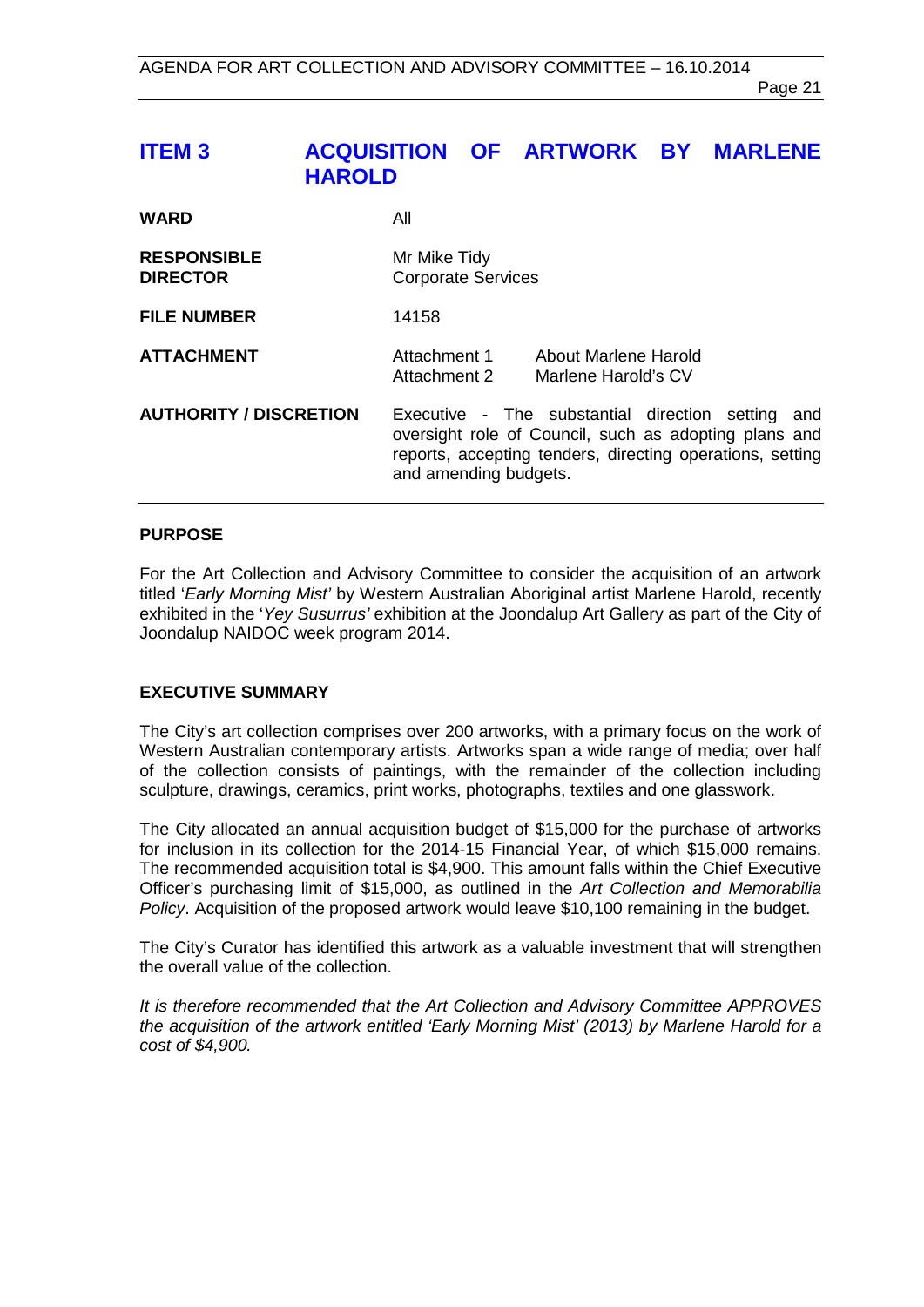# <span id="page-20-0"></span>**ITEM 3 ACQUISITION OF ARTWORK BY MARLENE HAROLD**

| <b>WARD</b>                           | All                                                                                                                                                                                                 |
|---------------------------------------|-----------------------------------------------------------------------------------------------------------------------------------------------------------------------------------------------------|
| <b>RESPONSIBLE</b><br><b>DIRECTOR</b> | Mr Mike Tidy<br><b>Corporate Services</b>                                                                                                                                                           |
| <b>FILE NUMBER</b>                    | 14158                                                                                                                                                                                               |
| <b>ATTACHMENT</b>                     | Attachment 1<br>About Marlene Harold<br>Attachment 2<br>Marlene Harold's CV                                                                                                                         |
| <b>AUTHORITY / DISCRETION</b>         | Executive - The substantial direction setting<br>and<br>oversight role of Council, such as adopting plans and<br>reports, accepting tenders, directing operations, setting<br>and amending budgets. |

#### **PURPOSE**

For the Art Collection and Advisory Committee to consider the acquisition of an artwork titled '*Early Morning Mist'* by Western Australian Aboriginal artist Marlene Harold, recently exhibited in the '*Yey Susurrus'* exhibition at the Joondalup Art Gallery as part of the City of Joondalup NAIDOC week program 2014.

#### **EXECUTIVE SUMMARY**

The City's art collection comprises over 200 artworks, with a primary focus on the work of Western Australian contemporary artists. Artworks span a wide range of media; over half of the collection consists of paintings, with the remainder of the collection including sculpture, drawings, ceramics, print works, photographs, textiles and one glasswork.

The City allocated an annual acquisition budget of \$15,000 for the purchase of artworks for inclusion in its collection for the 2014-15 Financial Year, of which \$15,000 remains. The recommended acquisition total is \$4,900. This amount falls within the Chief Executive Officer's purchasing limit of \$15,000, as outlined in the *Art Collection and Memorabilia Policy*. Acquisition of the proposed artwork would leave \$10,100 remaining in the budget.

The City's Curator has identified this artwork as a valuable investment that will strengthen the overall value of the collection.

*It is therefore recommended that the Art Collection and Advisory Committee APPROVES the acquisition of the artwork entitled 'Early Morning Mist' (2013) by Marlene Harold for a cost of \$4,900.*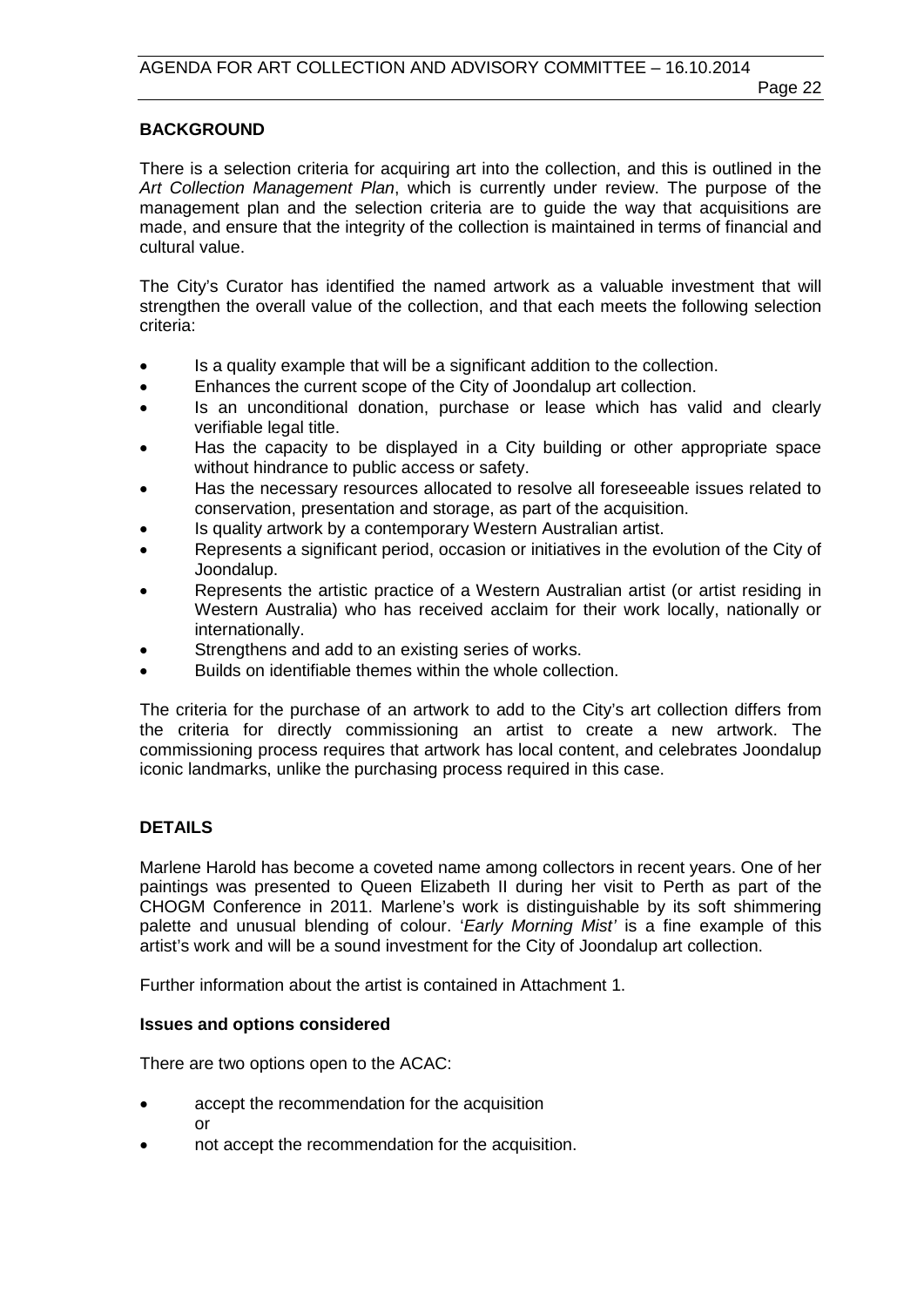## **BACKGROUND**

There is a selection criteria for acquiring art into the collection, and this is outlined in the *Art Collection Management Plan*, which is currently under review. The purpose of the management plan and the selection criteria are to guide the way that acquisitions are made, and ensure that the integrity of the collection is maintained in terms of financial and cultural value.

The City's Curator has identified the named artwork as a valuable investment that will strengthen the overall value of the collection, and that each meets the following selection criteria:

- Is a quality example that will be a significant addition to the collection.
- Enhances the current scope of the City of Joondalup art collection.
- Is an unconditional donation, purchase or lease which has valid and clearly verifiable legal title.
- Has the capacity to be displayed in a City building or other appropriate space without hindrance to public access or safety.
- Has the necessary resources allocated to resolve all foreseeable issues related to conservation, presentation and storage, as part of the acquisition.
- Is quality artwork by a contemporary Western Australian artist.
- Represents a significant period, occasion or initiatives in the evolution of the City of Joondalup.
- Represents the artistic practice of a Western Australian artist (or artist residing in Western Australia) who has received acclaim for their work locally, nationally or internationally.
- Strengthens and add to an existing series of works.
- Builds on identifiable themes within the whole collection.

The criteria for the purchase of an artwork to add to the City's art collection differs from the criteria for directly commissioning an artist to create a new artwork. The commissioning process requires that artwork has local content, and celebrates Joondalup iconic landmarks, unlike the purchasing process required in this case.

# **DETAILS**

Marlene Harold has become a coveted name among collectors in recent years. One of her paintings was presented to Queen Elizabeth II during her visit to Perth as part of the CHOGM Conference in 2011. Marlene's work is distinguishable by its soft shimmering palette and unusual blending of colour. '*Early Morning Mist'* is a fine example of this artist's work and will be a sound investment for the City of Joondalup art collection.

Further information about the artist is contained in Attachment 1.

#### **Issues and options considered**

There are two options open to the ACAC:

- accept the recommendation for the acquisition or
- not accept the recommendation for the acquisition.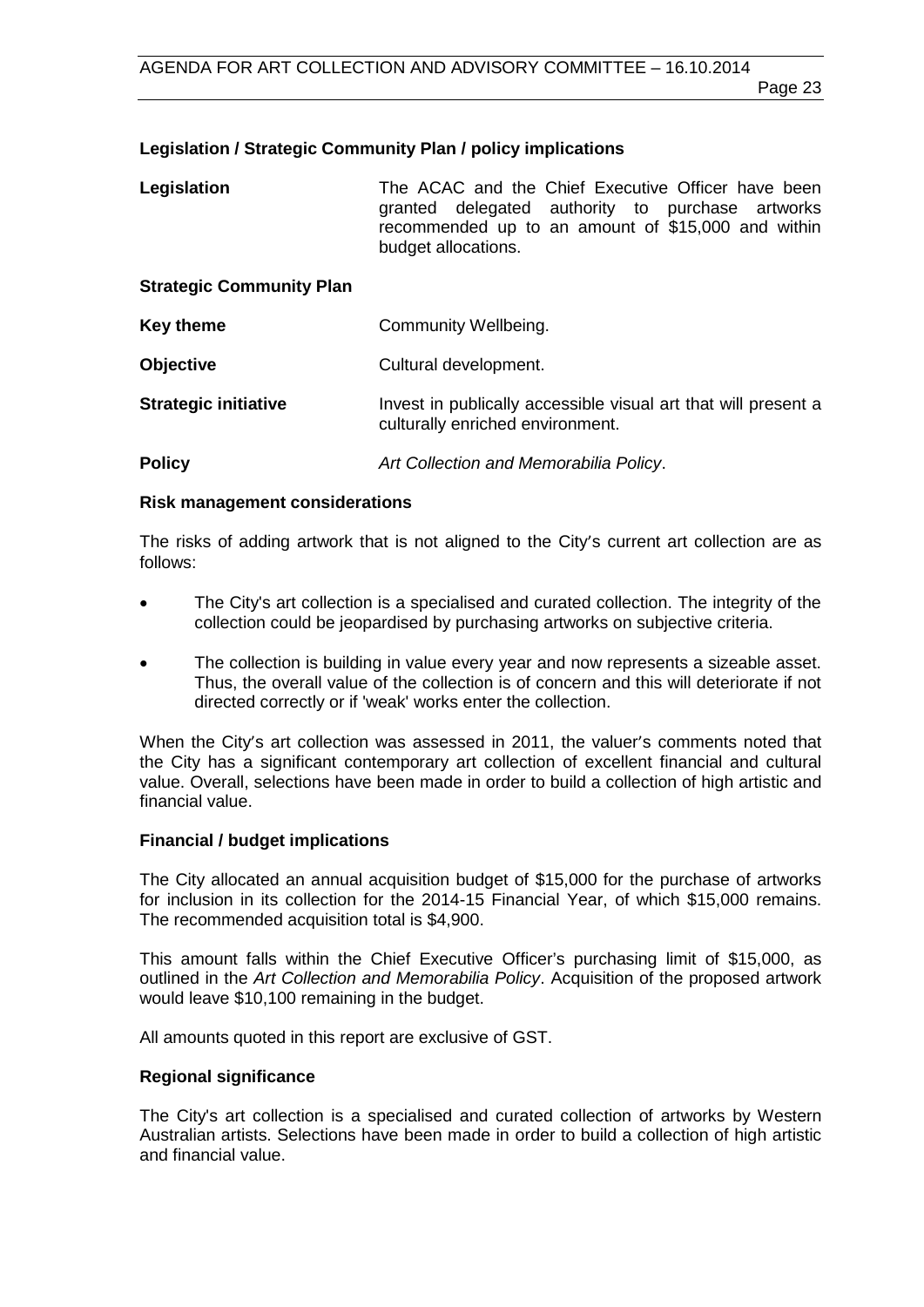# **Legislation / Strategic Community Plan / policy implications**

| Legislation                     | The ACAC and the Chief Executive Officer have been<br>granted delegated authority to purchase artworks<br>recommended up to an amount of \$15,000 and within<br>budget allocations. |
|---------------------------------|-------------------------------------------------------------------------------------------------------------------------------------------------------------------------------------|
| <b>Strategic Community Plan</b> |                                                                                                                                                                                     |
| <b>Key theme</b>                | Community Wellbeing.                                                                                                                                                                |

**Objective** Cultural development.

**Strategic initiative Invest in publically accessible visual art that will present a** culturally enriched environment.

**Policy** *Art Collection and Memorabilia Policy*.

#### **Risk management considerations**

The risks of adding artwork that is not aligned to the City's current art collection are as follows:

- The City's art collection is a specialised and curated collection. The integrity of the collection could be jeopardised by purchasing artworks on subjective criteria.
- The collection is building in value every year and now represents a sizeable asset. Thus, the overall value of the collection is of concern and this will deteriorate if not directed correctly or if 'weak' works enter the collection.

When the City's art collection was assessed in 2011, the valuer's comments noted that the City has a significant contemporary art collection of excellent financial and cultural value. Overall, selections have been made in order to build a collection of high artistic and financial value.

#### **Financial / budget implications**

The City allocated an annual acquisition budget of \$15,000 for the purchase of artworks for inclusion in its collection for the 2014-15 Financial Year, of which \$15,000 remains. The recommended acquisition total is \$4,900.

This amount falls within the Chief Executive Officer's purchasing limit of \$15,000, as outlined in the *Art Collection and Memorabilia Policy*. Acquisition of the proposed artwork would leave \$10,100 remaining in the budget.

All amounts quoted in this report are exclusive of GST.

#### **Regional significance**

The City's art collection is a specialised and curated collection of artworks by Western Australian artists. Selections have been made in order to build a collection of high artistic and financial value.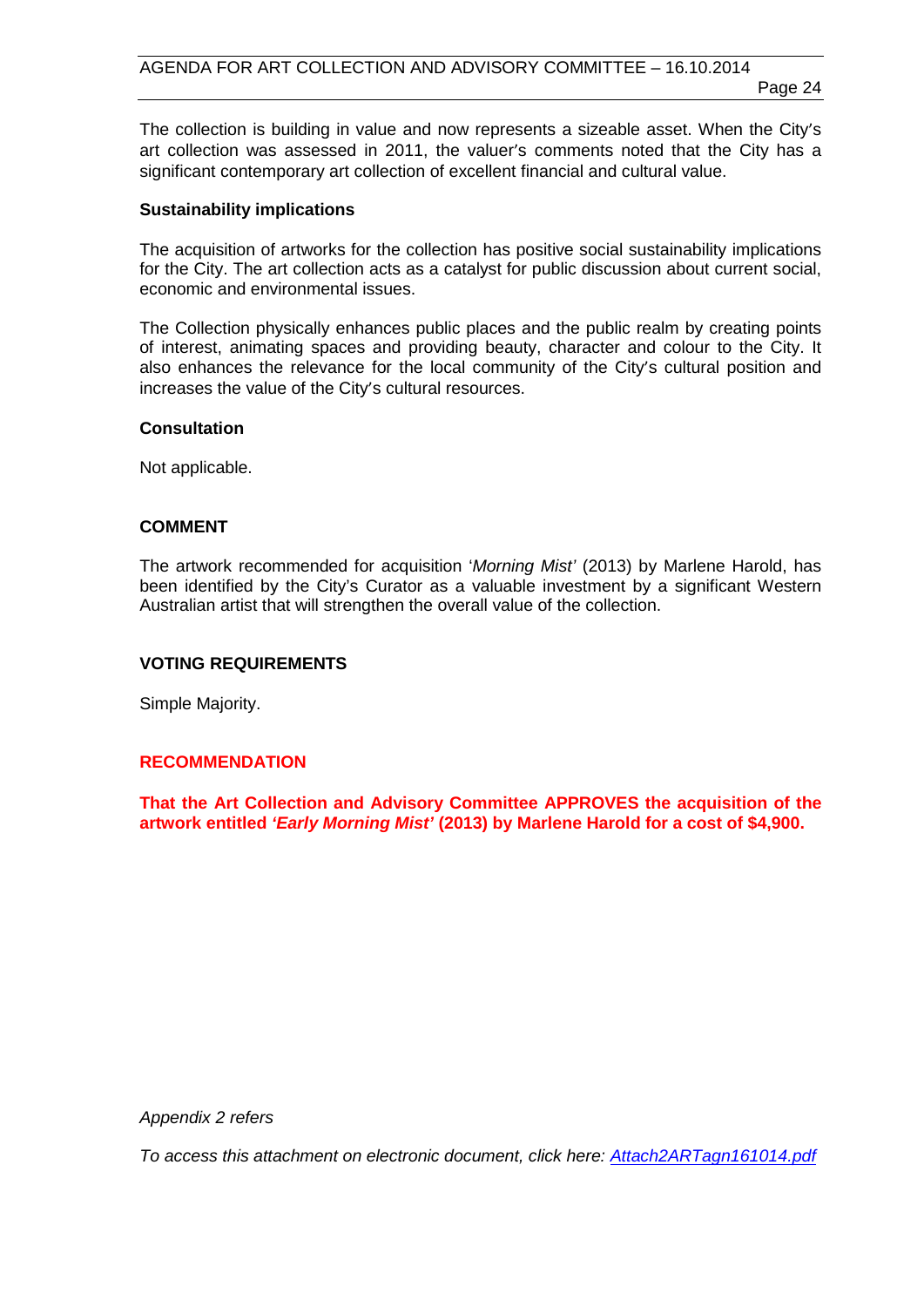The collection is building in value and now represents a sizeable asset. When the City's art collection was assessed in 2011, the valuer's comments noted that the City has a significant contemporary art collection of excellent financial and cultural value.

#### **Sustainability implications**

The acquisition of artworks for the collection has positive social sustainability implications for the City. The art collection acts as a catalyst for public discussion about current social, economic and environmental issues.

The Collection physically enhances public places and the public realm by creating points of interest, animating spaces and providing beauty, character and colour to the City. It also enhances the relevance for the local community of the City's cultural position and increases the value of the City's cultural resources.

#### **Consultation**

Not applicable.

#### **COMMENT**

The artwork recommended for acquisition '*Morning Mist'* (2013) by Marlene Harold, has been identified by the City's Curator as a valuable investment by a significant Western Australian artist that will strengthen the overall value of the collection.

# **VOTING REQUIREMENTS**

Simple Majority.

#### **RECOMMENDATION**

**That the Art Collection and Advisory Committee APPROVES the acquisition of the artwork entitled** *'Early Morning Mist'* **(2013) by Marlene Harold for a cost of \$4,900.** 

*Appendix 2 refers*

*[To access this attachment on electronic document, click here: Attach2ARTagn161014.pdf](http://www.joondalup.wa.gov.au/files/committees/ACAC/2014/Attach2ARTagn161014.pdf)*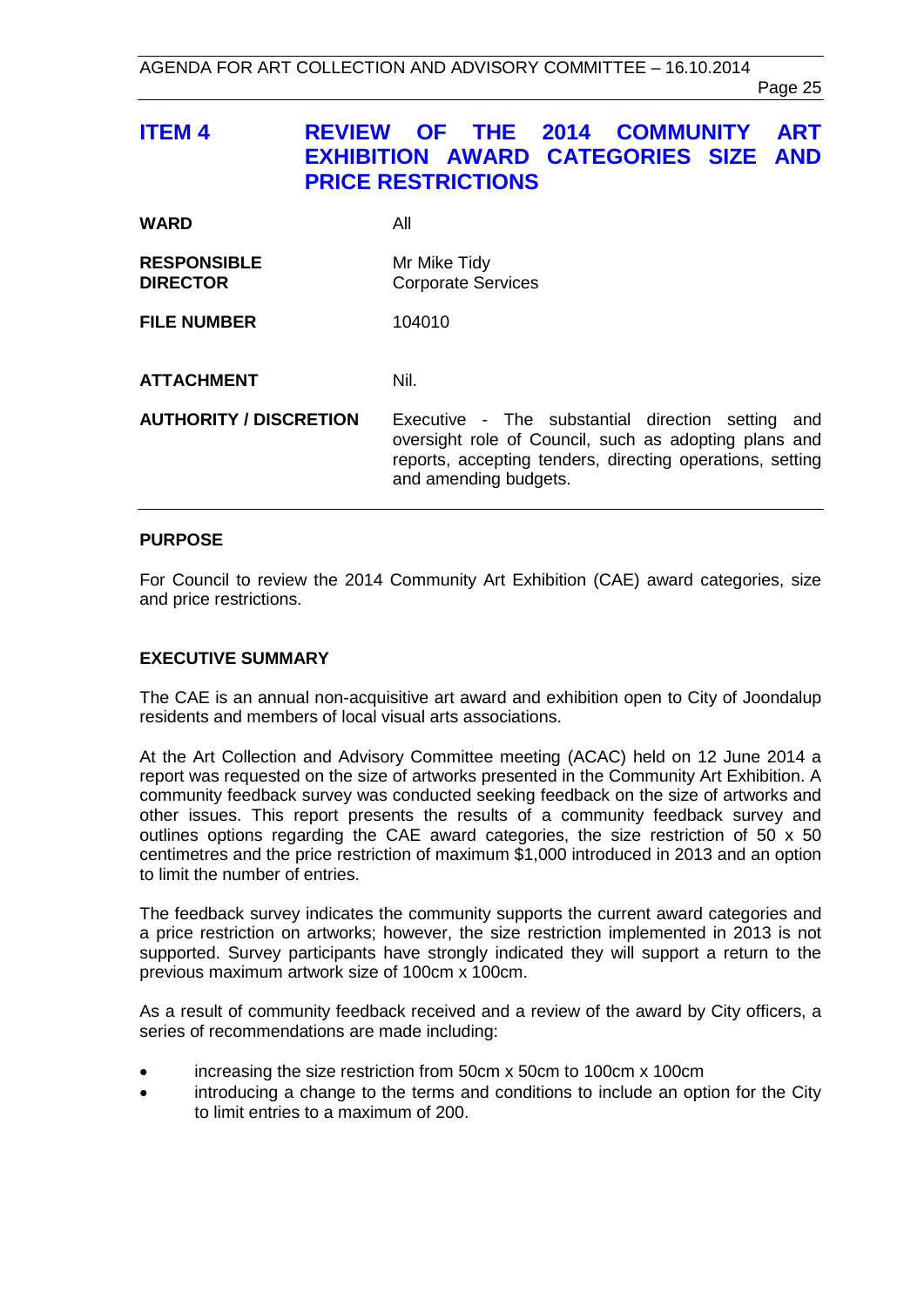Page 25

<span id="page-24-0"></span>

| ITEM 4 | <b>REVIEW OF THE 2014 COMMUNITY ART</b>     |  |  |  |
|--------|---------------------------------------------|--|--|--|
|        | <b>EXHIBITION AWARD CATEGORIES SIZE AND</b> |  |  |  |
|        | <b>PRICE RESTRICTIONS</b>                   |  |  |  |

| <b>WARD</b>                           | All                                                                                                                                                                                                 |
|---------------------------------------|-----------------------------------------------------------------------------------------------------------------------------------------------------------------------------------------------------|
| <b>RESPONSIBLE</b><br><b>DIRECTOR</b> | Mr Mike Tidy<br><b>Corporate Services</b>                                                                                                                                                           |
| <b>FILE NUMBER</b>                    | 104010                                                                                                                                                                                              |
| <b>ATTACHMENT</b>                     | Nil.                                                                                                                                                                                                |
| <b>AUTHORITY / DISCRETION</b>         | Executive - The substantial direction setting<br>and<br>oversight role of Council, such as adopting plans and<br>reports, accepting tenders, directing operations, setting<br>and amending budgets. |

# **PURPOSE**

For Council to review the 2014 Community Art Exhibition (CAE) award categories, size and price restrictions.

#### **EXECUTIVE SUMMARY**

The CAE is an annual non-acquisitive art award and exhibition open to City of Joondalup residents and members of local visual arts associations.

At the Art Collection and Advisory Committee meeting (ACAC) held on 12 June 2014 a report was requested on the size of artworks presented in the Community Art Exhibition. A community feedback survey was conducted seeking feedback on the size of artworks and other issues. This report presents the results of a community feedback survey and outlines options regarding the CAE award categories, the size restriction of 50 x 50 centimetres and the price restriction of maximum \$1,000 introduced in 2013 and an option to limit the number of entries.

The feedback survey indicates the community supports the current award categories and a price restriction on artworks; however, the size restriction implemented in 2013 is not supported. Survey participants have strongly indicated they will support a return to the previous maximum artwork size of 100cm x 100cm.

As a result of community feedback received and a review of the award by City officers, a series of recommendations are made including:

- increasing the size restriction from 50cm x 50cm to 100cm x 100cm
- introducing a change to the terms and conditions to include an option for the City to limit entries to a maximum of 200.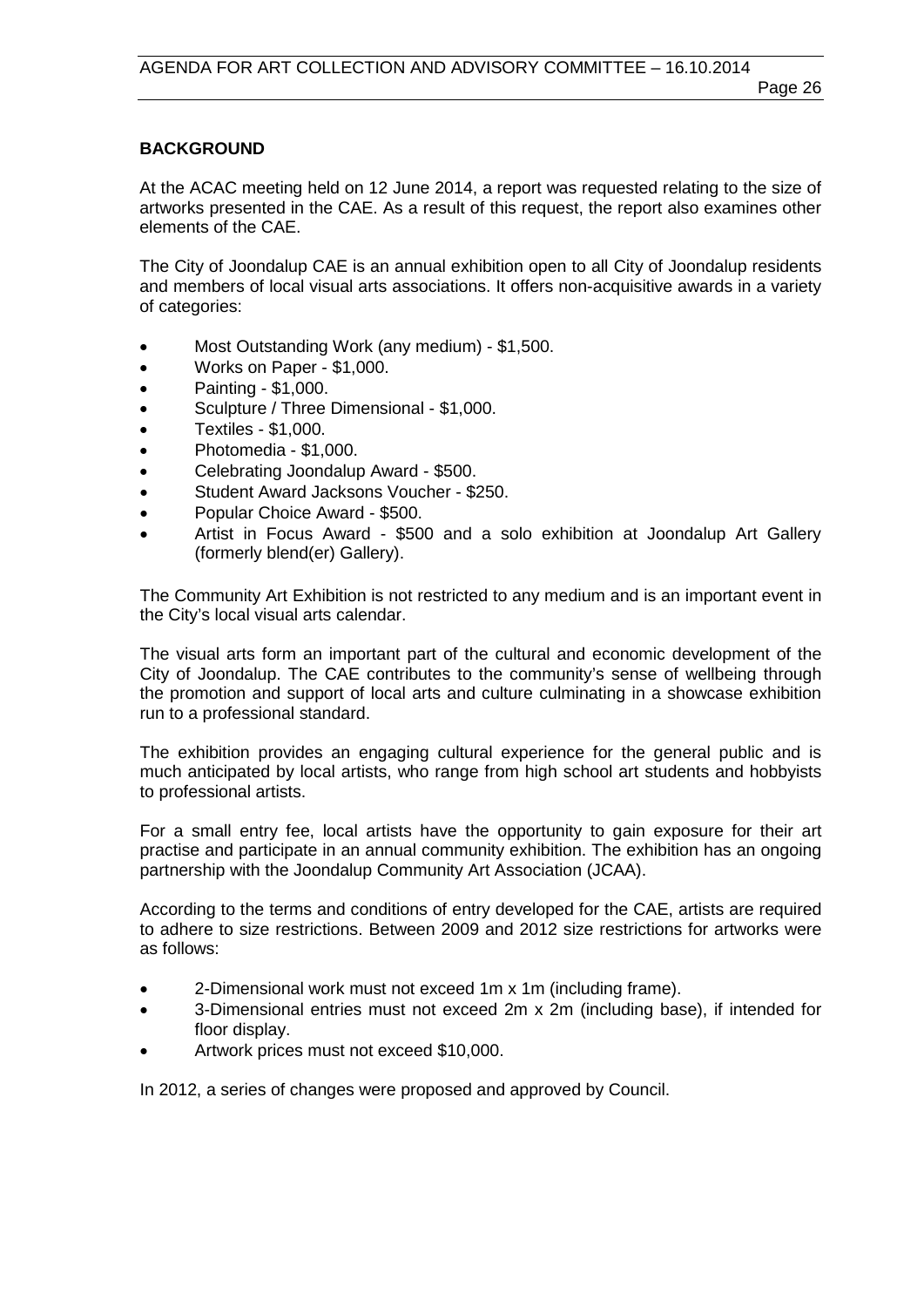# **BACKGROUND**

At the ACAC meeting held on 12 June 2014, a report was requested relating to the size of artworks presented in the CAE. As a result of this request, the report also examines other elements of the CAE.

The City of Joondalup CAE is an annual exhibition open to all City of Joondalup residents and members of local visual arts associations. It offers non-acquisitive awards in a variety of categories:

- Most Outstanding Work (any medium) \$1,500.
- Works on Paper \$1,000.
- Painting \$1,000.
- Sculpture / Three Dimensional \$1,000.
- Textiles \$1,000.
- Photomedia \$1,000.
- Celebrating Joondalup Award \$500.
- Student Award Jacksons Voucher \$250.
- Popular Choice Award \$500.
- Artist in Focus Award \$500 and a solo exhibition at Joondalup Art Gallery (formerly blend(er) Gallery).

The Community Art Exhibition is not restricted to any medium and is an important event in the City's local visual arts calendar.

The visual arts form an important part of the cultural and economic development of the City of Joondalup. The CAE contributes to the community's sense of wellbeing through the promotion and support of local arts and culture culminating in a showcase exhibition run to a professional standard.

The exhibition provides an engaging cultural experience for the general public and is much anticipated by local artists, who range from high school art students and hobbyists to professional artists.

For a small entry fee, local artists have the opportunity to gain exposure for their art practise and participate in an annual community exhibition. The exhibition has an ongoing partnership with the Joondalup Community Art Association (JCAA).

According to the terms and conditions of entry developed for the CAE, artists are required to adhere to size restrictions. Between 2009 and 2012 size restrictions for artworks were as follows:

- 2-Dimensional work must not exceed 1m x 1m (including frame).
- 3-Dimensional entries must not exceed 2m x 2m (including base), if intended for floor display.
- Artwork prices must not exceed \$10,000.

In 2012, a series of changes were proposed and approved by Council.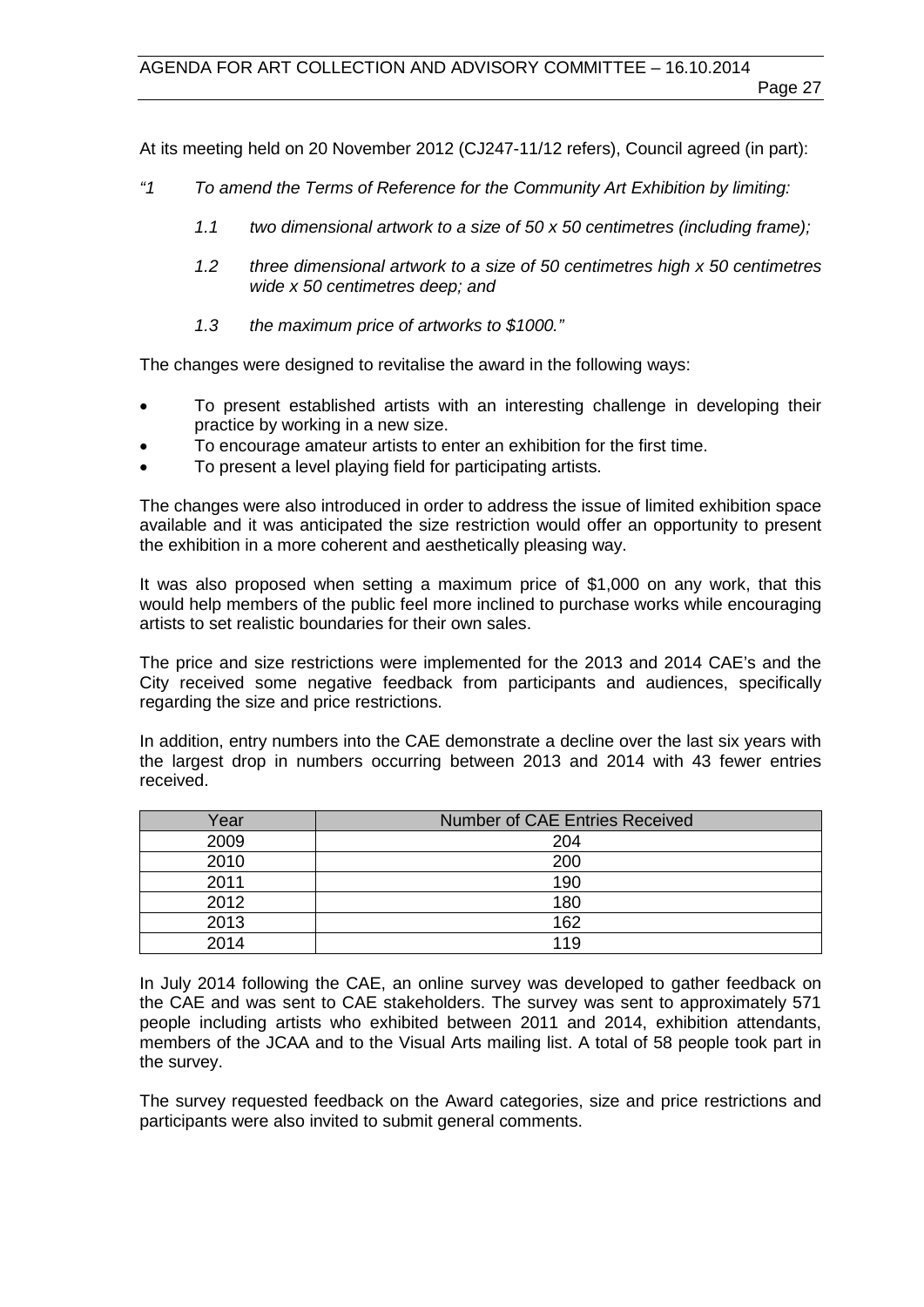At its meeting held on 20 November 2012 (CJ247-11/12 refers), Council agreed (in part):

- *"1 To amend the Terms of Reference for the Community Art Exhibition by limiting:* 
	- *1.1 two dimensional artwork to a size of 50 x 50 centimetres (including frame);*
	- *1.2 three dimensional artwork to a size of 50 centimetres high x 50 centimetres wide x 50 centimetres deep; and*
	- *1.3 the maximum price of artworks to \$1000."*

The changes were designed to revitalise the award in the following ways:

- To present established artists with an interesting challenge in developing their practice by working in a new size.
- To encourage amateur artists to enter an exhibition for the first time.
- To present a level playing field for participating artists.

The changes were also introduced in order to address the issue of limited exhibition space available and it was anticipated the size restriction would offer an opportunity to present the exhibition in a more coherent and aesthetically pleasing way.

It was also proposed when setting a maximum price of \$1,000 on any work, that this would help members of the public feel more inclined to purchase works while encouraging artists to set realistic boundaries for their own sales.

The price and size restrictions were implemented for the 2013 and 2014 CAE's and the City received some negative feedback from participants and audiences, specifically regarding the size and price restrictions.

In addition, entry numbers into the CAE demonstrate a decline over the last six years with the largest drop in numbers occurring between 2013 and 2014 with 43 fewer entries received.

| Year | <b>Number of CAE Entries Received</b> |
|------|---------------------------------------|
| 2009 | 204                                   |
| 2010 | 200                                   |
| 2011 | 190                                   |
| 2012 | 180                                   |
| 2013 | 162                                   |
| 2014 | 119                                   |

In July 2014 following the CAE, an online survey was developed to gather feedback on the CAE and was sent to CAE stakeholders. The survey was sent to approximately 571 people including artists who exhibited between 2011 and 2014, exhibition attendants, members of the JCAA and to the Visual Arts mailing list. A total of 58 people took part in the survey.

The survey requested feedback on the Award categories, size and price restrictions and participants were also invited to submit general comments.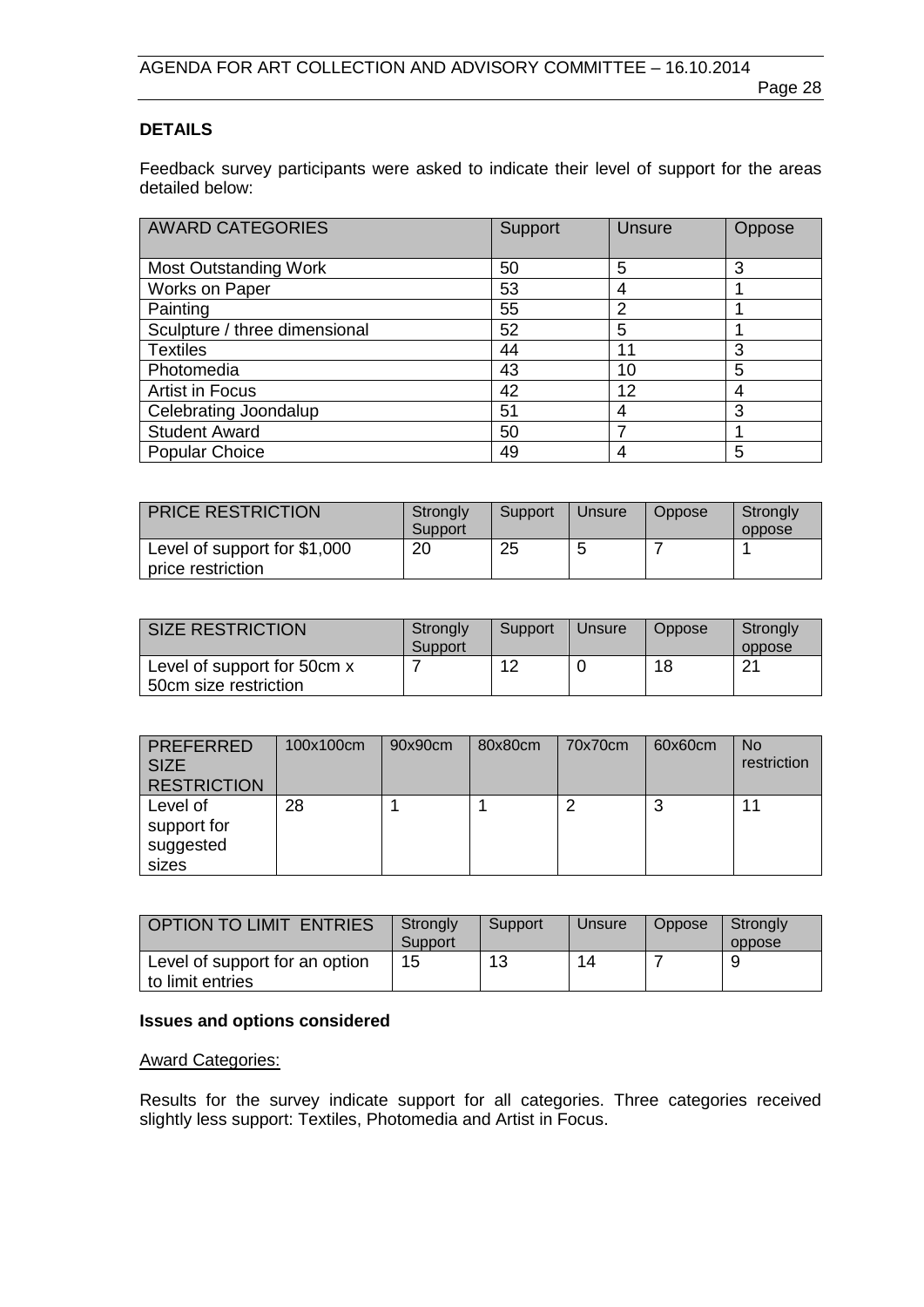# **DETAILS**

Feedback survey participants were asked to indicate their level of support for the areas detailed below:

| <b>AWARD CATEGORIES</b>       | Support | <b>Unsure</b> | Oppose |
|-------------------------------|---------|---------------|--------|
| <b>Most Outstanding Work</b>  | 50      | 5             | 3      |
| Works on Paper                | 53      | 4             |        |
| Painting                      | 55      | 2             |        |
| Sculpture / three dimensional | 52      | 5             |        |
| <b>Textiles</b>               | 44      | 11            | 3      |
| Photomedia                    | 43      | 10            | 5      |
| <b>Artist in Focus</b>        | 42      | 12            | 4      |
| Celebrating Joondalup         | 51      | 4             | 3      |
| <b>Student Award</b>          | 50      |               |        |
| <b>Popular Choice</b>         | 49      | 4             | 5      |

| <b>PRICE RESTRICTION</b>                          | Strongly<br>Support | Support | Unsure | Oppose | Strongly<br>oppose |
|---------------------------------------------------|---------------------|---------|--------|--------|--------------------|
| Level of support for \$1,000<br>price restriction | 20                  | 25      | 5      |        |                    |

| <b>SIZE RESTRICTION</b>                              | Strongly<br>Support | Support | Unsure | Oppose | Strongly<br>oppose |
|------------------------------------------------------|---------------------|---------|--------|--------|--------------------|
| Level of support for 50cm x<br>50cm size restriction |                     | 12      |        | 18     | 21                 |

| <b>PREFERRED</b><br><b>SIZE</b><br><b>RESTRICTION</b> | 100x100cm | 90x90cm | 80x80cm | 70x70cm | 60x60cm | <b>No</b><br>restriction |
|-------------------------------------------------------|-----------|---------|---------|---------|---------|--------------------------|
| Level of<br>support for<br>suggested<br>sizes         | 28        |         |         |         | c<br>×. | 11                       |

| OPTION TO LIMIT ENTRIES                            | Strongly<br>Support | Support | Unsure | <b>Oppose</b> | Strongly<br>oppose |
|----------------------------------------------------|---------------------|---------|--------|---------------|--------------------|
| Level of support for an option<br>to limit entries | 15                  | 13      | 14     |               |                    |

# **Issues and options considered**

#### Award Categories:

Results for the survey indicate support for all categories. Three categories received slightly less support: Textiles, Photomedia and Artist in Focus.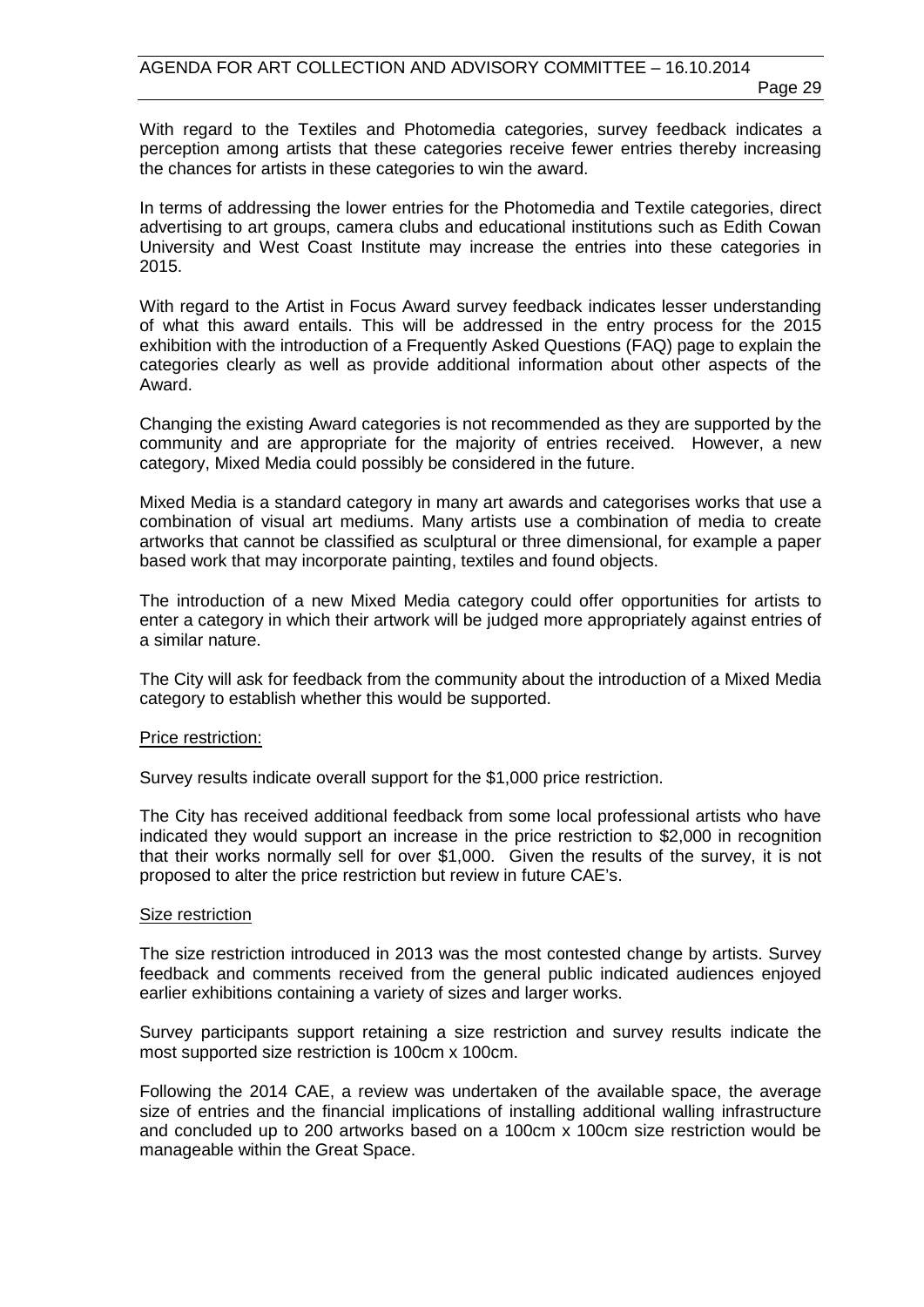With regard to the Textiles and Photomedia categories, survey feedback indicates a perception among artists that these categories receive fewer entries thereby increasing the chances for artists in these categories to win the award.

In terms of addressing the lower entries for the Photomedia and Textile categories, direct advertising to art groups, camera clubs and educational institutions such as Edith Cowan University and West Coast Institute may increase the entries into these categories in 2015.

With regard to the Artist in Focus Award survey feedback indicates lesser understanding of what this award entails. This will be addressed in the entry process for the 2015 exhibition with the introduction of a Frequently Asked Questions (FAQ) page to explain the categories clearly as well as provide additional information about other aspects of the Award.

Changing the existing Award categories is not recommended as they are supported by the community and are appropriate for the majority of entries received. However, a new category, Mixed Media could possibly be considered in the future.

Mixed Media is a standard category in many art awards and categorises works that use a combination of visual art mediums. Many artists use a combination of media to create artworks that cannot be classified as sculptural or three dimensional, for example a paper based work that may incorporate painting, textiles and found objects.

The introduction of a new Mixed Media category could offer opportunities for artists to enter a category in which their artwork will be judged more appropriately against entries of a similar nature.

The City will ask for feedback from the community about the introduction of a Mixed Media category to establish whether this would be supported.

#### Price restriction:

Survey results indicate overall support for the \$1,000 price restriction.

The City has received additional feedback from some local professional artists who have indicated they would support an increase in the price restriction to \$2,000 in recognition that their works normally sell for over \$1,000. Given the results of the survey, it is not proposed to alter the price restriction but review in future CAE's.

#### Size restriction

The size restriction introduced in 2013 was the most contested change by artists. Survey feedback and comments received from the general public indicated audiences enjoyed earlier exhibitions containing a variety of sizes and larger works.

Survey participants support retaining a size restriction and survey results indicate the most supported size restriction is 100cm x 100cm.

Following the 2014 CAE, a review was undertaken of the available space, the average size of entries and the financial implications of installing additional walling infrastructure and concluded up to 200 artworks based on a 100cm x 100cm size restriction would be manageable within the Great Space.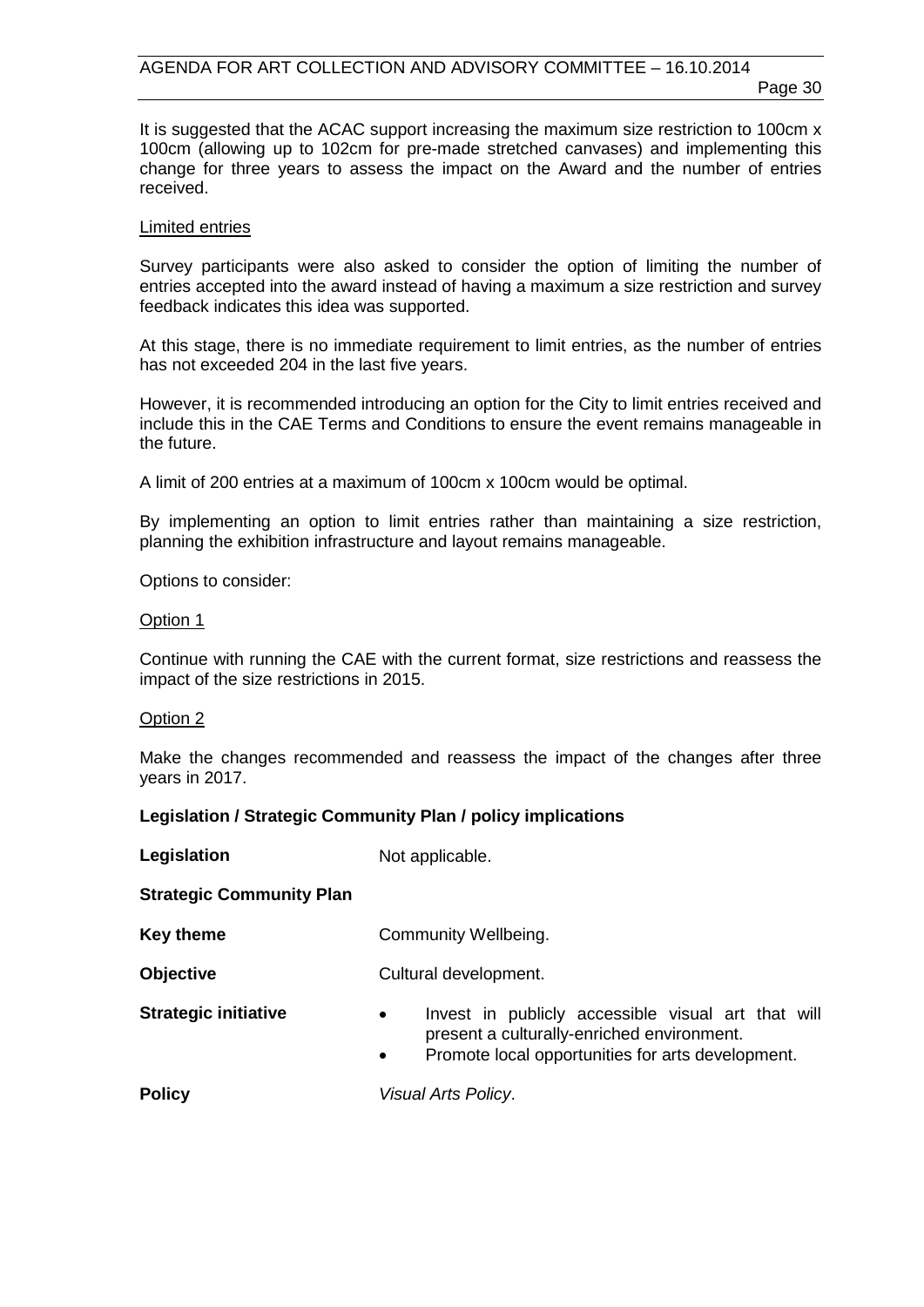Page 30

It is suggested that the ACAC support increasing the maximum size restriction to 100cm x 100cm (allowing up to 102cm for pre-made stretched canvases) and implementing this change for three years to assess the impact on the Award and the number of entries received.

#### Limited entries

Survey participants were also asked to consider the option of limiting the number of entries accepted into the award instead of having a maximum a size restriction and survey feedback indicates this idea was supported.

At this stage, there is no immediate requirement to limit entries, as the number of entries has not exceeded 204 in the last five years.

However, it is recommended introducing an option for the City to limit entries received and include this in the CAE Terms and Conditions to ensure the event remains manageable in the future.

A limit of 200 entries at a maximum of 100cm x 100cm would be optimal.

By implementing an option to limit entries rather than maintaining a size restriction, planning the exhibition infrastructure and layout remains manageable.

Options to consider:

#### Option 1

Continue with running the CAE with the current format, size restrictions and reassess the impact of the size restrictions in 2015.

#### Option 2

Make the changes recommended and reassess the impact of the changes after three years in 2017.

# **Legislation / Strategic Community Plan / policy implications**

**Legislation** Not applicable. **Strategic Community Plan Key theme Community Wellbeing. Objective** Cultural development. **Strategic initiative •** Invest in publicly accessible visual art that will present a culturally-enriched environment. • Promote local opportunities for arts development. **Policy** *Visual Arts Policy*.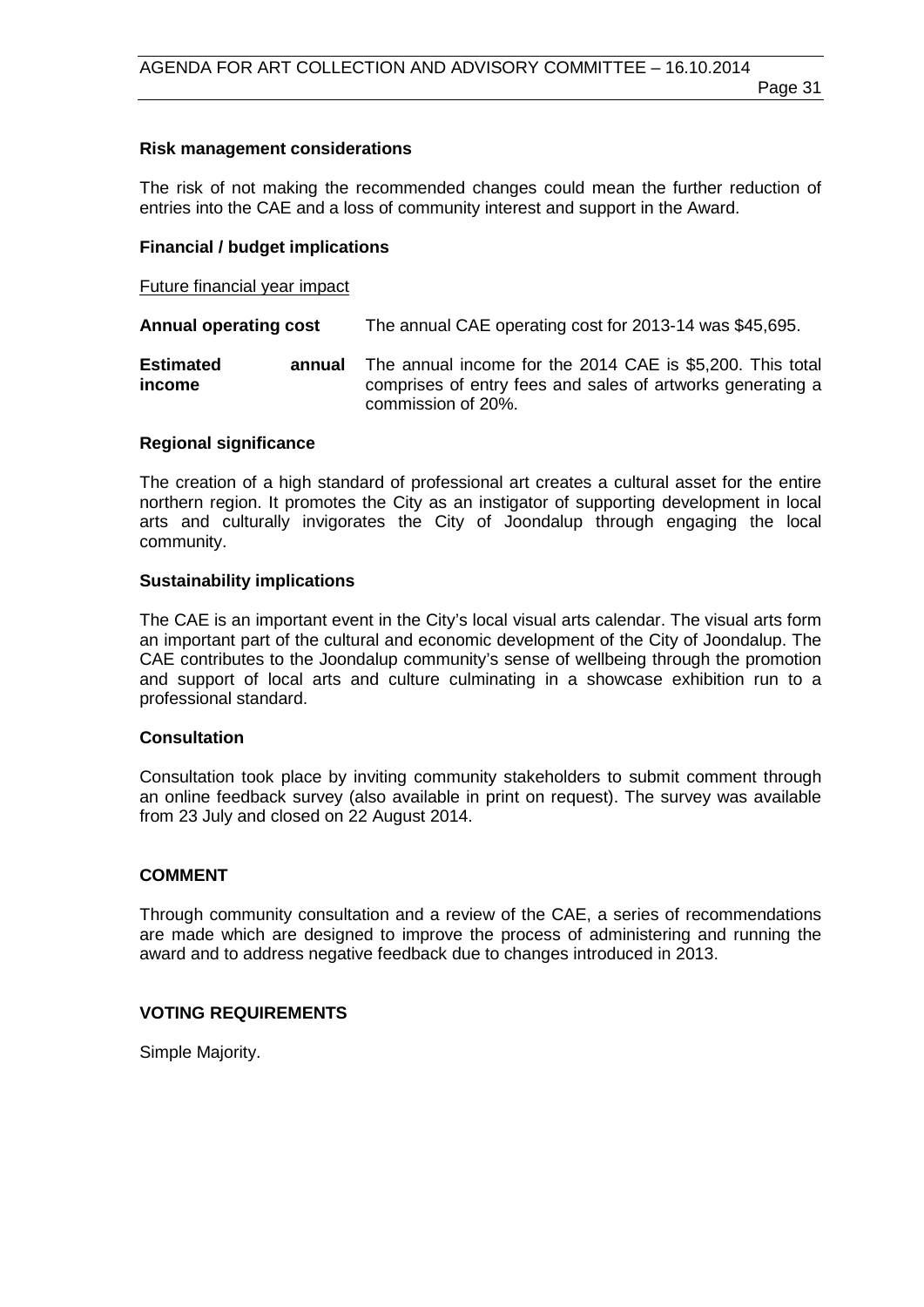#### **Risk management considerations**

The risk of not making the recommended changes could mean the further reduction of entries into the CAE and a loss of community interest and support in the Award.

#### **Financial / budget implications**

Future financial year impact

**Annual operating cost** The annual CAE operating cost for 2013-14 was \$45,695.

**Estimated annual income** The annual income for the 2014 CAE is \$5,200. This total comprises of entry fees and sales of artworks generating a commission of 20%.

#### **Regional significance**

The creation of a high standard of professional art creates a cultural asset for the entire northern region. It promotes the City as an instigator of supporting development in local arts and culturally invigorates the City of Joondalup through engaging the local community.

#### **Sustainability implications**

The CAE is an important event in the City's local visual arts calendar. The visual arts form an important part of the cultural and economic development of the City of Joondalup. The CAE contributes to the Joondalup community's sense of wellbeing through the promotion and support of local arts and culture culminating in a showcase exhibition run to a professional standard.

#### **Consultation**

Consultation took place by inviting community stakeholders to submit comment through an online feedback survey (also available in print on request). The survey was available from 23 July and closed on 22 August 2014.

# **COMMENT**

Through community consultation and a review of the CAE, a series of recommendations are made which are designed to improve the process of administering and running the award and to address negative feedback due to changes introduced in 2013.

# **VOTING REQUIREMENTS**

Simple Majority.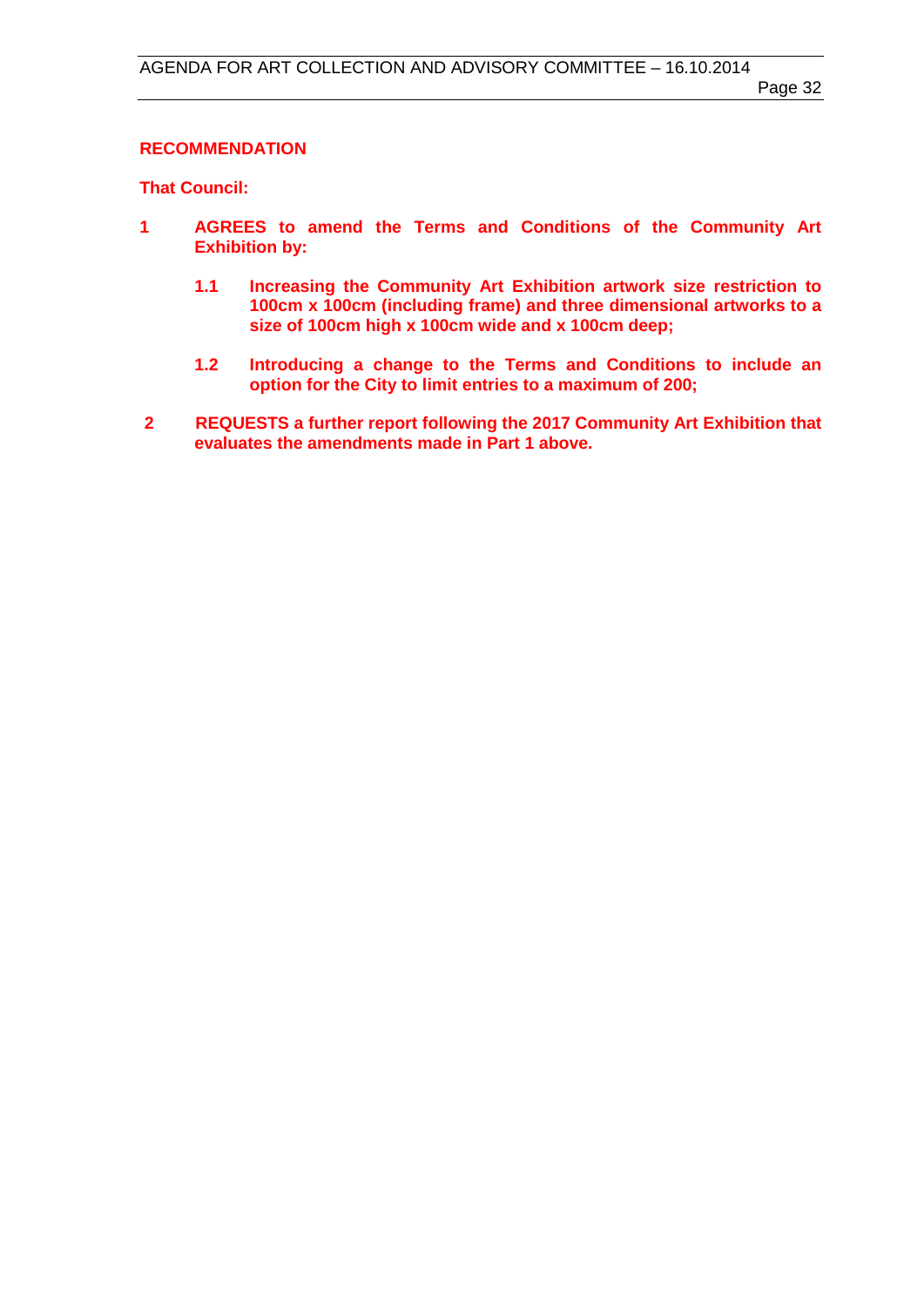#### **RECOMMENDATION**

**That Council:**

- **1 AGREES to amend the Terms and Conditions of the Community Art Exhibition by:**
	- **1.1 Increasing the Community Art Exhibition artwork size restriction to 100cm x 100cm (including frame) and three dimensional artworks to a size of 100cm high x 100cm wide and x 100cm deep;**
	- **1.2 Introducing a change to the Terms and Conditions to include an option for the City to limit entries to a maximum of 200;**
- **2 REQUESTS a further report following the 2017 Community Art Exhibition that evaluates the amendments made in Part 1 above.**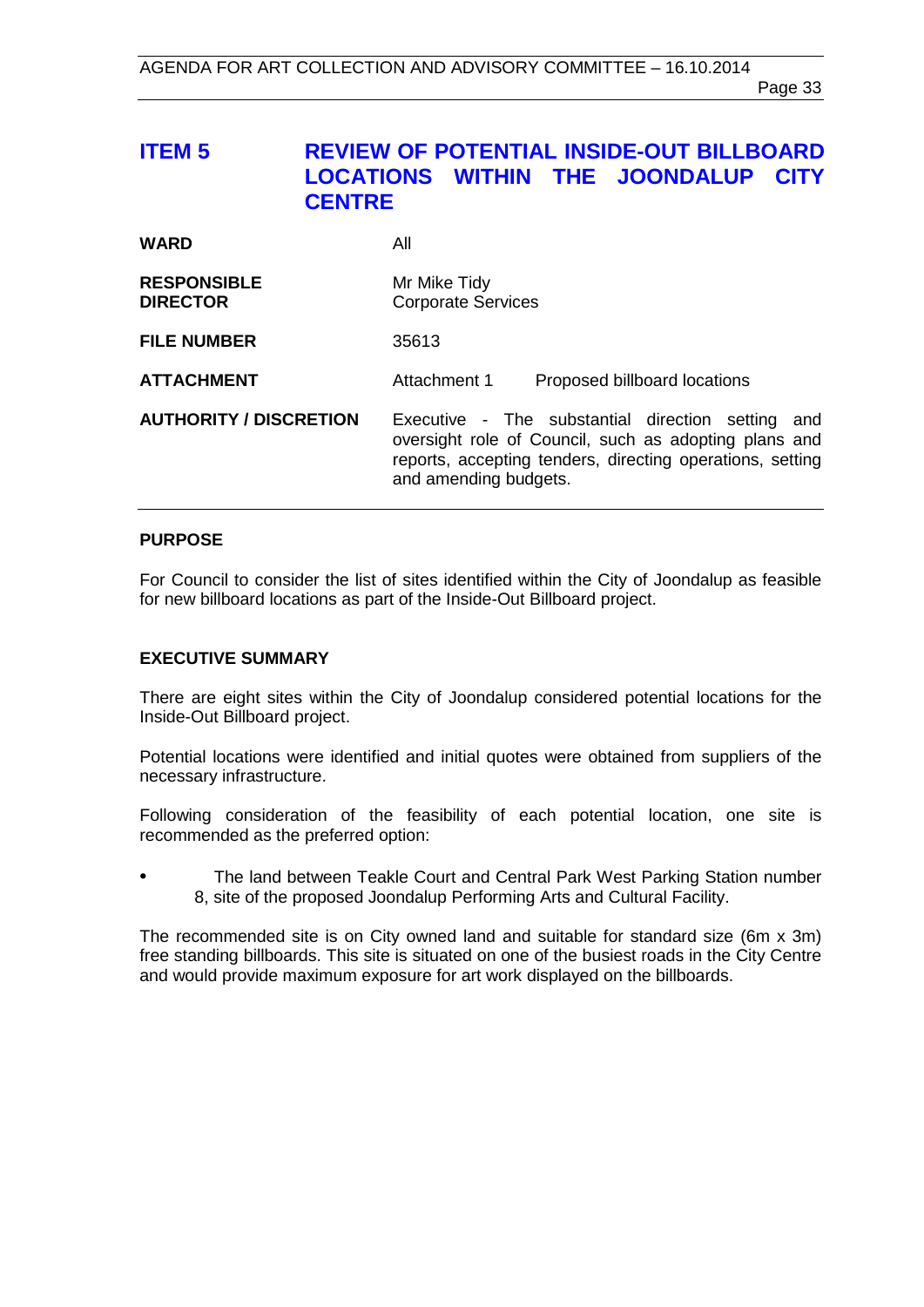# <span id="page-32-0"></span>**ITEM 5 REVIEW OF POTENTIAL INSIDE-OUT BILLBOARD LOCATIONS WITHIN THE JOONDALUP CITY CENTRE**

| <b>WARD</b>                           | All                                                                                                                                                                                                 |
|---------------------------------------|-----------------------------------------------------------------------------------------------------------------------------------------------------------------------------------------------------|
| <b>RESPONSIBLE</b><br><b>DIRECTOR</b> | Mr Mike Tidy<br><b>Corporate Services</b>                                                                                                                                                           |
| <b>FILE NUMBER</b>                    | 35613                                                                                                                                                                                               |
| <b>ATTACHMENT</b>                     | Attachment 1<br>Proposed billboard locations                                                                                                                                                        |
| <b>AUTHORITY / DISCRETION</b>         | Executive - The substantial direction setting<br>and<br>oversight role of Council, such as adopting plans and<br>reports, accepting tenders, directing operations, setting<br>and amending budgets. |

# **PURPOSE**

For Council to consider the list of sites identified within the City of Joondalup as feasible for new billboard locations as part of the Inside-Out Billboard project.

## **EXECUTIVE SUMMARY**

There are eight sites within the City of Joondalup considered potential locations for the Inside-Out Billboard project.

Potential locations were identified and initial quotes were obtained from suppliers of the necessary infrastructure.

Following consideration of the feasibility of each potential location, one site is recommended as the preferred option:

• The land between Teakle Court and Central Park West Parking Station number 8, site of the proposed Joondalup Performing Arts and Cultural Facility.

The recommended site is on City owned land and suitable for standard size (6m x 3m) free standing billboards. This site is situated on one of the busiest roads in the City Centre and would provide maximum exposure for art work displayed on the billboards.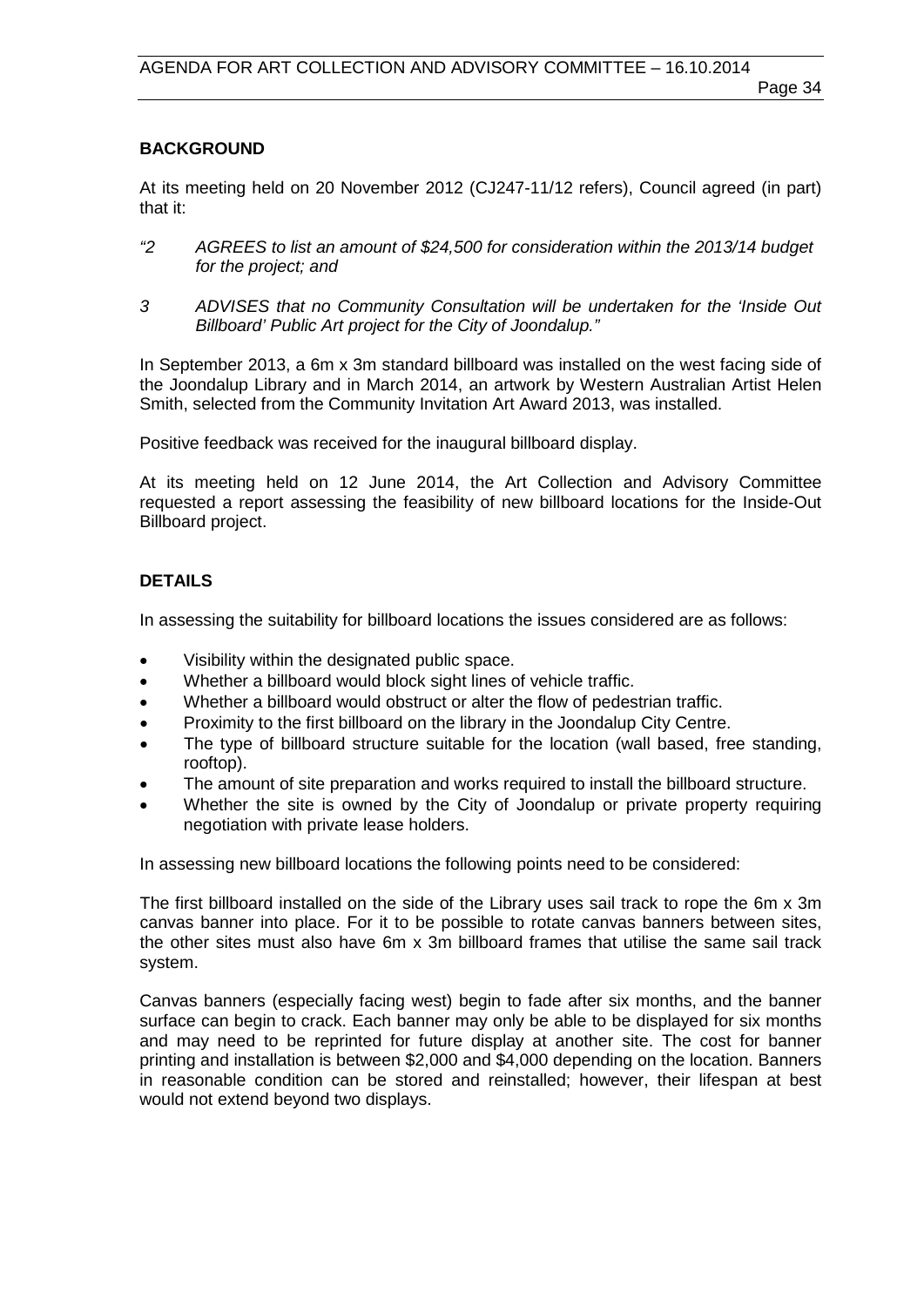### **BACKGROUND**

At its meeting held on 20 November 2012 (CJ247-11/12 refers), Council agreed (in part) that it:

- *"2 AGREES to list an amount of \$24,500 for consideration within the 2013/14 budget for the project; and*
- *3 ADVISES that no Community Consultation will be undertaken for the 'Inside Out Billboard' Public Art project for the City of Joondalup."*

In September 2013, a 6m x 3m standard billboard was installed on the west facing side of the Joondalup Library and in March 2014, an artwork by Western Australian Artist Helen Smith, selected from the Community Invitation Art Award 2013, was installed.

Positive feedback was received for the inaugural billboard display.

At its meeting held on 12 June 2014, the Art Collection and Advisory Committee requested a report assessing the feasibility of new billboard locations for the Inside-Out Billboard project.

# **DETAILS**

In assessing the suitability for billboard locations the issues considered are as follows:

- Visibility within the designated public space.
- Whether a billboard would block sight lines of vehicle traffic.
- Whether a billboard would obstruct or alter the flow of pedestrian traffic.
- Proximity to the first billboard on the library in the Joondalup City Centre.
- The type of billboard structure suitable for the location (wall based, free standing, rooftop).
- The amount of site preparation and works required to install the billboard structure.
- Whether the site is owned by the City of Joondalup or private property requiring negotiation with private lease holders.

In assessing new billboard locations the following points need to be considered:

The first billboard installed on the side of the Library uses sail track to rope the 6m x 3m canvas banner into place. For it to be possible to rotate canvas banners between sites, the other sites must also have 6m x 3m billboard frames that utilise the same sail track system.

Canvas banners (especially facing west) begin to fade after six months, and the banner surface can begin to crack. Each banner may only be able to be displayed for six months and may need to be reprinted for future display at another site. The cost for banner printing and installation is between \$2,000 and \$4,000 depending on the location. Banners in reasonable condition can be stored and reinstalled; however, their lifespan at best would not extend beyond two displays.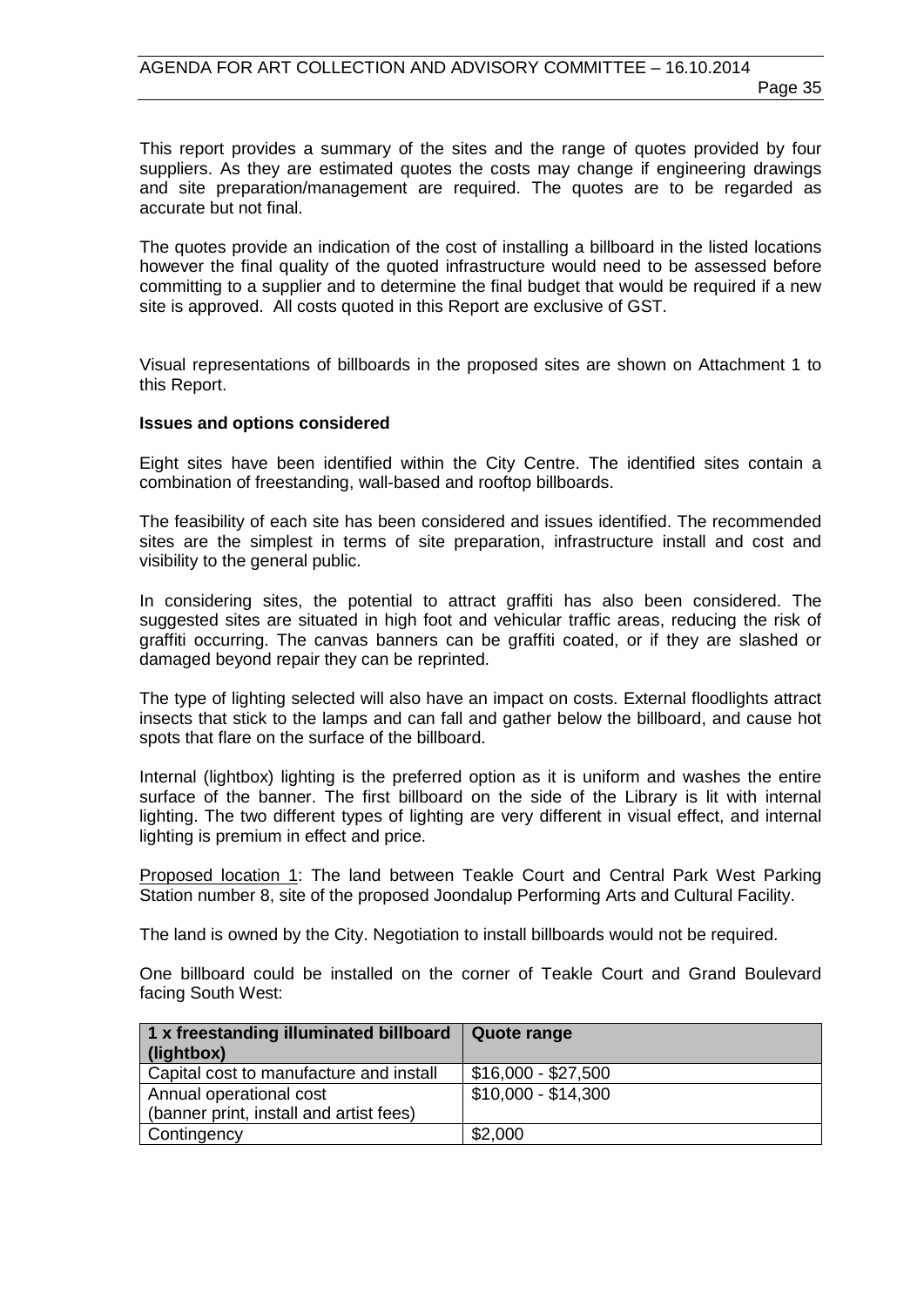This report provides a summary of the sites and the range of quotes provided by four suppliers. As they are estimated quotes the costs may change if engineering drawings and site preparation/management are required. The quotes are to be regarded as accurate but not final.

The quotes provide an indication of the cost of installing a billboard in the listed locations however the final quality of the quoted infrastructure would need to be assessed before committing to a supplier and to determine the final budget that would be required if a new site is approved. All costs quoted in this Report are exclusive of GST.

Visual representations of billboards in the proposed sites are shown on Attachment 1 to this Report.

#### **Issues and options considered**

Eight sites have been identified within the City Centre. The identified sites contain a combination of freestanding, wall-based and rooftop billboards.

The feasibility of each site has been considered and issues identified. The recommended sites are the simplest in terms of site preparation, infrastructure install and cost and visibility to the general public.

In considering sites, the potential to attract graffiti has also been considered. The suggested sites are situated in high foot and vehicular traffic areas, reducing the risk of graffiti occurring. The canvas banners can be graffiti coated, or if they are slashed or damaged beyond repair they can be reprinted.

The type of lighting selected will also have an impact on costs. External floodlights attract insects that stick to the lamps and can fall and gather below the billboard, and cause hot spots that flare on the surface of the billboard.

Internal (lightbox) lighting is the preferred option as it is uniform and washes the entire surface of the banner. The first billboard on the side of the Library is lit with internal lighting. The two different types of lighting are very different in visual effect, and internal lighting is premium in effect and price.

Proposed location 1: The land between Teakle Court and Central Park West Parking Station number 8, site of the proposed Joondalup Performing Arts and Cultural Facility.

The land is owned by the City. Negotiation to install billboards would not be required.

One billboard could be installed on the corner of Teakle Court and Grand Boulevard facing South West:

| 1 x freestanding illuminated billboard   Quote range<br>(lightbox) |                     |
|--------------------------------------------------------------------|---------------------|
| Capital cost to manufacture and install                            | $$16,000 - $27,500$ |
| Annual operational cost                                            | \$10,000 - \$14,300 |
| (banner print, install and artist fees)                            |                     |
| Contingency                                                        | \$2,000             |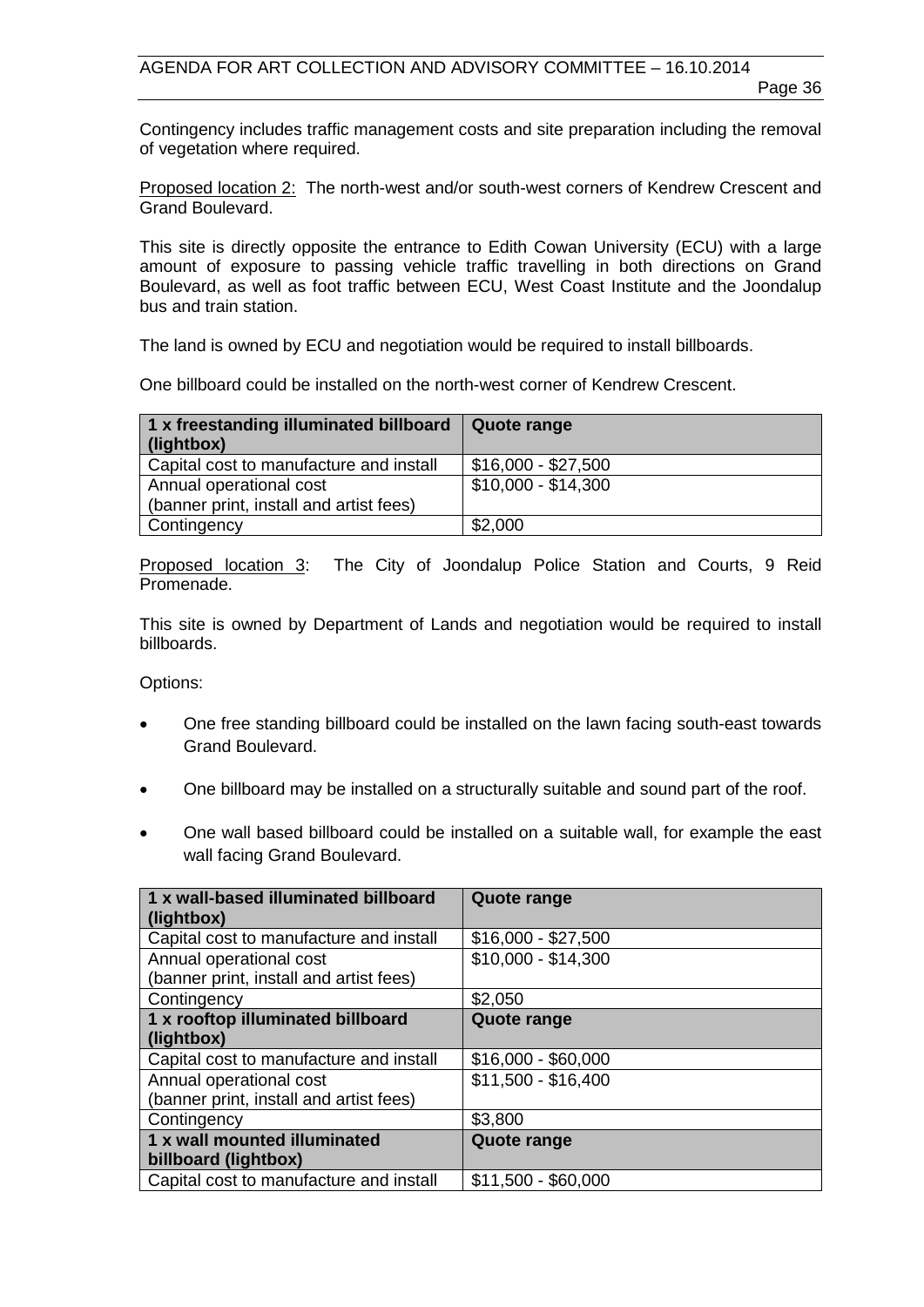Page 36

Contingency includes traffic management costs and site preparation including the removal of vegetation where required.

Proposed location 2: The north-west and/or south-west corners of Kendrew Crescent and Grand Boulevard.

This site is directly opposite the entrance to Edith Cowan University (ECU) with a large amount of exposure to passing vehicle traffic travelling in both directions on Grand Boulevard, as well as foot traffic between ECU, West Coast Institute and the Joondalup bus and train station.

The land is owned by ECU and negotiation would be required to install billboards.

One billboard could be installed on the north-west corner of Kendrew Crescent.

| 1 x freestanding illuminated billboard<br>(lightbox) | Quote range         |
|------------------------------------------------------|---------------------|
| Capital cost to manufacture and install              | \$16,000 - \$27,500 |
| Annual operational cost                              | \$10,000 - \$14,300 |
| (banner print, install and artist fees)              |                     |
| Contingency                                          | \$2,000             |

Proposed location 3: The City of Joondalup Police Station and Courts, 9 Reid Promenade.

This site is owned by Department of Lands and negotiation would be required to install billboards.

Options:

- One free standing billboard could be installed on the lawn facing south-east towards Grand Boulevard.
- One billboard may be installed on a structurally suitable and sound part of the roof.
- One wall based billboard could be installed on a suitable wall, for example the east wall facing Grand Boulevard.

| 1 x wall-based illuminated billboard<br>(lightbox) | <b>Quote range</b>  |
|----------------------------------------------------|---------------------|
| Capital cost to manufacture and install            | $$16,000 - $27,500$ |
| Annual operational cost                            | $$10,000 - $14,300$ |
| (banner print, install and artist fees)            |                     |
| Contingency                                        | \$2,050             |
| 1 x rooftop illuminated billboard                  | Quote range         |
| (lightbox)                                         |                     |
| Capital cost to manufacture and install            | $$16,000 - $60,000$ |
| Annual operational cost                            | \$11,500 - \$16,400 |
| (banner print, install and artist fees)            |                     |
| Contingency                                        | \$3,800             |
| 1 x wall mounted illuminated                       | Quote range         |
| billboard (lightbox)                               |                     |
| Capital cost to manufacture and install            | $$11,500 - $60,000$ |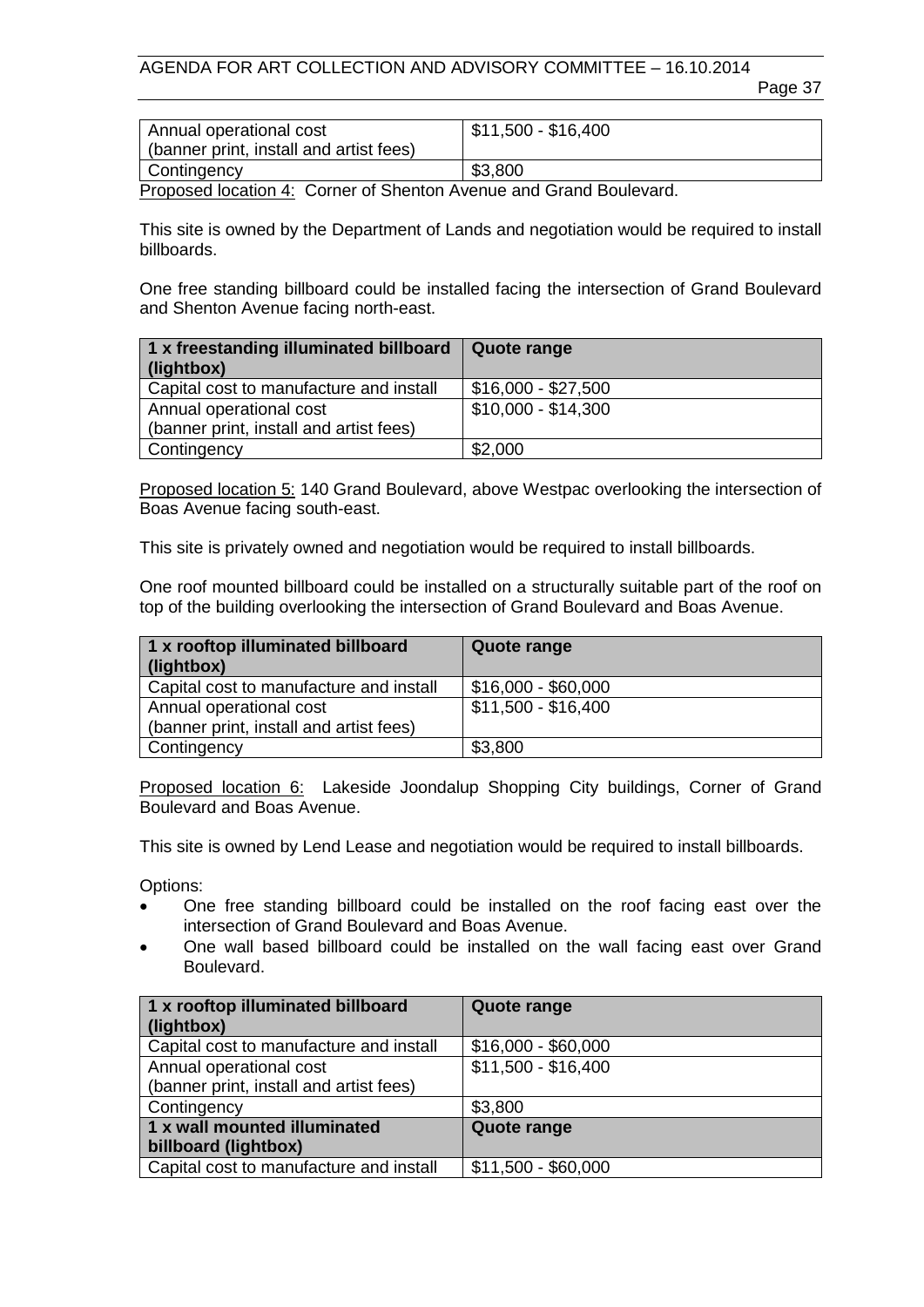AGENDA FOR ART COLLECTION AND ADVISORY COMMITTEE – 16.10.2014

Page 37

| Annual operational cost<br>(banner print, install and artist fees) | \$11,500 - \$16,400 |
|--------------------------------------------------------------------|---------------------|
| Contingency                                                        | \$3,800             |

Proposed location 4: Corner of Shenton Avenue and Grand Boulevard.

This site is owned by the Department of Lands and negotiation would be required to install billboards.

One free standing billboard could be installed facing the intersection of Grand Boulevard and Shenton Avenue facing north-east.

| 1 x freestanding illuminated billboard<br>(lightbox) | Quote range         |
|------------------------------------------------------|---------------------|
| Capital cost to manufacture and install              | \$16,000 - \$27,500 |
| Annual operational cost                              | \$10,000 - \$14,300 |
| (banner print, install and artist fees)              |                     |
| Contingency                                          | \$2,000             |

Proposed location 5: 140 Grand Boulevard, above Westpac overlooking the intersection of Boas Avenue facing south-east.

This site is privately owned and negotiation would be required to install billboards.

One roof mounted billboard could be installed on a structurally suitable part of the roof on top of the building overlooking the intersection of Grand Boulevard and Boas Avenue.

| 1 x rooftop illuminated billboard<br>(lightbox) | Quote range         |
|-------------------------------------------------|---------------------|
| Capital cost to manufacture and install         | \$16,000 - \$60,000 |
| Annual operational cost                         | \$11,500 - \$16,400 |
| (banner print, install and artist fees)         |                     |
| Contingency                                     | \$3,800             |

Proposed location 6: Lakeside Joondalup Shopping City buildings, Corner of Grand Boulevard and Boas Avenue.

This site is owned by Lend Lease and negotiation would be required to install billboards.

Options:

- One free standing billboard could be installed on the roof facing east over the intersection of Grand Boulevard and Boas Avenue.
- One wall based billboard could be installed on the wall facing east over Grand Boulevard.

| 1 x rooftop illuminated billboard       | <b>Quote range</b>  |
|-----------------------------------------|---------------------|
| (lightbox)                              |                     |
| Capital cost to manufacture and install | $$16,000 - $60,000$ |
| Annual operational cost                 | $$11,500 - $16,400$ |
| (banner print, install and artist fees) |                     |
| Contingency                             | \$3,800             |
| 1 x wall mounted illuminated            | <b>Quote range</b>  |
| billboard (lightbox)                    |                     |
| Capital cost to manufacture and install | $$11,500 - $60,000$ |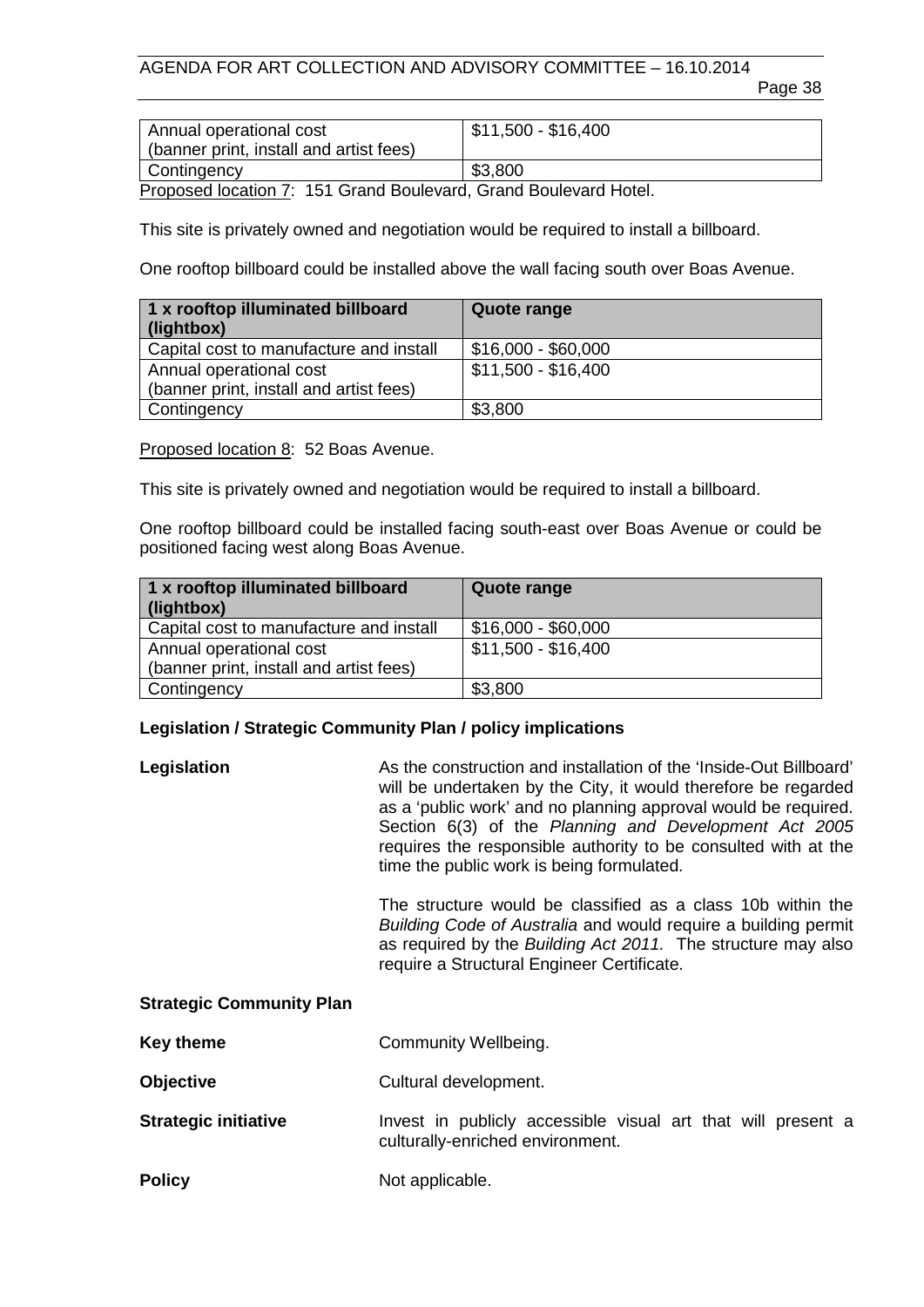# AGENDA FOR ART COLLECTION AND ADVISORY COMMITTEE – 16.10.2014

Page 38

| Annual operational cost<br>(banner print, install and artist fees) | \$11,500 - \$16,400 |
|--------------------------------------------------------------------|---------------------|
| Contingency                                                        | \$3,800             |
| Droppead location 7: 454 Cropel Doulough Cropel Doulough Ustal     |                     |

Proposed location 7: 151 Grand Boulevard, Grand Boulevard Hotel.

This site is privately owned and negotiation would be required to install a billboard.

One rooftop billboard could be installed above the wall facing south over Boas Avenue.

| 1 x rooftop illuminated billboard<br>(lightbox) | Quote range         |
|-------------------------------------------------|---------------------|
| Capital cost to manufacture and install         | \$16,000 - \$60,000 |
| Annual operational cost                         | \$11,500 - \$16,400 |
| (banner print, install and artist fees)         |                     |
| Contingency                                     | \$3,800             |

Proposed location 8: 52 Boas Avenue.

This site is privately owned and negotiation would be required to install a billboard.

One rooftop billboard could be installed facing south-east over Boas Avenue or could be positioned facing west along Boas Avenue.

| 1 x rooftop illuminated billboard<br>(lightbox)                    | Quote range         |
|--------------------------------------------------------------------|---------------------|
| Capital cost to manufacture and install                            | \$16,000 - \$60,000 |
| Annual operational cost<br>(banner print, install and artist fees) | \$11,500 - \$16,400 |
| Contingency                                                        | \$3,800             |

# **Legislation / Strategic Community Plan / policy implications**

| Legislation | As the construction and installation of the 'Inside-Out Billboard'<br>will be undertaken by the City, it would therefore be regarded<br>as a 'public work' and no planning approval would be required.<br>Section 6(3) of the Planning and Development Act 2005 |
|-------------|-----------------------------------------------------------------------------------------------------------------------------------------------------------------------------------------------------------------------------------------------------------------|
|             | requires the responsible authority to be consulted with at the<br>time the public work is being formulated.                                                                                                                                                     |

The structure would be classified as a class 10b within the *Building Code of Australia* and would require a building permit as required by the *Building Act 2011.* The structure may also require a Structural Engineer Certificate.

#### **Strategic Community Plan**

| Key theme | Community Wellbeing. |
|-----------|----------------------|
|-----------|----------------------|

- **Objective** Cultural development.
- **Strategic initiative** Invest in publicly accessible visual art that will present a culturally-enriched environment.
- **Policy** Not applicable.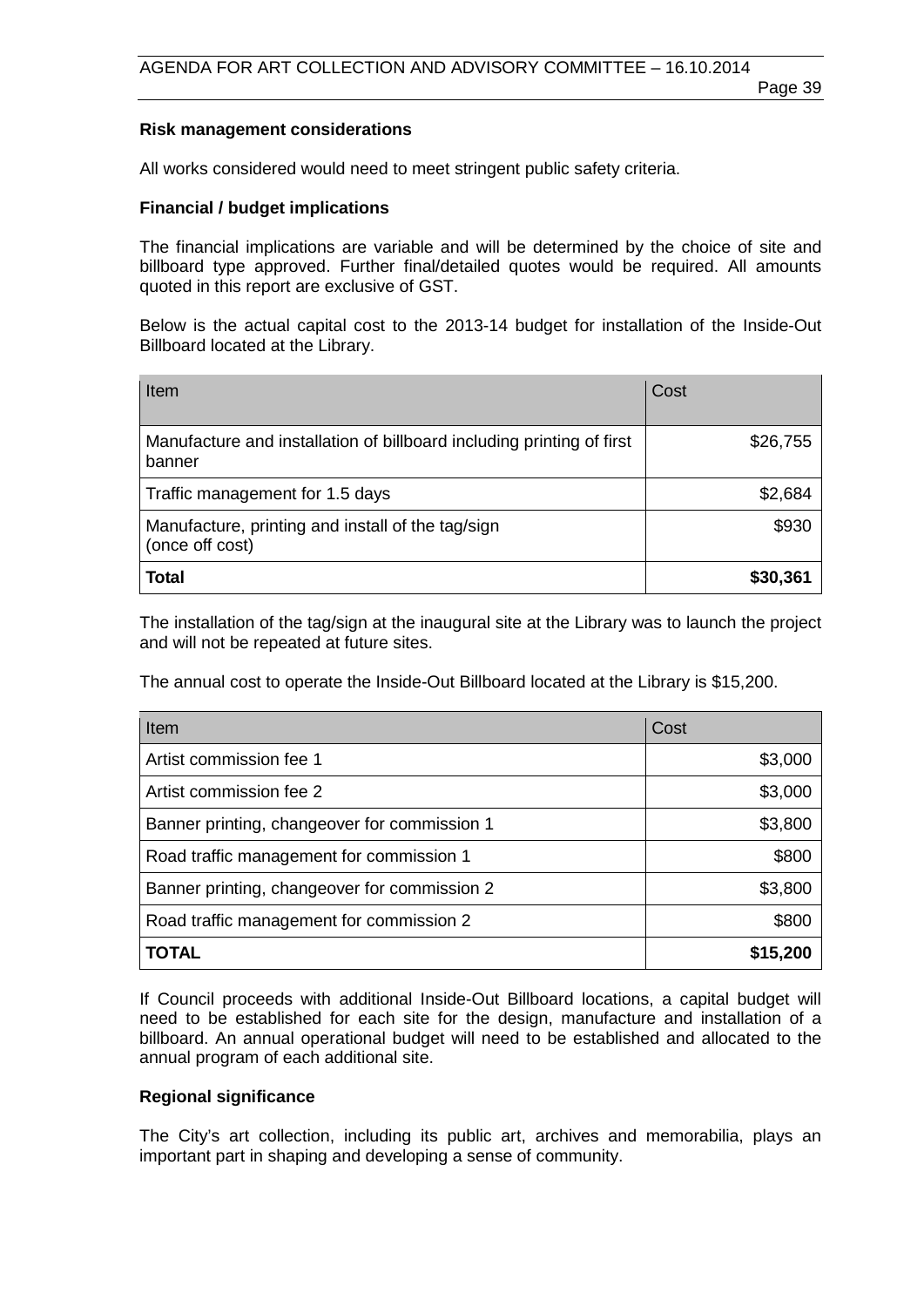#### **Risk management considerations**

All works considered would need to meet stringent public safety criteria.

#### **Financial / budget implications**

The financial implications are variable and will be determined by the choice of site and billboard type approved. Further final/detailed quotes would be required. All amounts quoted in this report are exclusive of GST.

Below is the actual capital cost to the 2013-14 budget for installation of the Inside-Out Billboard located at the Library.

| Item                                                                            | Cost     |
|---------------------------------------------------------------------------------|----------|
| Manufacture and installation of billboard including printing of first<br>banner | \$26,755 |
| Traffic management for 1.5 days                                                 | \$2,684  |
| Manufacture, printing and install of the tag/sign<br>(once off cost)            | \$930    |
| <b>Total</b>                                                                    | \$30,361 |

The installation of the tag/sign at the inaugural site at the Library was to launch the project and will not be repeated at future sites.

The annual cost to operate the Inside-Out Billboard located at the Library is \$15,200.

| Item                                         | Cost     |
|----------------------------------------------|----------|
| Artist commission fee 1                      | \$3,000  |
| Artist commission fee 2                      | \$3,000  |
| Banner printing, changeover for commission 1 | \$3,800  |
| Road traffic management for commission 1     | \$800    |
| Banner printing, changeover for commission 2 | \$3,800  |
| Road traffic management for commission 2     | \$800    |
| <b>TOTAL</b>                                 | \$15,200 |

If Council proceeds with additional Inside-Out Billboard locations, a capital budget will need to be established for each site for the design, manufacture and installation of a billboard. An annual operational budget will need to be established and allocated to the annual program of each additional site.

#### **Regional significance**

The City's art collection, including its public art, archives and memorabilia, plays an important part in shaping and developing a sense of community.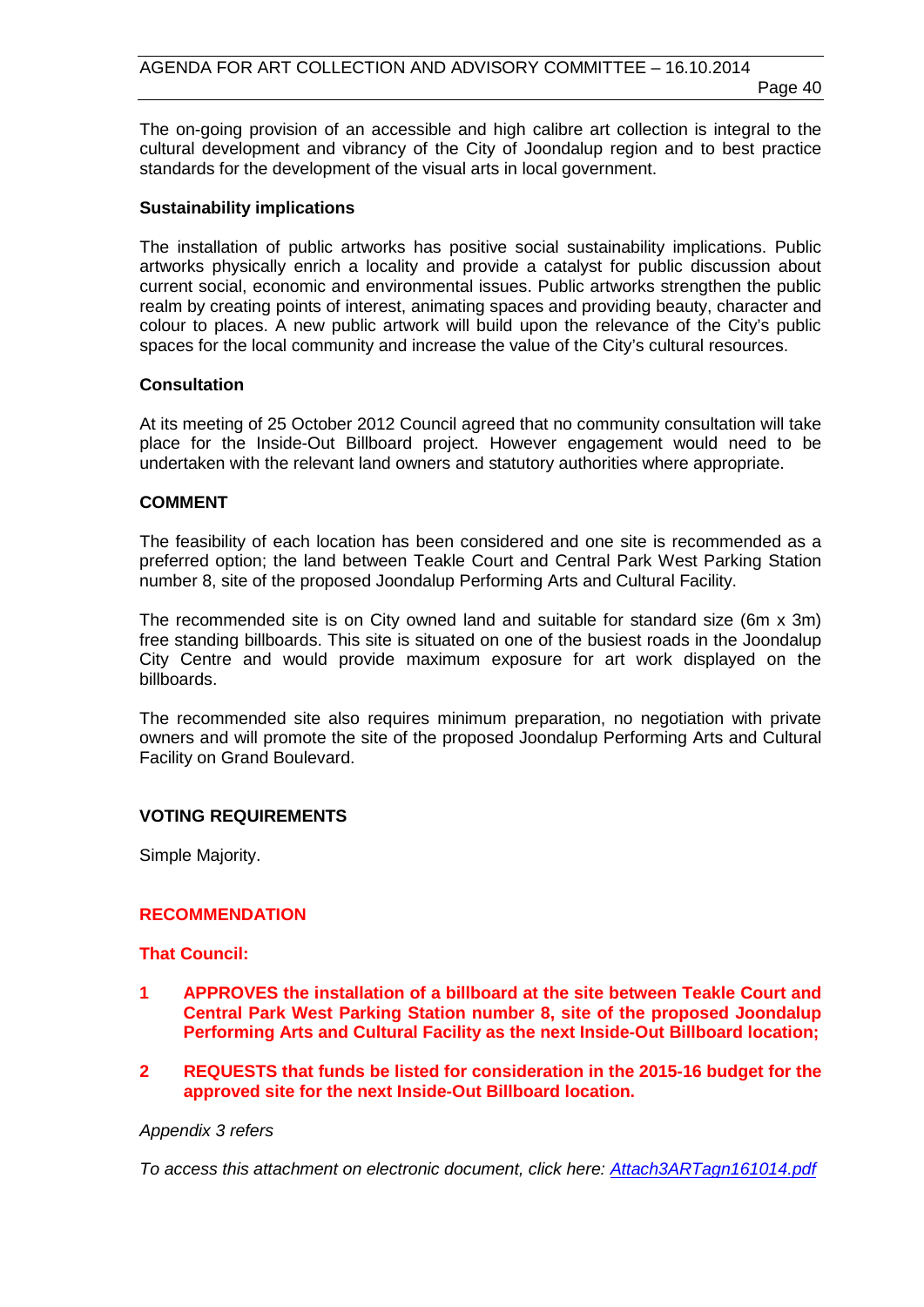The on-going provision of an accessible and high calibre art collection is integral to the cultural development and vibrancy of the City of Joondalup region and to best practice standards for the development of the visual arts in local government.

#### **Sustainability implications**

The installation of public artworks has positive social sustainability implications. Public artworks physically enrich a locality and provide a catalyst for public discussion about current social, economic and environmental issues. Public artworks strengthen the public realm by creating points of interest, animating spaces and providing beauty, character and colour to places. A new public artwork will build upon the relevance of the City's public spaces for the local community and increase the value of the City's cultural resources.

#### **Consultation**

At its meeting of 25 October 2012 Council agreed that no community consultation will take place for the Inside-Out Billboard project. However engagement would need to be undertaken with the relevant land owners and statutory authorities where appropriate.

# **COMMENT**

The feasibility of each location has been considered and one site is recommended as a preferred option; the land between Teakle Court and Central Park West Parking Station number 8, site of the proposed Joondalup Performing Arts and Cultural Facility.

The recommended site is on City owned land and suitable for standard size (6m x 3m) free standing billboards. This site is situated on one of the busiest roads in the Joondalup City Centre and would provide maximum exposure for art work displayed on the billboards.

The recommended site also requires minimum preparation, no negotiation with private owners and will promote the site of the proposed Joondalup Performing Arts and Cultural Facility on Grand Boulevard.

# **VOTING REQUIREMENTS**

Simple Majority.

#### **RECOMMENDATION**

**That Council:**

- **1 APPROVES the installation of a billboard at the site between Teakle Court and Central Park West Parking Station number 8, site of the proposed Joondalup Performing Arts and Cultural Facility as the next Inside-Out Billboard location;**
- **2 REQUESTS that funds be listed for consideration in the 2015-16 budget for the approved site for the next Inside-Out Billboard location.**

#### *Appendix 3 refers*

*[To access this attachment on electronic document, click here: Attach3ARTagn161014.pdf](http://www.joondalup.wa.gov.au/files/committees/ACAC/2014/Attach3ARTagn161014.pdf)*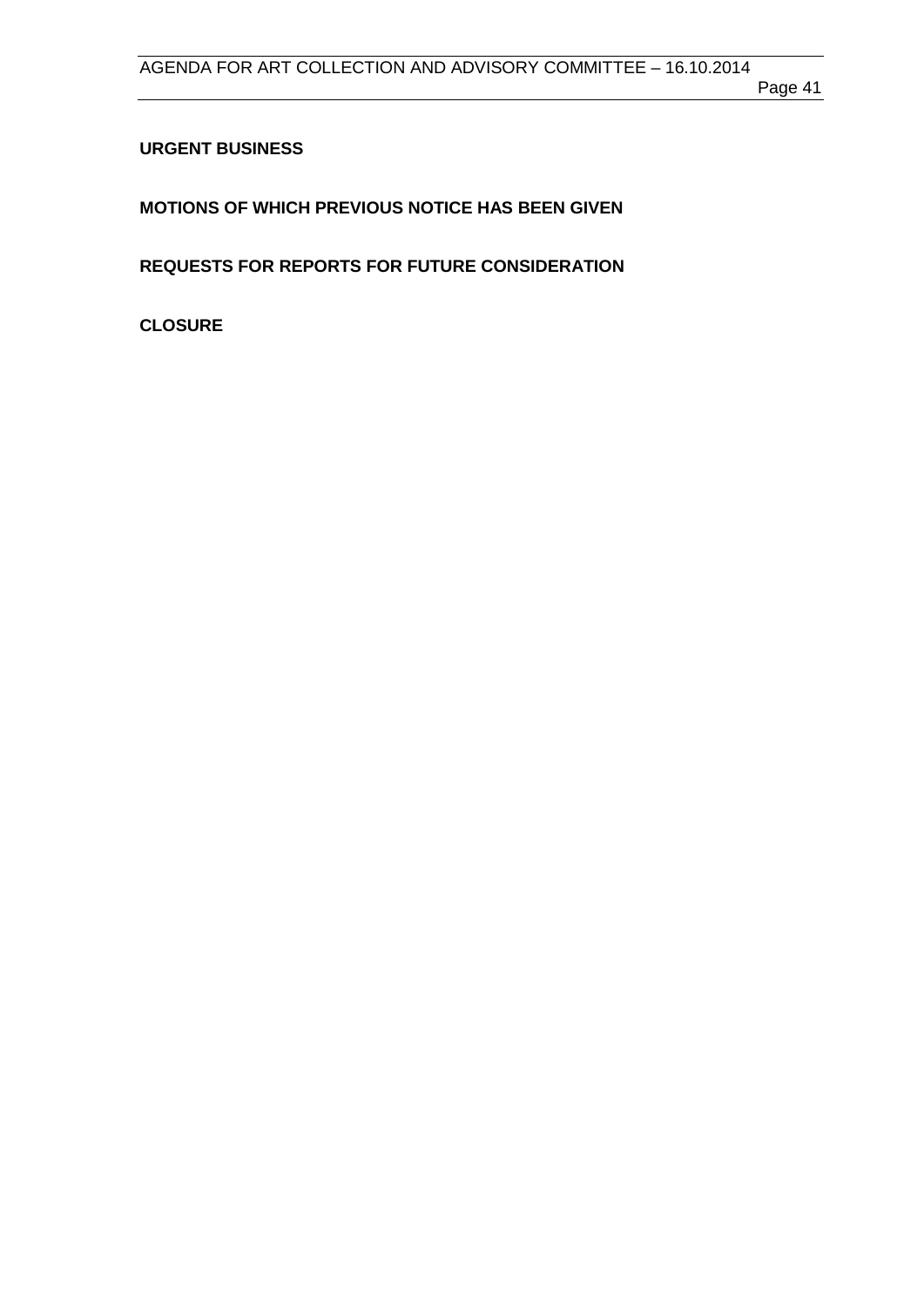# <span id="page-40-0"></span>**URGENT BUSINESS**

<span id="page-40-1"></span>**MOTIONS OF WHICH PREVIOUS NOTICE HAS BEEN GIVEN**

<span id="page-40-2"></span>**REQUESTS FOR REPORTS FOR FUTURE CONSIDERATION**

<span id="page-40-3"></span>**CLOSURE**